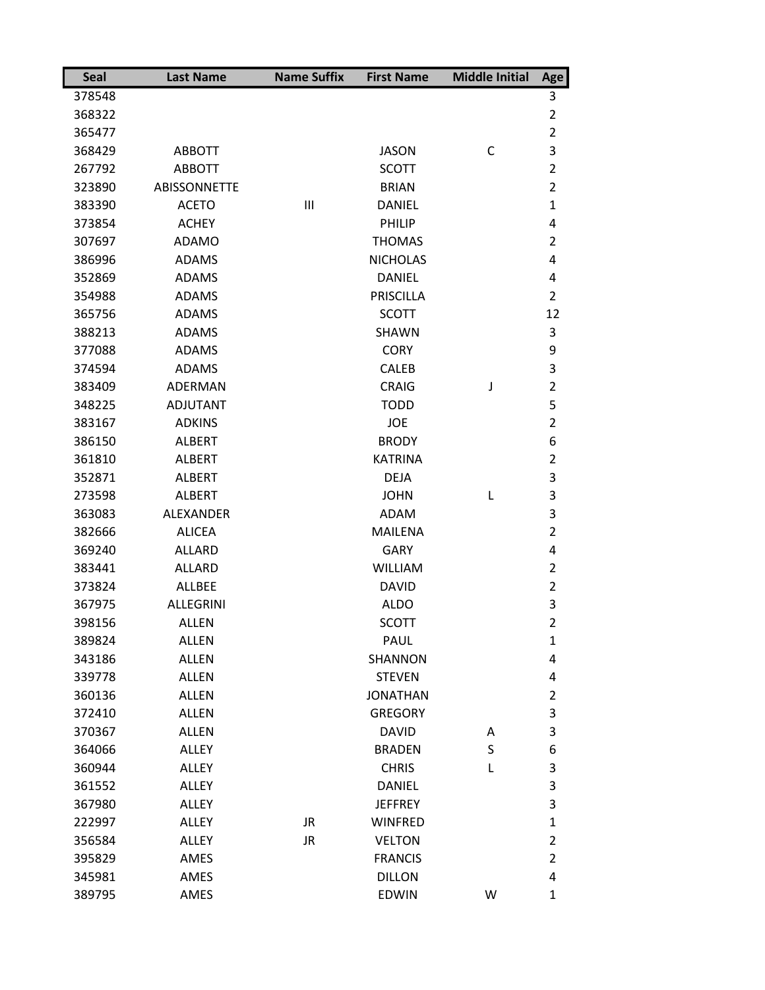| <b>Seal</b> | <b>Last Name</b>    | <b>Name Suffix</b> | <b>First Name</b> | <b>Middle Initial</b> | Age            |
|-------------|---------------------|--------------------|-------------------|-----------------------|----------------|
| 378548      |                     |                    |                   |                       | 3              |
| 368322      |                     |                    |                   |                       | 2              |
| 365477      |                     |                    |                   |                       | $\overline{2}$ |
| 368429      | <b>ABBOTT</b>       |                    | <b>JASON</b>      | C                     | 3              |
| 267792      | <b>ABBOTT</b>       |                    | <b>SCOTT</b>      |                       | $\overline{2}$ |
| 323890      | <b>ABISSONNETTE</b> |                    | <b>BRIAN</b>      |                       | $\overline{2}$ |
| 383390      | <b>ACETO</b>        | $\mathbf{III}$     | <b>DANIEL</b>     |                       | $\mathbf{1}$   |
| 373854      | <b>ACHEY</b>        |                    | PHILIP            |                       | 4              |
| 307697      | <b>ADAMO</b>        |                    | <b>THOMAS</b>     |                       | $\overline{2}$ |
| 386996      | <b>ADAMS</b>        |                    | <b>NICHOLAS</b>   |                       | 4              |
| 352869      | <b>ADAMS</b>        |                    | <b>DANIEL</b>     |                       | 4              |
| 354988      | <b>ADAMS</b>        |                    | <b>PRISCILLA</b>  |                       | $\overline{2}$ |
| 365756      | <b>ADAMS</b>        |                    | <b>SCOTT</b>      |                       | 12             |
| 388213      | <b>ADAMS</b>        |                    | <b>SHAWN</b>      |                       | 3              |
| 377088      | <b>ADAMS</b>        |                    | <b>CORY</b>       |                       | 9              |
| 374594      | <b>ADAMS</b>        |                    | CALEB             |                       | 3              |
| 383409      | ADERMAN             |                    | <b>CRAIG</b>      | J                     | $\overline{2}$ |
| 348225      | <b>ADJUTANT</b>     |                    | <b>TODD</b>       |                       | 5              |
| 383167      | <b>ADKINS</b>       |                    | <b>JOE</b>        |                       | $\overline{2}$ |
| 386150      | <b>ALBERT</b>       |                    | <b>BRODY</b>      |                       | 6              |
| 361810      | <b>ALBERT</b>       |                    | <b>KATRINA</b>    |                       | 2              |
| 352871      | <b>ALBERT</b>       |                    | <b>DEJA</b>       |                       | 3              |
| 273598      | <b>ALBERT</b>       |                    | <b>JOHN</b>       | L                     | 3              |
| 363083      | <b>ALEXANDER</b>    |                    | <b>ADAM</b>       |                       | 3              |
| 382666      | <b>ALICEA</b>       |                    | <b>MAILENA</b>    |                       | $\overline{2}$ |
| 369240      | <b>ALLARD</b>       |                    | <b>GARY</b>       |                       | 4              |
| 383441      | <b>ALLARD</b>       |                    | <b>WILLIAM</b>    |                       | $\overline{2}$ |
| 373824      | <b>ALLBEE</b>       |                    | <b>DAVID</b>      |                       | $\overline{2}$ |
| 367975      | <b>ALLEGRINI</b>    |                    | <b>ALDO</b>       |                       | 3              |
| 398156      | <b>ALLEN</b>        |                    | <b>SCOTT</b>      |                       | 2              |
| 389824      | <b>ALLEN</b>        |                    | PAUL              |                       | $\mathbf{1}$   |
| 343186      | <b>ALLEN</b>        |                    | SHANNON           |                       | 4              |
| 339778      | <b>ALLEN</b>        |                    | <b>STEVEN</b>     |                       | 4              |
| 360136      | <b>ALLEN</b>        |                    | <b>JONATHAN</b>   |                       | $\overline{2}$ |
| 372410      | <b>ALLEN</b>        |                    | <b>GREGORY</b>    |                       | 3              |
| 370367      | <b>ALLEN</b>        |                    | <b>DAVID</b>      | A                     | 3              |
| 364066      | <b>ALLEY</b>        |                    | <b>BRADEN</b>     | S                     | 6              |
| 360944      | <b>ALLEY</b>        |                    | <b>CHRIS</b>      | L                     | 3              |
| 361552      | <b>ALLEY</b>        |                    | <b>DANIEL</b>     |                       | 3              |
| 367980      | <b>ALLEY</b>        |                    | <b>JEFFREY</b>    |                       | 3              |
| 222997      | ALLEY               | JR                 | <b>WINFRED</b>    |                       | $\mathbf{1}$   |
| 356584      | <b>ALLEY</b>        | <b>JR</b>          | <b>VELTON</b>     |                       | $\overline{2}$ |
| 395829      | AMES                |                    | <b>FRANCIS</b>    |                       | $\overline{2}$ |
| 345981      | AMES                |                    | <b>DILLON</b>     |                       | 4              |
| 389795      | AMES                |                    | <b>EDWIN</b>      | W                     | $\mathbf{1}$   |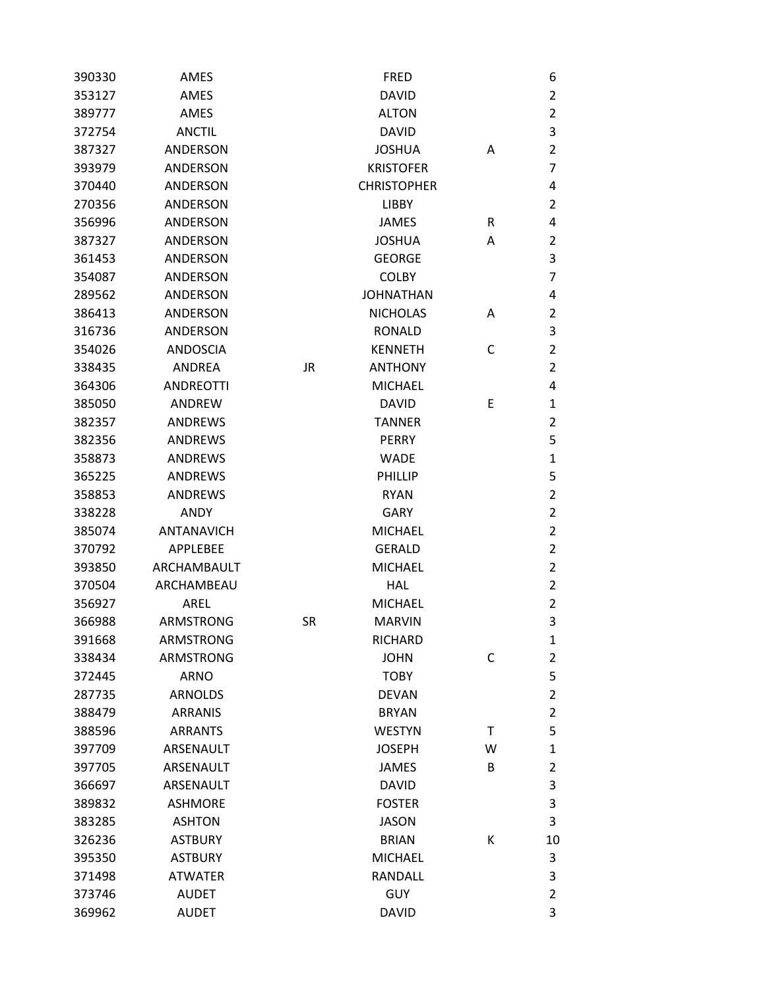| 390330 | AMES              |           | <b>FRED</b>        |   | 6              |
|--------|-------------------|-----------|--------------------|---|----------------|
| 353127 | AMES              |           | <b>DAVID</b>       |   | $\overline{2}$ |
| 389777 | AMES              |           | <b>ALTON</b>       |   | $\overline{2}$ |
| 372754 | <b>ANCTIL</b>     |           | <b>DAVID</b>       |   | 3              |
| 387327 | <b>ANDERSON</b>   |           | <b>JOSHUA</b>      | A | $\overline{2}$ |
| 393979 | <b>ANDERSON</b>   |           | <b>KRISTOFER</b>   |   | $\overline{7}$ |
| 370440 | ANDERSON          |           | <b>CHRISTOPHER</b> |   | 4              |
| 270356 | ANDERSON          |           | LIBBY              |   | $\overline{2}$ |
| 356996 | <b>ANDERSON</b>   |           | <b>JAMES</b>       | R | 4              |
| 387327 | <b>ANDERSON</b>   |           | <b>JOSHUA</b>      | A | $\overline{2}$ |
| 361453 | ANDERSON          |           | <b>GEORGE</b>      |   | 3              |
| 354087 | ANDERSON          |           | <b>COLBY</b>       |   | $\overline{7}$ |
| 289562 | ANDERSON          |           | <b>JOHNATHAN</b>   |   | 4              |
| 386413 | ANDERSON          |           | <b>NICHOLAS</b>    | A | $\overline{2}$ |
| 316736 | <b>ANDERSON</b>   |           | <b>RONALD</b>      |   | 3              |
| 354026 | <b>ANDOSCIA</b>   |           | <b>KENNETH</b>     | C | $\overline{2}$ |
| 338435 | ANDREA            | <b>JR</b> | <b>ANTHONY</b>     |   | $\overline{2}$ |
| 364306 | <b>ANDREOTTI</b>  |           | <b>MICHAEL</b>     |   | 4              |
| 385050 | ANDREW            |           | <b>DAVID</b>       | E | $\mathbf{1}$   |
| 382357 | <b>ANDREWS</b>    |           | <b>TANNER</b>      |   | $\overline{2}$ |
| 382356 | <b>ANDREWS</b>    |           | <b>PERRY</b>       |   | 5              |
| 358873 | <b>ANDREWS</b>    |           | <b>WADE</b>        |   | $\mathbf{1}$   |
| 365225 | <b>ANDREWS</b>    |           | PHILLIP            |   | 5              |
| 358853 | <b>ANDREWS</b>    |           | <b>RYAN</b>        |   | $\overline{2}$ |
| 338228 | <b>ANDY</b>       |           | <b>GARY</b>        |   | $\overline{2}$ |
| 385074 | <b>ANTANAVICH</b> |           | <b>MICHAEL</b>     |   | $\overline{2}$ |
| 370792 | APPLEBEE          |           | <b>GERALD</b>      |   | $\overline{2}$ |
| 393850 | ARCHAMBAULT       |           | <b>MICHAEL</b>     |   | $\overline{2}$ |
| 370504 | ARCHAMBEAU        |           | <b>HAL</b>         |   | $\overline{2}$ |
| 356927 | AREL              |           | <b>MICHAEL</b>     |   | $\overline{2}$ |
| 366988 | <b>ARMSTRONG</b>  | <b>SR</b> | <b>MARVIN</b>      |   | 3              |
| 391668 | ARMSTRONG         |           | RICHARD            |   | 1              |
| 338434 | <b>ARMSTRONG</b>  |           | <b>JOHN</b>        | C | $\overline{2}$ |
| 372445 | <b>ARNO</b>       |           | <b>TOBY</b>        |   | 5              |
| 287735 | <b>ARNOLDS</b>    |           | <b>DEVAN</b>       |   | $\overline{2}$ |
| 388479 | <b>ARRANIS</b>    |           | <b>BRYAN</b>       |   | $\overline{2}$ |
| 388596 | <b>ARRANTS</b>    |           | <b>WESTYN</b>      | Τ | 5              |
| 397709 | ARSENAULT         |           | <b>JOSEPH</b>      | W | $\mathbf{1}$   |
| 397705 | ARSENAULT         |           | <b>JAMES</b>       | B | $\overline{2}$ |
| 366697 | ARSENAULT         |           | <b>DAVID</b>       |   | $\mathsf 3$    |
| 389832 | <b>ASHMORE</b>    |           | <b>FOSTER</b>      |   | 3              |
| 383285 | <b>ASHTON</b>     |           | <b>JASON</b>       |   | 3              |
| 326236 | <b>ASTBURY</b>    |           | <b>BRIAN</b>       | К | 10             |
| 395350 | <b>ASTBURY</b>    |           | <b>MICHAEL</b>     |   | 3              |
| 371498 | <b>ATWATER</b>    |           | <b>RANDALL</b>     |   | 3              |
| 373746 | <b>AUDET</b>      |           | GUY                |   | $\overline{2}$ |
| 369962 | <b>AUDET</b>      |           | <b>DAVID</b>       |   | 3              |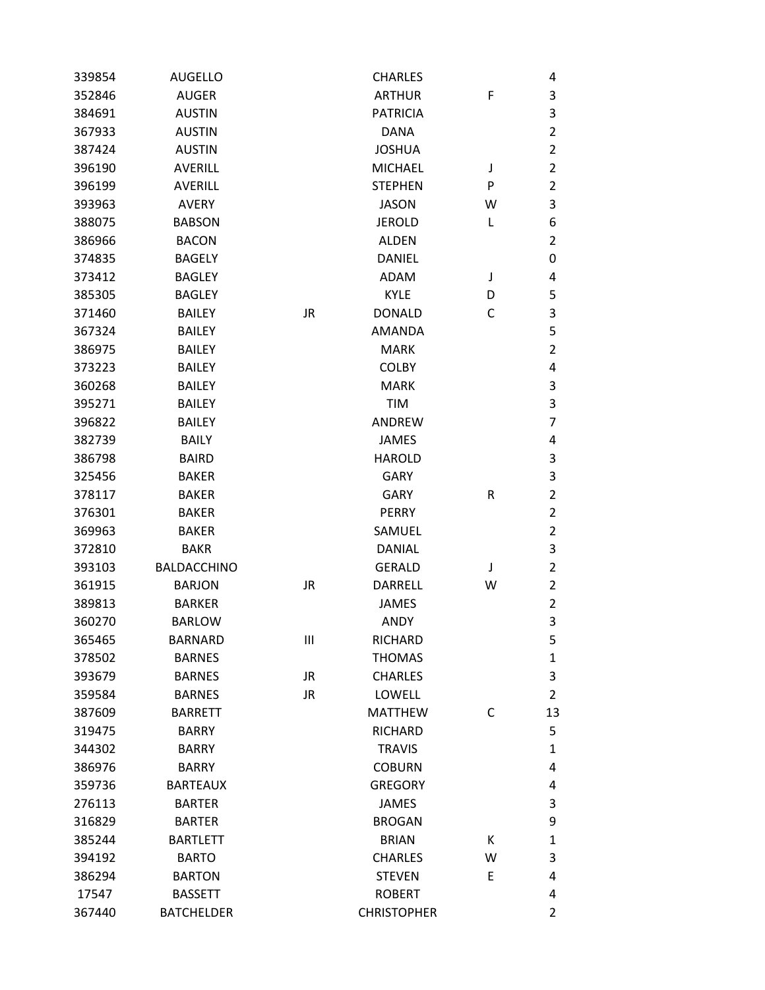| 339854 | <b>AUGELLO</b>     |           | <b>CHARLES</b>     |   | 4              |
|--------|--------------------|-----------|--------------------|---|----------------|
| 352846 | <b>AUGER</b>       |           | <b>ARTHUR</b>      | F | 3              |
| 384691 | <b>AUSTIN</b>      |           | <b>PATRICIA</b>    |   | 3              |
| 367933 | <b>AUSTIN</b>      |           | <b>DANA</b>        |   | $\overline{2}$ |
| 387424 | <b>AUSTIN</b>      |           | <b>JOSHUA</b>      |   | $\overline{2}$ |
| 396190 | <b>AVERILL</b>     |           | <b>MICHAEL</b>     | J | $\overline{2}$ |
| 396199 | <b>AVERILL</b>     |           | <b>STEPHEN</b>     | P | $\overline{2}$ |
| 393963 | <b>AVERY</b>       |           | <b>JASON</b>       | W | 3              |
| 388075 | <b>BABSON</b>      |           | <b>JEROLD</b>      | L | 6              |
| 386966 | <b>BACON</b>       |           | <b>ALDEN</b>       |   | $\overline{2}$ |
| 374835 | <b>BAGELY</b>      |           | <b>DANIEL</b>      |   | 0              |
| 373412 | <b>BAGLEY</b>      |           | <b>ADAM</b>        | J | 4              |
| 385305 | <b>BAGLEY</b>      |           | <b>KYLE</b>        | D | 5              |
| 371460 | <b>BAILEY</b>      | <b>JR</b> | <b>DONALD</b>      | C | 3              |
| 367324 | <b>BAILEY</b>      |           | <b>AMANDA</b>      |   | 5              |
| 386975 | <b>BAILEY</b>      |           | <b>MARK</b>        |   | $\overline{2}$ |
| 373223 | <b>BAILEY</b>      |           | <b>COLBY</b>       |   | 4              |
| 360268 | <b>BAILEY</b>      |           | <b>MARK</b>        |   | 3              |
| 395271 | <b>BAILEY</b>      |           | TIM                |   | 3              |
| 396822 | <b>BAILEY</b>      |           | <b>ANDREW</b>      |   | $\overline{7}$ |
| 382739 | <b>BAILY</b>       |           | <b>JAMES</b>       |   | 4              |
| 386798 | <b>BAIRD</b>       |           | <b>HAROLD</b>      |   | 3              |
| 325456 | <b>BAKER</b>       |           | <b>GARY</b>        |   | 3              |
| 378117 | <b>BAKER</b>       |           | <b>GARY</b>        | R | $\overline{2}$ |
| 376301 | <b>BAKER</b>       |           | <b>PERRY</b>       |   | $\overline{2}$ |
| 369963 | <b>BAKER</b>       |           | SAMUEL             |   | $\overline{2}$ |
| 372810 | <b>BAKR</b>        |           | <b>DANIAL</b>      |   | 3              |
| 393103 | <b>BALDACCHINO</b> |           | <b>GERALD</b>      | J | $\overline{2}$ |
| 361915 | <b>BARJON</b>      | <b>JR</b> | <b>DARRELL</b>     | W | $\overline{2}$ |
| 389813 | <b>BARKER</b>      |           | <b>JAMES</b>       |   | $\overline{2}$ |
| 360270 | <b>BARLOW</b>      |           | <b>ANDY</b>        |   | 3              |
| 365465 | <b>BARNARD</b>     | Ш         | <b>RICHARD</b>     |   | 5              |
| 378502 | <b>BARNES</b>      |           | <b>THOMAS</b>      |   | $\mathbf{1}$   |
| 393679 | <b>BARNES</b>      | JR        | <b>CHARLES</b>     |   | 3              |
| 359584 | <b>BARNES</b>      | <b>JR</b> | <b>LOWELL</b>      |   | $\overline{2}$ |
| 387609 | <b>BARRETT</b>     |           | <b>MATTHEW</b>     | С | 13             |
| 319475 | <b>BARRY</b>       |           | <b>RICHARD</b>     |   | 5              |
| 344302 | <b>BARRY</b>       |           | <b>TRAVIS</b>      |   | $\mathbf{1}$   |
| 386976 | <b>BARRY</b>       |           | <b>COBURN</b>      |   | 4              |
| 359736 | <b>BARTEAUX</b>    |           | <b>GREGORY</b>     |   | 4              |
| 276113 | <b>BARTER</b>      |           | <b>JAMES</b>       |   | 3              |
| 316829 | <b>BARTER</b>      |           | <b>BROGAN</b>      |   | 9              |
| 385244 | <b>BARTLETT</b>    |           | <b>BRIAN</b>       | Κ | 1              |
| 394192 | <b>BARTO</b>       |           | <b>CHARLES</b>     | W | 3              |
| 386294 | <b>BARTON</b>      |           | <b>STEVEN</b>      | E | 4              |
| 17547  | <b>BASSETT</b>     |           | <b>ROBERT</b>      |   | 4              |
| 367440 | <b>BATCHELDER</b>  |           | <b>CHRISTOPHER</b> |   | 2              |
|        |                    |           |                    |   |                |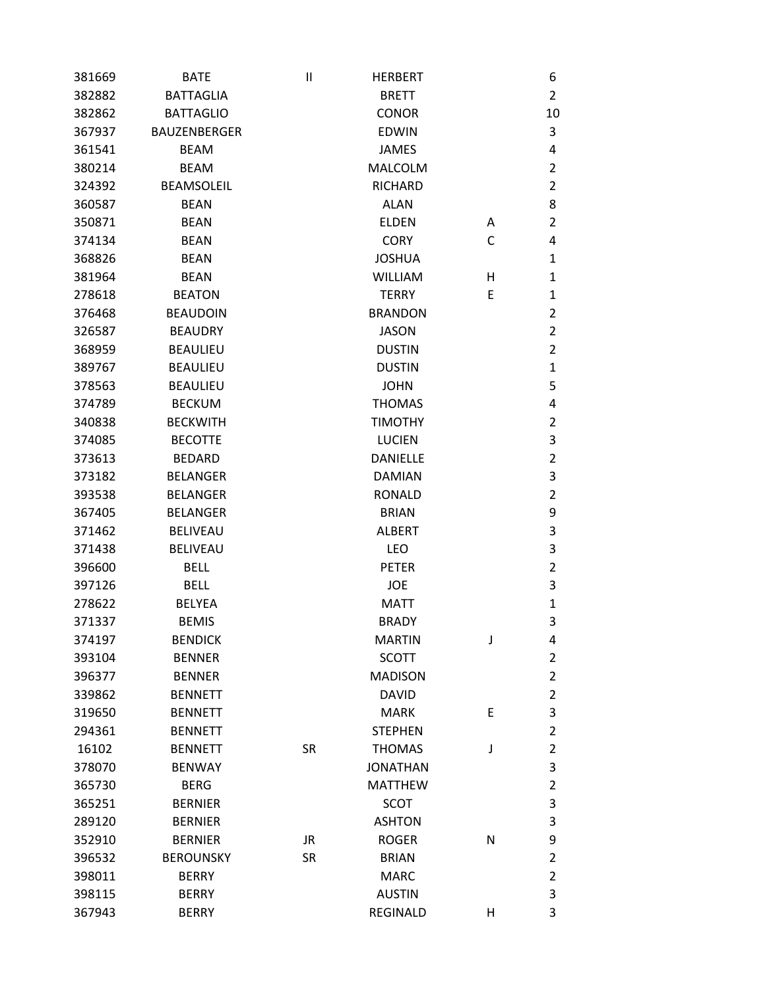| 381669 | <b>BATE</b>         | $\mathsf{II}$ | <b>HERBERT</b>  |   | 6                         |
|--------|---------------------|---------------|-----------------|---|---------------------------|
| 382882 | <b>BATTAGLIA</b>    |               | <b>BRETT</b>    |   | $\overline{2}$            |
| 382862 | <b>BATTAGLIO</b>    |               | <b>CONOR</b>    |   | 10                        |
| 367937 | <b>BAUZENBERGER</b> |               | <b>EDWIN</b>    |   | 3                         |
| 361541 | <b>BEAM</b>         |               | <b>JAMES</b>    |   | 4                         |
| 380214 | <b>BEAM</b>         |               | <b>MALCOLM</b>  |   | $\overline{2}$            |
| 324392 | <b>BEAMSOLEIL</b>   |               | <b>RICHARD</b>  |   | $\overline{2}$            |
| 360587 | <b>BEAN</b>         |               | <b>ALAN</b>     |   | 8                         |
| 350871 | <b>BEAN</b>         |               | <b>ELDEN</b>    | Α | $\overline{2}$            |
| 374134 | <b>BEAN</b>         |               | <b>CORY</b>     | С | 4                         |
| 368826 | <b>BEAN</b>         |               | <b>JOSHUA</b>   |   | 1                         |
| 381964 | <b>BEAN</b>         |               | <b>WILLIAM</b>  | н | $\mathbf{1}$              |
| 278618 | <b>BEATON</b>       |               | <b>TERRY</b>    | E | $\mathbf{1}$              |
| 376468 | <b>BEAUDOIN</b>     |               | <b>BRANDON</b>  |   | $\overline{2}$            |
| 326587 | <b>BEAUDRY</b>      |               | <b>JASON</b>    |   | $\overline{2}$            |
| 368959 | <b>BEAULIEU</b>     |               | <b>DUSTIN</b>   |   | $\overline{2}$            |
| 389767 | <b>BEAULIEU</b>     |               | <b>DUSTIN</b>   |   | $\mathbf{1}$              |
| 378563 | <b>BEAULIEU</b>     |               | <b>JOHN</b>     |   | 5                         |
| 374789 | <b>BECKUM</b>       |               | <b>THOMAS</b>   |   | 4                         |
| 340838 | <b>BECKWITH</b>     |               | <b>TIMOTHY</b>  |   | $\overline{2}$            |
| 374085 | <b>BECOTTE</b>      |               | <b>LUCIEN</b>   |   | $\mathsf 3$               |
| 373613 | <b>BEDARD</b>       |               | <b>DANIELLE</b> |   | $\overline{2}$            |
| 373182 | <b>BELANGER</b>     |               | <b>DAMIAN</b>   |   | 3                         |
| 393538 | <b>BELANGER</b>     |               | <b>RONALD</b>   |   | $\overline{2}$            |
| 367405 | <b>BELANGER</b>     |               | <b>BRIAN</b>    |   | 9                         |
| 371462 | <b>BELIVEAU</b>     |               | <b>ALBERT</b>   |   | $\mathsf 3$               |
| 371438 | <b>BELIVEAU</b>     |               | LEO             |   | 3                         |
| 396600 | <b>BELL</b>         |               | <b>PETER</b>    |   | $\overline{2}$            |
| 397126 | <b>BELL</b>         |               | <b>JOE</b>      |   | 3                         |
| 278622 | <b>BELYEA</b>       |               | <b>MATT</b>     |   | $\mathbf{1}$              |
| 371337 | <b>BEMIS</b>        |               | <b>BRADY</b>    |   | 3                         |
| 374197 | <b>BENDICK</b>      |               | <b>MARTIN</b>   | J | 4                         |
| 393104 | <b>BENNER</b>       |               | <b>SCOTT</b>    |   | $\overline{2}$            |
| 396377 | <b>BENNER</b>       |               | <b>MADISON</b>  |   | $\overline{2}$            |
| 339862 | <b>BENNETT</b>      |               | <b>DAVID</b>    |   | $\overline{2}$            |
| 319650 | <b>BENNETT</b>      |               | <b>MARK</b>     | E | $\mathsf 3$               |
| 294361 | <b>BENNETT</b>      |               | <b>STEPHEN</b>  |   | $\overline{2}$            |
| 16102  | <b>BENNETT</b>      | <b>SR</b>     | <b>THOMAS</b>   | J | $\overline{2}$            |
| 378070 | <b>BENWAY</b>       |               | <b>JONATHAN</b> |   | 3                         |
| 365730 | <b>BERG</b>         |               | <b>MATTHEW</b>  |   | $\overline{2}$            |
| 365251 | <b>BERNIER</b>      |               | <b>SCOT</b>     |   | $\ensuremath{\mathsf{3}}$ |
| 289120 | <b>BERNIER</b>      |               | <b>ASHTON</b>   |   | 3                         |
| 352910 | <b>BERNIER</b>      | <b>JR</b>     | <b>ROGER</b>    | N | 9                         |
| 396532 | <b>BEROUNSKY</b>    | <b>SR</b>     | <b>BRIAN</b>    |   | $\overline{2}$            |
| 398011 | <b>BERRY</b>        |               | <b>MARC</b>     |   | $\overline{2}$            |
| 398115 | <b>BERRY</b>        |               | <b>AUSTIN</b>   |   | 3                         |
| 367943 | <b>BERRY</b>        |               | <b>REGINALD</b> | н | 3                         |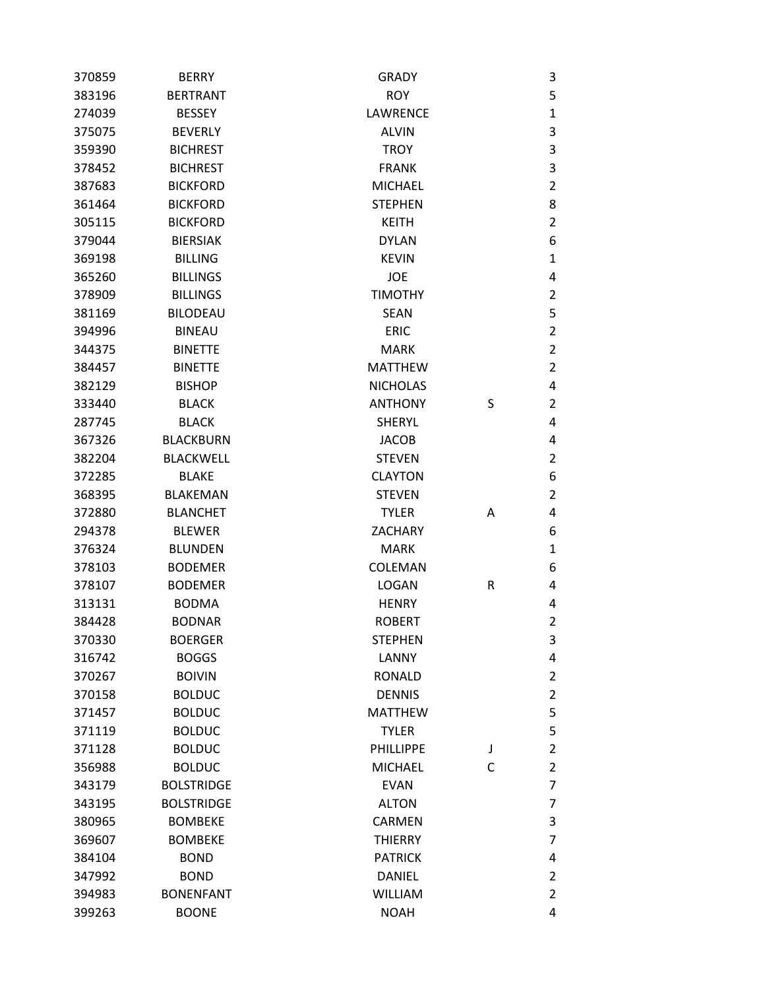| 370859 | <b>BERRY</b>      | <b>GRADY</b>     |   | 3              |
|--------|-------------------|------------------|---|----------------|
| 383196 | <b>BERTRANT</b>   | <b>ROY</b>       |   | 5              |
| 274039 | <b>BESSEY</b>     | LAWRENCE         |   | $\mathbf{1}$   |
| 375075 | <b>BEVERLY</b>    | <b>ALVIN</b>     |   | 3              |
| 359390 | <b>BICHREST</b>   | <b>TROY</b>      |   | 3              |
| 378452 | <b>BICHREST</b>   | <b>FRANK</b>     |   | 3              |
| 387683 | <b>BICKFORD</b>   | <b>MICHAEL</b>   |   | $\overline{2}$ |
| 361464 | <b>BICKFORD</b>   | <b>STEPHEN</b>   |   | 8              |
| 305115 | <b>BICKFORD</b>   | <b>KEITH</b>     |   | $\overline{2}$ |
| 379044 | <b>BIERSIAK</b>   | <b>DYLAN</b>     |   | 6              |
| 369198 | <b>BILLING</b>    | <b>KEVIN</b>     |   | 1              |
| 365260 | <b>BILLINGS</b>   | <b>JOE</b>       |   | 4              |
| 378909 | <b>BILLINGS</b>   | <b>TIMOTHY</b>   |   | 2              |
| 381169 | <b>BILODEAU</b>   | <b>SEAN</b>      |   | 5              |
| 394996 | <b>BINEAU</b>     | <b>ERIC</b>      |   | $\overline{2}$ |
| 344375 | <b>BINETTE</b>    | <b>MARK</b>      |   | $\overline{2}$ |
| 384457 | <b>BINETTE</b>    | <b>MATTHEW</b>   |   | $\overline{2}$ |
| 382129 | <b>BISHOP</b>     | <b>NICHOLAS</b>  |   | 4              |
| 333440 | <b>BLACK</b>      | <b>ANTHONY</b>   | S | 2              |
| 287745 | <b>BLACK</b>      | <b>SHERYL</b>    |   | 4              |
| 367326 | <b>BLACKBURN</b>  | <b>JACOB</b>     |   | 4              |
| 382204 | <b>BLACKWELL</b>  | <b>STEVEN</b>    |   | $\overline{2}$ |
| 372285 | <b>BLAKE</b>      | <b>CLAYTON</b>   |   | 6              |
| 368395 | <b>BLAKEMAN</b>   | <b>STEVEN</b>    |   | $\overline{2}$ |
| 372880 | <b>BLANCHET</b>   | <b>TYLER</b>     | Α | 4              |
| 294378 | <b>BLEWER</b>     | ZACHARY          |   | 6              |
| 376324 | <b>BLUNDEN</b>    | <b>MARK</b>      |   | $\mathbf{1}$   |
| 378103 | <b>BODEMER</b>    | COLEMAN          |   | 6              |
| 378107 | <b>BODEMER</b>    | <b>LOGAN</b>     | R | 4              |
| 313131 | <b>BODMA</b>      | <b>HENRY</b>     |   | 4              |
| 384428 | <b>BODNAR</b>     | <b>ROBERT</b>    |   | $\overline{2}$ |
| 370330 | <b>BOERGER</b>    | <b>STEPHEN</b>   |   | 3              |
| 316742 | <b>BOGGS</b>      | LANNY            |   | 4              |
| 370267 | <b>BOIVIN</b>     | <b>RONALD</b>    |   | $\overline{2}$ |
| 370158 | <b>BOLDUC</b>     | <b>DENNIS</b>    |   | 2              |
| 371457 | <b>BOLDUC</b>     | <b>MATTHEW</b>   |   | 5              |
| 371119 | <b>BOLDUC</b>     | <b>TYLER</b>     |   | 5              |
| 371128 | <b>BOLDUC</b>     | <b>PHILLIPPE</b> | J | $\overline{2}$ |
| 356988 | <b>BOLDUC</b>     | <b>MICHAEL</b>   | C | $\overline{2}$ |
| 343179 | <b>BOLSTRIDGE</b> | <b>EVAN</b>      |   | 7              |
| 343195 | <b>BOLSTRIDGE</b> | <b>ALTON</b>     |   | 7              |
| 380965 | <b>BOMBEKE</b>    | CARMEN           |   | 3              |
| 369607 | <b>BOMBEKE</b>    | <b>THIERRY</b>   |   | 7              |
| 384104 | <b>BOND</b>       | <b>PATRICK</b>   |   | 4              |
| 347992 | <b>BOND</b>       | <b>DANIEL</b>    |   | 2              |
| 394983 | <b>BONENFANT</b>  | <b>WILLIAM</b>   |   | $\overline{2}$ |
| 399263 | <b>BOONE</b>      | <b>NOAH</b>      |   | 4              |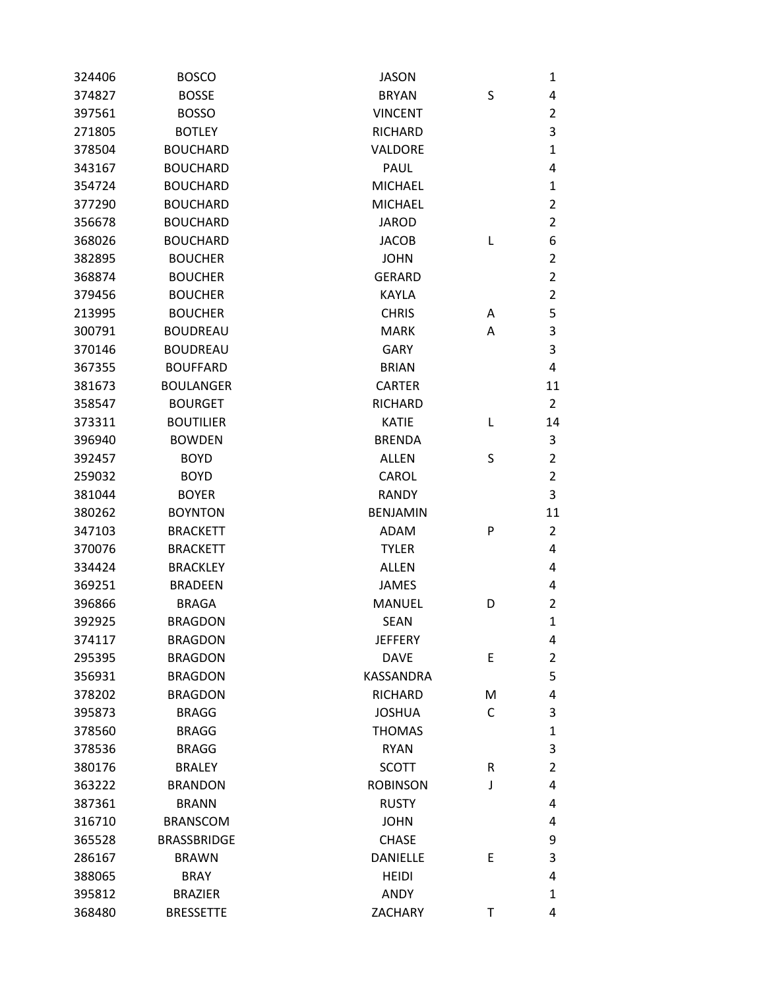| 324406 | <b>BOSCO</b>       | JASON           |   | 1              |
|--------|--------------------|-----------------|---|----------------|
| 374827 | <b>BOSSE</b>       | <b>BRYAN</b>    | S | 4              |
| 397561 | <b>BOSSO</b>       | <b>VINCENT</b>  |   | 2              |
| 271805 | <b>BOTLEY</b>      | <b>RICHARD</b>  |   | 3              |
| 378504 | <b>BOUCHARD</b>    | VALDORE         |   | $\mathbf{1}$   |
| 343167 | <b>BOUCHARD</b>    | <b>PAUL</b>     |   | 4              |
| 354724 | <b>BOUCHARD</b>    | <b>MICHAEL</b>  |   | 1              |
| 377290 | <b>BOUCHARD</b>    | <b>MICHAEL</b>  |   | $\overline{2}$ |
| 356678 | <b>BOUCHARD</b>    | <b>JAROD</b>    |   | $\overline{2}$ |
| 368026 | <b>BOUCHARD</b>    | <b>JACOB</b>    | L | 6              |
| 382895 | <b>BOUCHER</b>     | <b>JOHN</b>     |   | $\overline{2}$ |
| 368874 | <b>BOUCHER</b>     | <b>GERARD</b>   |   | $\overline{2}$ |
| 379456 | <b>BOUCHER</b>     | <b>KAYLA</b>    |   | $\overline{2}$ |
| 213995 | <b>BOUCHER</b>     | <b>CHRIS</b>    | Α | 5              |
| 300791 | <b>BOUDREAU</b>    | <b>MARK</b>     | Α | 3              |
| 370146 | <b>BOUDREAU</b>    | <b>GARY</b>     |   | 3              |
| 367355 | <b>BOUFFARD</b>    | <b>BRIAN</b>    |   | 4              |
| 381673 | <b>BOULANGER</b>   | <b>CARTER</b>   |   | 11             |
| 358547 | <b>BOURGET</b>     | <b>RICHARD</b>  |   | $\overline{2}$ |
| 373311 | <b>BOUTILIER</b>   | <b>KATIE</b>    | L | 14             |
| 396940 | <b>BOWDEN</b>      | <b>BRENDA</b>   |   | 3              |
| 392457 | <b>BOYD</b>        | <b>ALLEN</b>    | S | $\overline{2}$ |
| 259032 | <b>BOYD</b>        | CAROL           |   | $\overline{2}$ |
| 381044 | <b>BOYER</b>       | <b>RANDY</b>    |   | 3              |
| 380262 | <b>BOYNTON</b>     | <b>BENJAMIN</b> |   | 11             |
| 347103 | <b>BRACKETT</b>    | ADAM            | P | 2              |
| 370076 | <b>BRACKETT</b>    | <b>TYLER</b>    |   | 4              |
| 334424 | <b>BRACKLEY</b>    | <b>ALLEN</b>    |   | 4              |
| 369251 | <b>BRADEEN</b>     | <b>JAMES</b>    |   | 4              |
| 396866 | <b>BRAGA</b>       | <b>MANUEL</b>   | D | 2              |
| 392925 | <b>BRAGDON</b>     | <b>SEAN</b>     |   | 1              |
| 374117 | <b>BRAGDON</b>     | <b>JEFFERY</b>  |   | 4              |
| 295395 | <b>BRAGDON</b>     | <b>DAVE</b>     | E | 2              |
| 356931 | <b>BRAGDON</b>     | KASSANDRA       |   | 5              |
| 378202 | <b>BRAGDON</b>     | <b>RICHARD</b>  | M | 4              |
| 395873 | <b>BRAGG</b>       | <b>JOSHUA</b>   | C | 3              |
| 378560 | <b>BRAGG</b>       | <b>THOMAS</b>   |   | $\mathbf{1}$   |
| 378536 | <b>BRAGG</b>       | <b>RYAN</b>     |   | 3              |
| 380176 | <b>BRALEY</b>      | <b>SCOTT</b>    | R | 2              |
| 363222 | <b>BRANDON</b>     | <b>ROBINSON</b> | J | 4              |
| 387361 | <b>BRANN</b>       | <b>RUSTY</b>    |   | 4              |
| 316710 | <b>BRANSCOM</b>    | <b>JOHN</b>     |   | 4              |
| 365528 | <b>BRASSBRIDGE</b> | <b>CHASE</b>    |   | 9              |
| 286167 | <b>BRAWN</b>       | <b>DANIELLE</b> | Е | 3              |
| 388065 | <b>BRAY</b>        | <b>HEIDI</b>    |   | 4              |
| 395812 | <b>BRAZIER</b>     | <b>ANDY</b>     |   | 1              |
| 368480 | <b>BRESSETTE</b>   | ZACHARY         | T | 4              |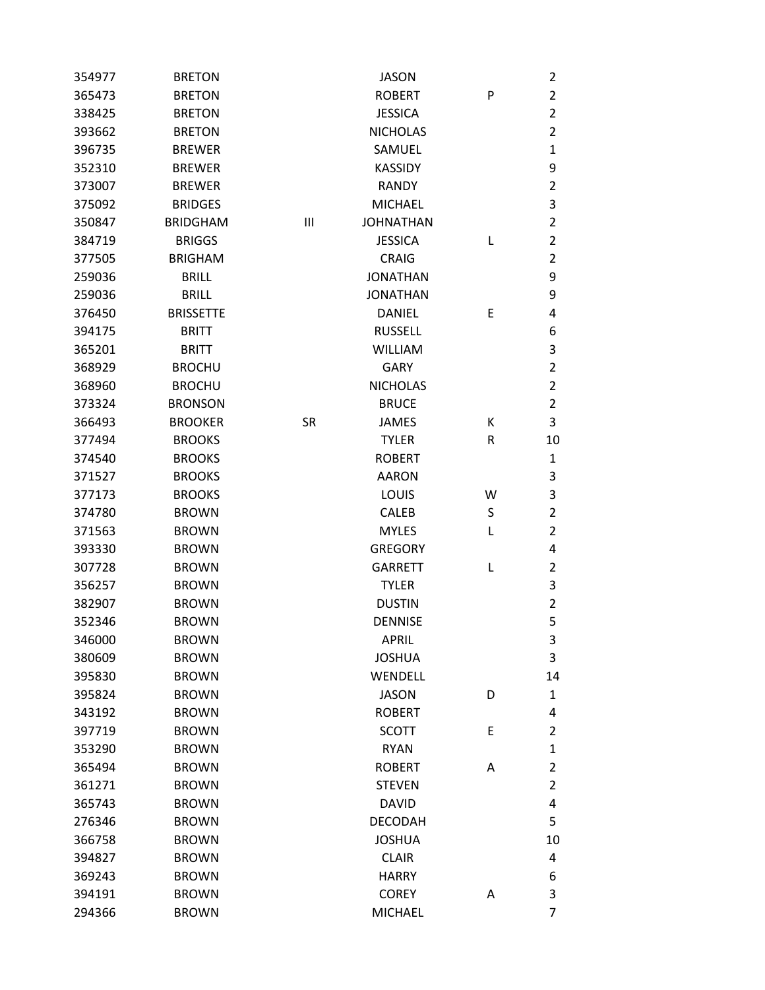| 354977 | <b>BRETON</b>    |           | <b>JASON</b>     |   | 2              |
|--------|------------------|-----------|------------------|---|----------------|
| 365473 | <b>BRETON</b>    |           | <b>ROBERT</b>    | P | $\overline{2}$ |
| 338425 | <b>BRETON</b>    |           | <b>JESSICA</b>   |   | $\overline{2}$ |
| 393662 | <b>BRETON</b>    |           | <b>NICHOLAS</b>  |   | $\overline{2}$ |
| 396735 | <b>BREWER</b>    |           | SAMUEL           |   | $\mathbf{1}$   |
| 352310 | <b>BREWER</b>    |           | <b>KASSIDY</b>   |   | 9              |
| 373007 | <b>BREWER</b>    |           | <b>RANDY</b>     |   | $\overline{2}$ |
| 375092 | <b>BRIDGES</b>   |           | <b>MICHAEL</b>   |   | 3              |
| 350847 | <b>BRIDGHAM</b>  | Ш         | <b>JOHNATHAN</b> |   | $\overline{2}$ |
| 384719 | <b>BRIGGS</b>    |           | <b>JESSICA</b>   | L | $\overline{2}$ |
| 377505 | <b>BRIGHAM</b>   |           | <b>CRAIG</b>     |   | $\overline{2}$ |
| 259036 | <b>BRILL</b>     |           | <b>JONATHAN</b>  |   | 9              |
| 259036 | <b>BRILL</b>     |           | <b>JONATHAN</b>  |   | 9              |
| 376450 | <b>BRISSETTE</b> |           | <b>DANIEL</b>    | Е | 4              |
| 394175 | <b>BRITT</b>     |           | <b>RUSSELL</b>   |   | 6              |
| 365201 | <b>BRITT</b>     |           | <b>WILLIAM</b>   |   | 3              |
| 368929 | <b>BROCHU</b>    |           | <b>GARY</b>      |   | $\overline{2}$ |
| 368960 | <b>BROCHU</b>    |           | <b>NICHOLAS</b>  |   | $\overline{2}$ |
| 373324 | <b>BRONSON</b>   |           | <b>BRUCE</b>     |   | $\overline{2}$ |
| 366493 | <b>BROOKER</b>   | <b>SR</b> | JAMES            | Κ | 3              |
| 377494 | <b>BROOKS</b>    |           | <b>TYLER</b>     | R | 10             |
| 374540 | <b>BROOKS</b>    |           | <b>ROBERT</b>    |   | $\mathbf{1}$   |
| 371527 | <b>BROOKS</b>    |           | <b>AARON</b>     |   | 3              |
| 377173 | <b>BROOKS</b>    |           | LOUIS            | W | 3              |
| 374780 | <b>BROWN</b>     |           | <b>CALEB</b>     | S | $\overline{2}$ |
| 371563 | <b>BROWN</b>     |           | <b>MYLES</b>     | L | $\overline{2}$ |
| 393330 | <b>BROWN</b>     |           | <b>GREGORY</b>   |   | 4              |
| 307728 | <b>BROWN</b>     |           | <b>GARRETT</b>   | L | $\overline{2}$ |
| 356257 | <b>BROWN</b>     |           | <b>TYLER</b>     |   | 3              |
| 382907 | <b>BROWN</b>     |           | <b>DUSTIN</b>    |   | $\overline{2}$ |
| 352346 | <b>BROWN</b>     |           | <b>DENNISE</b>   |   | 5              |
| 346000 | <b>BROWN</b>     |           | <b>APRIL</b>     |   | 3              |
| 380609 | <b>BROWN</b>     |           | <b>JOSHUA</b>    |   | 3              |
| 395830 | <b>BROWN</b>     |           | WENDELL          |   | 14             |
| 395824 | <b>BROWN</b>     |           | <b>JASON</b>     | D | $\mathbf{1}$   |
| 343192 | <b>BROWN</b>     |           | <b>ROBERT</b>    |   | 4              |
| 397719 | <b>BROWN</b>     |           | <b>SCOTT</b>     | E | $\overline{2}$ |
| 353290 | <b>BROWN</b>     |           | <b>RYAN</b>      |   | $\mathbf{1}$   |
| 365494 | <b>BROWN</b>     |           | <b>ROBERT</b>    | Α | $\overline{2}$ |
| 361271 | <b>BROWN</b>     |           | <b>STEVEN</b>    |   | $\overline{2}$ |
| 365743 | <b>BROWN</b>     |           | <b>DAVID</b>     |   | 4              |
| 276346 | <b>BROWN</b>     |           | <b>DECODAH</b>   |   | 5              |
| 366758 | <b>BROWN</b>     |           | <b>JOSHUA</b>    |   | 10             |
| 394827 | <b>BROWN</b>     |           | <b>CLAIR</b>     |   | 4              |
| 369243 | <b>BROWN</b>     |           | <b>HARRY</b>     |   | 6              |
| 394191 | <b>BROWN</b>     |           | <b>COREY</b>     | Α | 3              |
| 294366 | <b>BROWN</b>     |           | <b>MICHAEL</b>   |   | $\overline{7}$ |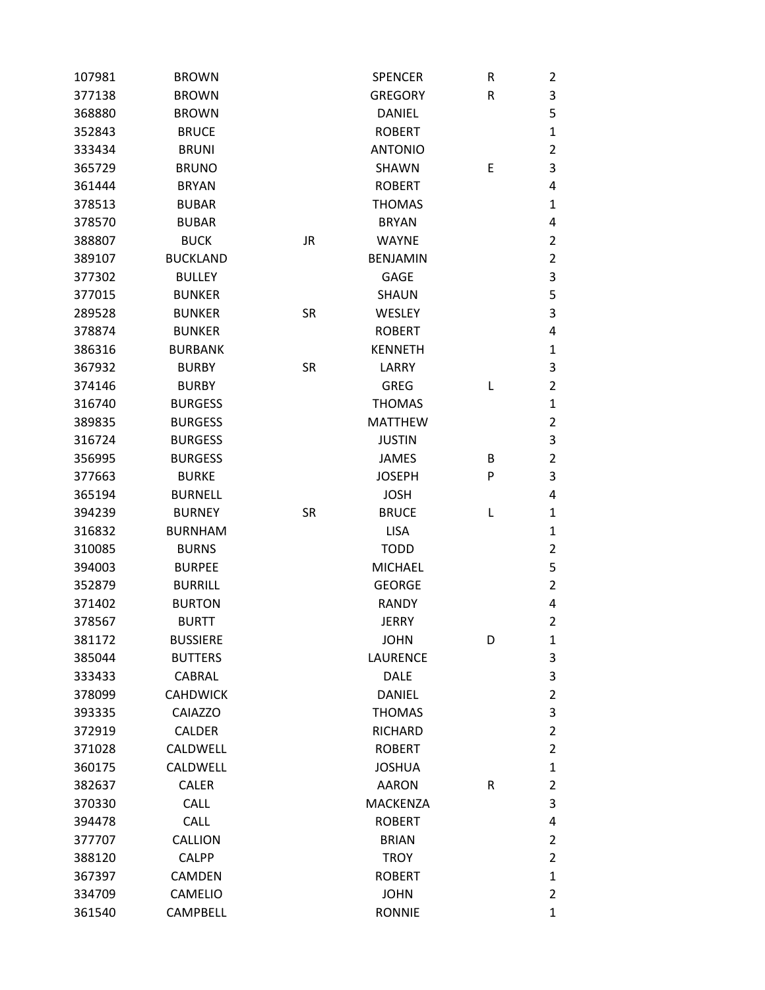| 107981 | <b>BROWN</b>    |           | <b>SPENCER</b>  | R | 2              |
|--------|-----------------|-----------|-----------------|---|----------------|
| 377138 | <b>BROWN</b>    |           | <b>GREGORY</b>  | R | 3              |
| 368880 | <b>BROWN</b>    |           | <b>DANIEL</b>   |   | 5              |
| 352843 | <b>BRUCE</b>    |           | <b>ROBERT</b>   |   | $\mathbf 1$    |
| 333434 | <b>BRUNI</b>    |           | <b>ANTONIO</b>  |   | $\overline{2}$ |
| 365729 | <b>BRUNO</b>    |           | <b>SHAWN</b>    | E | 3              |
| 361444 | <b>BRYAN</b>    |           | <b>ROBERT</b>   |   | 4              |
| 378513 | <b>BUBAR</b>    |           | <b>THOMAS</b>   |   | $\mathbf{1}$   |
| 378570 | <b>BUBAR</b>    |           | <b>BRYAN</b>    |   | 4              |
| 388807 | <b>BUCK</b>     | <b>JR</b> | <b>WAYNE</b>    |   | $\overline{2}$ |
| 389107 | <b>BUCKLAND</b> |           | <b>BENJAMIN</b> |   | $\overline{2}$ |
| 377302 | <b>BULLEY</b>   |           | <b>GAGE</b>     |   | 3              |
| 377015 | <b>BUNKER</b>   |           | <b>SHAUN</b>    |   | 5              |
| 289528 | <b>BUNKER</b>   | <b>SR</b> | WESLEY          |   | 3              |
| 378874 | <b>BUNKER</b>   |           | <b>ROBERT</b>   |   | 4              |
| 386316 | <b>BURBANK</b>  |           | <b>KENNETH</b>  |   | $\mathbf{1}$   |
| 367932 | <b>BURBY</b>    | SR        | LARRY           |   | 3              |
| 374146 | <b>BURBY</b>    |           | <b>GREG</b>     | L | $\overline{2}$ |
| 316740 | <b>BURGESS</b>  |           | <b>THOMAS</b>   |   | $\mathbf{1}$   |
| 389835 | <b>BURGESS</b>  |           | <b>MATTHEW</b>  |   | 2              |
| 316724 | <b>BURGESS</b>  |           | <b>JUSTIN</b>   |   | 3              |
| 356995 | <b>BURGESS</b>  |           | <b>JAMES</b>    | B | $\overline{2}$ |
| 377663 | <b>BURKE</b>    |           | <b>JOSEPH</b>   | P | 3              |
| 365194 | <b>BURNELL</b>  |           | <b>JOSH</b>     |   | 4              |
| 394239 | <b>BURNEY</b>   | <b>SR</b> | <b>BRUCE</b>    | L | $\mathbf{1}$   |
| 316832 | <b>BURNHAM</b>  |           | <b>LISA</b>     |   | $\mathbf{1}$   |
| 310085 | <b>BURNS</b>    |           | <b>TODD</b>     |   | $\overline{2}$ |
| 394003 | <b>BURPEE</b>   |           | <b>MICHAEL</b>  |   | 5              |
| 352879 | <b>BURRILL</b>  |           | <b>GEORGE</b>   |   | $\overline{2}$ |
| 371402 | <b>BURTON</b>   |           | <b>RANDY</b>    |   | 4              |
| 378567 | <b>BURTT</b>    |           | <b>JERRY</b>    |   | $\overline{2}$ |
| 381172 | <b>BUSSIERE</b> |           | <b>JOHN</b>     | D | 1              |
| 385044 | <b>BUTTERS</b>  |           | <b>LAURENCE</b> |   | 3              |
| 333433 | <b>CABRAL</b>   |           | <b>DALE</b>     |   | 3              |
| 378099 | <b>CAHDWICK</b> |           | <b>DANIEL</b>   |   | $\overline{2}$ |
| 393335 | <b>CAIAZZO</b>  |           | <b>THOMAS</b>   |   | 3              |
| 372919 | CALDER          |           | <b>RICHARD</b>  |   | $\overline{2}$ |
| 371028 | <b>CALDWELL</b> |           | <b>ROBERT</b>   |   | $\overline{2}$ |
| 360175 | CALDWELL        |           | <b>JOSHUA</b>   |   | $\mathbf{1}$   |
| 382637 | <b>CALER</b>    |           | <b>AARON</b>    | R | $\overline{2}$ |
| 370330 | <b>CALL</b>     |           | <b>MACKENZA</b> |   | 3              |
| 394478 | <b>CALL</b>     |           | <b>ROBERT</b>   |   | 4              |
| 377707 | <b>CALLION</b>  |           | <b>BRIAN</b>    |   | $\overline{2}$ |
| 388120 | <b>CALPP</b>    |           | <b>TROY</b>     |   | $\overline{2}$ |
| 367397 | <b>CAMDEN</b>   |           | <b>ROBERT</b>   |   | $\mathbf{1}$   |
| 334709 | <b>CAMELIO</b>  |           | <b>JOHN</b>     |   | $\overline{2}$ |
| 361540 | CAMPBELL        |           | <b>RONNIE</b>   |   | $\mathbf{1}$   |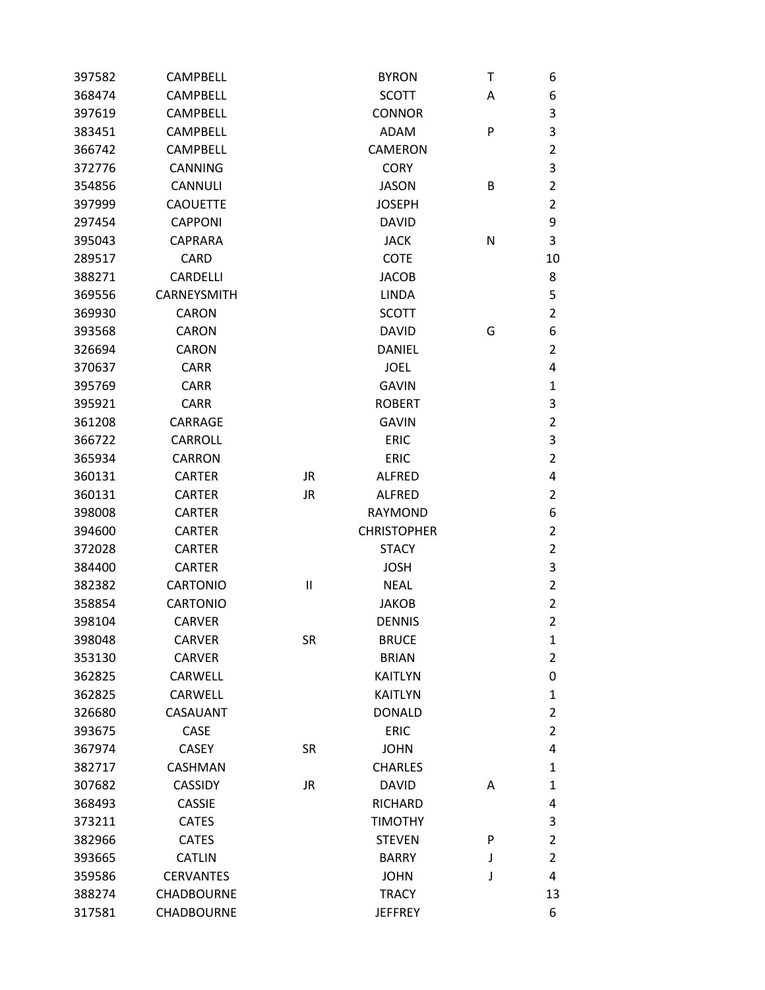| 397582 | <b>CAMPBELL</b>   |              | <b>BYRON</b>       | Τ | 6                       |
|--------|-------------------|--------------|--------------------|---|-------------------------|
| 368474 | <b>CAMPBELL</b>   |              | <b>SCOTT</b>       | Α | 6                       |
| 397619 | <b>CAMPBELL</b>   |              | <b>CONNOR</b>      |   | 3                       |
| 383451 | <b>CAMPBELL</b>   |              | <b>ADAM</b>        | P | $\overline{\mathbf{3}}$ |
| 366742 | <b>CAMPBELL</b>   |              | <b>CAMERON</b>     |   | $\overline{2}$          |
| 372776 | <b>CANNING</b>    |              | <b>CORY</b>        |   | 3                       |
| 354856 | <b>CANNULI</b>    |              | <b>JASON</b>       | В | $\overline{2}$          |
| 397999 | <b>CAOUETTE</b>   |              | <b>JOSEPH</b>      |   | $\overline{2}$          |
| 297454 | <b>CAPPONI</b>    |              | <b>DAVID</b>       |   | 9                       |
| 395043 | <b>CAPRARA</b>    |              | <b>JACK</b>        | N | 3                       |
| 289517 | <b>CARD</b>       |              | <b>COTE</b>        |   | 10                      |
| 388271 | <b>CARDELLI</b>   |              | <b>JACOB</b>       |   | 8                       |
| 369556 | CARNEYSMITH       |              | <b>LINDA</b>       |   | 5                       |
| 369930 | <b>CARON</b>      |              | <b>SCOTT</b>       |   | $\overline{2}$          |
| 393568 | <b>CARON</b>      |              | <b>DAVID</b>       | G | 6                       |
| 326694 | <b>CARON</b>      |              | <b>DANIEL</b>      |   | $\overline{2}$          |
| 370637 | <b>CARR</b>       |              | <b>JOEL</b>        |   | 4                       |
| 395769 | <b>CARR</b>       |              | <b>GAVIN</b>       |   | $\mathbf 1$             |
| 395921 | <b>CARR</b>       |              | <b>ROBERT</b>      |   | 3                       |
| 361208 | CARRAGE           |              | <b>GAVIN</b>       |   | $\overline{2}$          |
| 366722 | CARROLL           |              | <b>ERIC</b>        |   | $\mathsf 3$             |
| 365934 | <b>CARRON</b>     |              | <b>ERIC</b>        |   | $\overline{2}$          |
| 360131 | <b>CARTER</b>     | <b>JR</b>    | <b>ALFRED</b>      |   | 4                       |
| 360131 | <b>CARTER</b>     | <b>JR</b>    | <b>ALFRED</b>      |   | $\overline{2}$          |
| 398008 | <b>CARTER</b>     |              | <b>RAYMOND</b>     |   | 6                       |
| 394600 | <b>CARTER</b>     |              | <b>CHRISTOPHER</b> |   | $\overline{2}$          |
| 372028 | <b>CARTER</b>     |              | <b>STACY</b>       |   | $\overline{2}$          |
| 384400 | <b>CARTER</b>     |              | <b>JOSH</b>        |   | 3                       |
| 382382 | <b>CARTONIO</b>   | $\mathbf{I}$ | <b>NEAL</b>        |   | $\overline{2}$          |
| 358854 | <b>CARTONIO</b>   |              | <b>JAKOB</b>       |   | $\overline{2}$          |
| 398104 | <b>CARVER</b>     |              | <b>DENNIS</b>      |   | $\overline{2}$          |
| 398048 | <b>CARVER</b>     | <b>SR</b>    | <b>BRUCE</b>       |   | $\mathbf{1}$            |
| 353130 | <b>CARVER</b>     |              | <b>BRIAN</b>       |   | $\overline{2}$          |
| 362825 | CARWELL           |              | <b>KAITLYN</b>     |   | $\mathbf 0$             |
| 362825 | CARWELL           |              | <b>KAITLYN</b>     |   | $\mathbf{1}$            |
| 326680 | CASAUANT          |              | <b>DONALD</b>      |   | $\overline{2}$          |
| 393675 | CASE              |              | <b>ERIC</b>        |   | $\overline{2}$          |
| 367974 | <b>CASEY</b>      | <b>SR</b>    | <b>JOHN</b>        |   | $\overline{\mathbf{4}}$ |
| 382717 | <b>CASHMAN</b>    |              | <b>CHARLES</b>     |   | $\mathbf{1}$            |
| 307682 | <b>CASSIDY</b>    | <b>JR</b>    | <b>DAVID</b>       | A | $\mathbf 1$             |
| 368493 | <b>CASSIE</b>     |              | <b>RICHARD</b>     |   | 4                       |
| 373211 | <b>CATES</b>      |              | <b>TIMOTHY</b>     |   | 3                       |
| 382966 | <b>CATES</b>      |              | <b>STEVEN</b>      | P | $\overline{2}$          |
| 393665 | <b>CATLIN</b>     |              | <b>BARRY</b>       | J | $\overline{2}$          |
| 359586 | <b>CERVANTES</b>  |              | <b>JOHN</b>        | J | 4                       |
| 388274 | <b>CHADBOURNE</b> |              | <b>TRACY</b>       |   | 13                      |
| 317581 | <b>CHADBOURNE</b> |              | <b>JEFFREY</b>     |   | 6                       |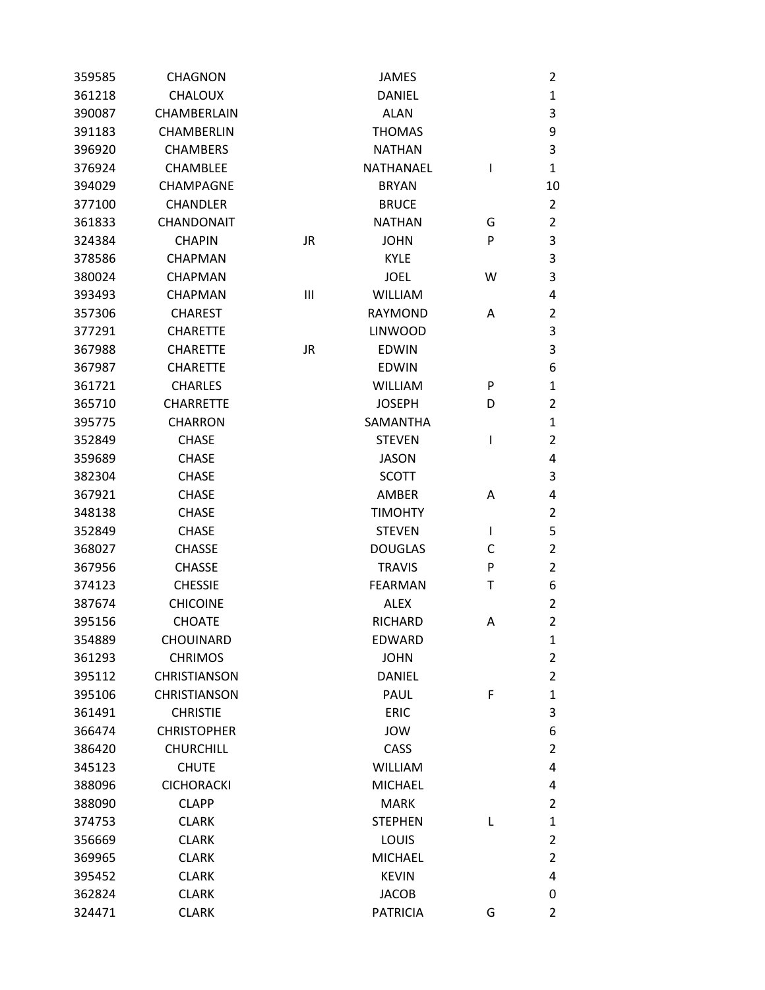| 359585 | <b>CHAGNON</b>      |                | <b>JAMES</b>    |              | $\overline{2}$ |
|--------|---------------------|----------------|-----------------|--------------|----------------|
| 361218 | CHALOUX             |                | <b>DANIEL</b>   |              | $\mathbf{1}$   |
| 390087 | CHAMBERLAIN         |                | <b>ALAN</b>     |              | 3              |
| 391183 | CHAMBERLIN          |                | <b>THOMAS</b>   |              | 9              |
| 396920 | <b>CHAMBERS</b>     |                | <b>NATHAN</b>   |              | 3              |
| 376924 | <b>CHAMBLEE</b>     |                | NATHANAEL       | $\mathsf{l}$ | $\mathbf{1}$   |
| 394029 | CHAMPAGNE           |                | <b>BRYAN</b>    |              | 10             |
| 377100 | <b>CHANDLER</b>     |                | <b>BRUCE</b>    |              | $\overline{2}$ |
| 361833 | CHANDONAIT          |                | <b>NATHAN</b>   | G            | $\overline{2}$ |
| 324384 | <b>CHAPIN</b>       | <b>JR</b>      | <b>JOHN</b>     | P            | 3              |
| 378586 | <b>CHAPMAN</b>      |                | <b>KYLE</b>     |              | 3              |
| 380024 | <b>CHAPMAN</b>      |                | <b>JOEL</b>     | W            | 3              |
| 393493 | <b>CHAPMAN</b>      | $\mathbf{III}$ | <b>WILLIAM</b>  |              | 4              |
| 357306 | <b>CHAREST</b>      |                | <b>RAYMOND</b>  | A            | $\overline{2}$ |
| 377291 | <b>CHARETTE</b>     |                | <b>LINWOOD</b>  |              | 3              |
| 367988 | <b>CHARETTE</b>     | JR             | <b>EDWIN</b>    |              | 3              |
| 367987 | <b>CHARETTE</b>     |                | <b>EDWIN</b>    |              | 6              |
| 361721 | <b>CHARLES</b>      |                | <b>WILLIAM</b>  | P            | $\mathbf{1}$   |
| 365710 | <b>CHARRETTE</b>    |                | <b>JOSEPH</b>   | D            | $\overline{2}$ |
| 395775 | <b>CHARRON</b>      |                | <b>SAMANTHA</b> |              | $\mathbf{1}$   |
| 352849 | <b>CHASE</b>        |                | <b>STEVEN</b>   | I            | $\overline{2}$ |
| 359689 | <b>CHASE</b>        |                | <b>JASON</b>    |              | 4              |
| 382304 | <b>CHASE</b>        |                | <b>SCOTT</b>    |              | 3              |
| 367921 | <b>CHASE</b>        |                | AMBER           | Α            | 4              |
| 348138 | <b>CHASE</b>        |                | <b>TIMOHTY</b>  |              | $\overline{2}$ |
| 352849 | <b>CHASE</b>        |                | <b>STEVEN</b>   | I            | 5              |
| 368027 | <b>CHASSE</b>       |                | <b>DOUGLAS</b>  | C            | $\overline{2}$ |
| 367956 | <b>CHASSE</b>       |                | <b>TRAVIS</b>   | P            | $\overline{2}$ |
| 374123 | <b>CHESSIE</b>      |                | <b>FEARMAN</b>  | Τ            | 6              |
| 387674 | <b>CHICOINE</b>     |                | <b>ALEX</b>     |              | $\overline{2}$ |
| 395156 | <b>CHOATE</b>       |                | <b>RICHARD</b>  | Α            | $\overline{2}$ |
| 354889 | <b>CHOUINARD</b>    |                | <b>EDWARD</b>   |              | $\mathbf{1}$   |
| 361293 | <b>CHRIMOS</b>      |                | <b>JOHN</b>     |              | $\overline{2}$ |
| 395112 | <b>CHRISTIANSON</b> |                | <b>DANIEL</b>   |              | $\overline{2}$ |
| 395106 | <b>CHRISTIANSON</b> |                | <b>PAUL</b>     | F            | $\mathbf{1}$   |
| 361491 | <b>CHRISTIE</b>     |                | <b>ERIC</b>     |              | 3              |
| 366474 | <b>CHRISTOPHER</b>  |                | JOW             |              | 6              |
| 386420 | <b>CHURCHILL</b>    |                | CASS            |              | $\overline{2}$ |
| 345123 | <b>CHUTE</b>        |                | <b>WILLIAM</b>  |              | 4              |
| 388096 | <b>CICHORACKI</b>   |                | <b>MICHAEL</b>  |              | 4              |
| 388090 | <b>CLAPP</b>        |                | <b>MARK</b>     |              | $\overline{2}$ |
| 374753 | <b>CLARK</b>        |                | <b>STEPHEN</b>  | L            | $\mathbf{1}$   |
| 356669 | <b>CLARK</b>        |                | LOUIS           |              | $\overline{2}$ |
| 369965 | <b>CLARK</b>        |                | <b>MICHAEL</b>  |              | $\overline{2}$ |
| 395452 | <b>CLARK</b>        |                | <b>KEVIN</b>    |              | 4              |
| 362824 | <b>CLARK</b>        |                | <b>JACOB</b>    |              | 0              |
| 324471 | <b>CLARK</b>        |                | <b>PATRICIA</b> | G            | $\overline{2}$ |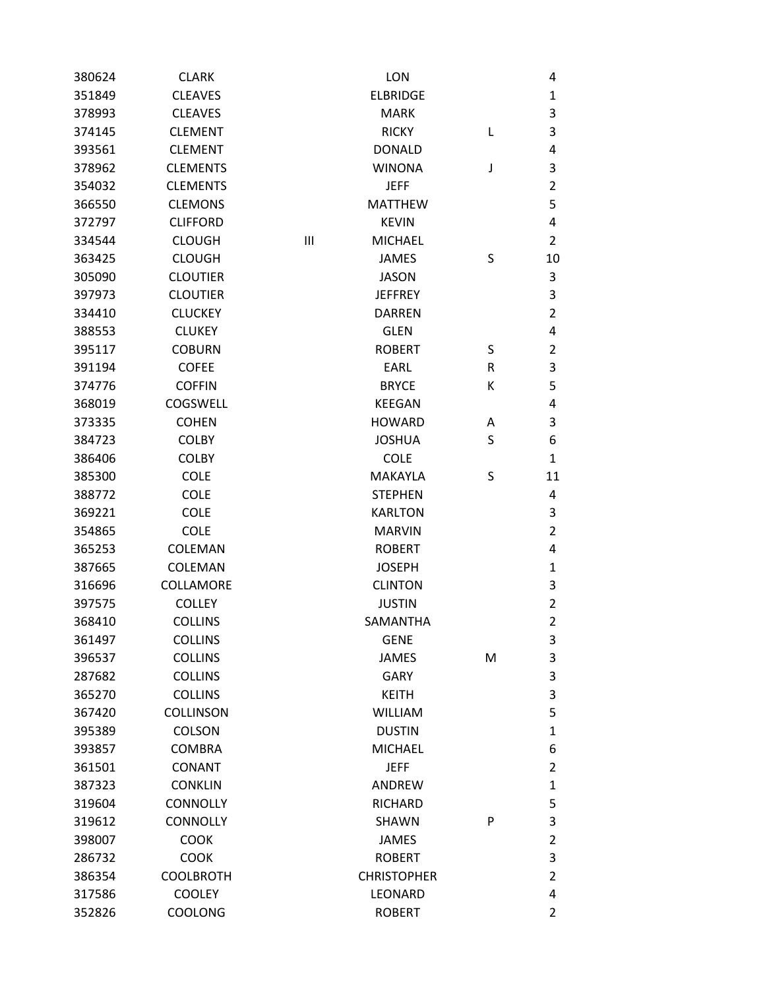| 380624 | <b>CLARK</b>     |   | <b>LON</b>         |   | 4              |
|--------|------------------|---|--------------------|---|----------------|
| 351849 | <b>CLEAVES</b>   |   | <b>ELBRIDGE</b>    |   | $\mathbf{1}$   |
| 378993 | <b>CLEAVES</b>   |   | <b>MARK</b>        |   | 3              |
| 374145 | <b>CLEMENT</b>   |   | <b>RICKY</b>       | L | 3              |
| 393561 | <b>CLEMENT</b>   |   | <b>DONALD</b>      |   | 4              |
| 378962 | <b>CLEMENTS</b>  |   | <b>WINONA</b>      | J | 3              |
| 354032 | <b>CLEMENTS</b>  |   | <b>JEFF</b>        |   | $\overline{2}$ |
| 366550 | <b>CLEMONS</b>   |   | <b>MATTHEW</b>     |   | 5              |
| 372797 | <b>CLIFFORD</b>  |   | <b>KEVIN</b>       |   | 4              |
| 334544 | <b>CLOUGH</b>    | Ш | <b>MICHAEL</b>     |   | $\overline{2}$ |
| 363425 | <b>CLOUGH</b>    |   | <b>JAMES</b>       | S | 10             |
| 305090 | <b>CLOUTIER</b>  |   | <b>JASON</b>       |   | 3              |
| 397973 | <b>CLOUTIER</b>  |   | <b>JEFFREY</b>     |   | 3              |
| 334410 | <b>CLUCKEY</b>   |   | <b>DARREN</b>      |   | $\overline{2}$ |
| 388553 | <b>CLUKEY</b>    |   | <b>GLEN</b>        |   | 4              |
| 395117 | <b>COBURN</b>    |   | <b>ROBERT</b>      | S | $\overline{2}$ |
| 391194 | <b>COFEE</b>     |   | EARL               | R | 3              |
| 374776 | <b>COFFIN</b>    |   | <b>BRYCE</b>       | Κ | 5              |
| 368019 | COGSWELL         |   | <b>KEEGAN</b>      |   | 4              |
| 373335 | <b>COHEN</b>     |   | <b>HOWARD</b>      | Α | 3              |
| 384723 | <b>COLBY</b>     |   | <b>JOSHUA</b>      | S | 6              |
| 386406 | <b>COLBY</b>     |   | <b>COLE</b>        |   | $\mathbf{1}$   |
| 385300 | <b>COLE</b>      |   | MAKAYLA            | S | 11             |
| 388772 | <b>COLE</b>      |   | <b>STEPHEN</b>     |   | 4              |
| 369221 | <b>COLE</b>      |   | <b>KARLTON</b>     |   | 3              |
| 354865 | <b>COLE</b>      |   | <b>MARVIN</b>      |   | $\overline{2}$ |
| 365253 | <b>COLEMAN</b>   |   | <b>ROBERT</b>      |   | 4              |
| 387665 | COLEMAN          |   | <b>JOSEPH</b>      |   | $\mathbf{1}$   |
| 316696 | COLLAMORE        |   | <b>CLINTON</b>     |   | 3              |
| 397575 | <b>COLLEY</b>    |   | <b>JUSTIN</b>      |   | $\overline{2}$ |
| 368410 | <b>COLLINS</b>   |   | SAMANTHA           |   | $\overline{2}$ |
| 361497 | <b>COLLINS</b>   |   | <b>GENE</b>        |   | 3              |
| 396537 | <b>COLLINS</b>   |   | <b>JAMES</b>       | M | 3              |
| 287682 | <b>COLLINS</b>   |   | <b>GARY</b>        |   | 3              |
| 365270 | <b>COLLINS</b>   |   | <b>KEITH</b>       |   | 3              |
| 367420 | <b>COLLINSON</b> |   | <b>WILLIAM</b>     |   | 5              |
| 395389 | <b>COLSON</b>    |   | <b>DUSTIN</b>      |   | $\mathbf{1}$   |
| 393857 | <b>COMBRA</b>    |   | <b>MICHAEL</b>     |   | 6              |
| 361501 | <b>CONANT</b>    |   | <b>JEFF</b>        |   | $\overline{2}$ |
| 387323 | <b>CONKLIN</b>   |   | ANDREW             |   | $\mathbf{1}$   |
| 319604 | <b>CONNOLLY</b>  |   | <b>RICHARD</b>     |   | 5              |
| 319612 | <b>CONNOLLY</b>  |   | SHAWN              | P | 3              |
| 398007 | <b>COOK</b>      |   | <b>JAMES</b>       |   | $\overline{2}$ |
| 286732 | <b>COOK</b>      |   | <b>ROBERT</b>      |   | 3              |
| 386354 | <b>COOLBROTH</b> |   | <b>CHRISTOPHER</b> |   | $\overline{2}$ |
| 317586 | <b>COOLEY</b>    |   | LEONARD            |   | 4              |
| 352826 | COOLONG          |   | <b>ROBERT</b>      |   | $\overline{2}$ |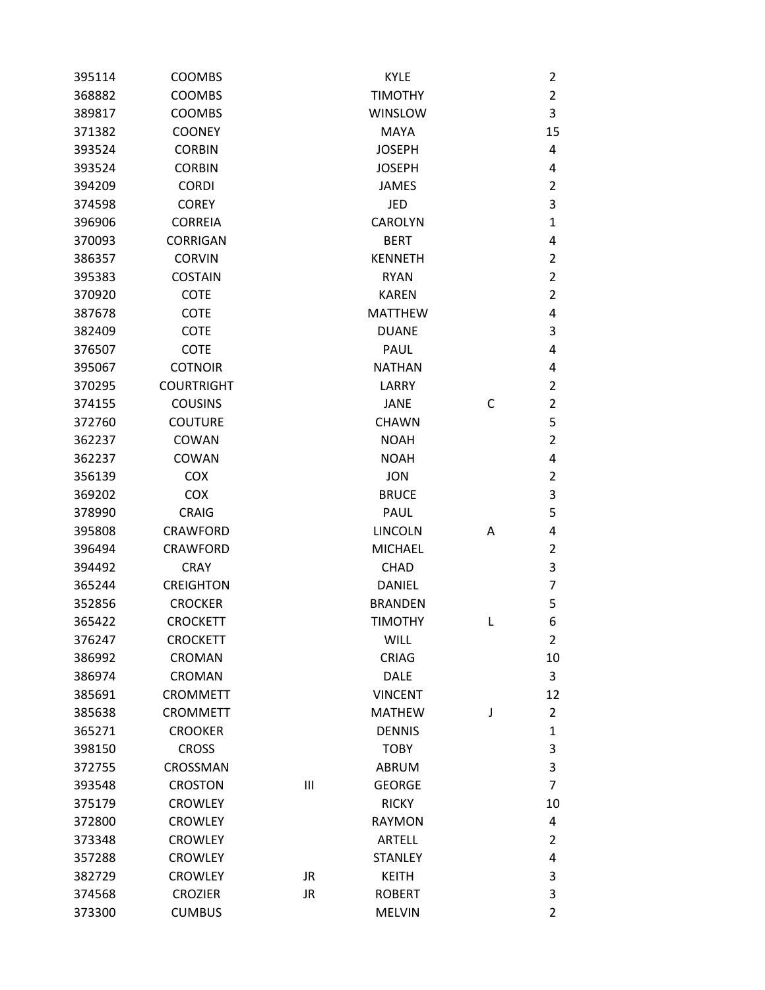| 395114 | <b>COOMBS</b>     |           | <b>KYLE</b>    |   | 2              |
|--------|-------------------|-----------|----------------|---|----------------|
| 368882 | <b>COOMBS</b>     |           | <b>TIMOTHY</b> |   | 2              |
| 389817 | <b>COOMBS</b>     |           | <b>WINSLOW</b> |   | 3              |
| 371382 | <b>COONEY</b>     |           | <b>MAYA</b>    |   | 15             |
| 393524 | <b>CORBIN</b>     |           | <b>JOSEPH</b>  |   | 4              |
| 393524 | <b>CORBIN</b>     |           | <b>JOSEPH</b>  |   | 4              |
| 394209 | <b>CORDI</b>      |           | <b>JAMES</b>   |   | 2              |
| 374598 | <b>COREY</b>      |           | JED            |   | 3              |
| 396906 | <b>CORREIA</b>    |           | <b>CAROLYN</b> |   | 1              |
| 370093 | <b>CORRIGAN</b>   |           | <b>BERT</b>    |   | 4              |
| 386357 | <b>CORVIN</b>     |           | <b>KENNETH</b> |   | 2              |
| 395383 | <b>COSTAIN</b>    |           | <b>RYAN</b>    |   | $\overline{2}$ |
| 370920 | <b>COTE</b>       |           | <b>KAREN</b>   |   | $\overline{2}$ |
| 387678 | <b>COTE</b>       |           | <b>MATTHEW</b> |   | 4              |
| 382409 | <b>COTE</b>       |           | <b>DUANE</b>   |   | 3              |
| 376507 | <b>COTE</b>       |           | PAUL           |   | 4              |
| 395067 | <b>COTNOIR</b>    |           | <b>NATHAN</b>  |   | 4              |
| 370295 | <b>COURTRIGHT</b> |           | LARRY          |   | 2              |
| 374155 | <b>COUSINS</b>    |           | <b>JANE</b>    | С | $\overline{2}$ |
| 372760 | <b>COUTURE</b>    |           | <b>CHAWN</b>   |   | 5              |
| 362237 | COWAN             |           | <b>NOAH</b>    |   | 2              |
| 362237 | COWAN             |           | <b>NOAH</b>    |   | 4              |
| 356139 | <b>COX</b>        |           | <b>JON</b>     |   | 2              |
| 369202 | <b>COX</b>        |           | <b>BRUCE</b>   |   | 3              |
| 378990 | <b>CRAIG</b>      |           | <b>PAUL</b>    |   | 5              |
| 395808 | <b>CRAWFORD</b>   |           | <b>LINCOLN</b> | A | 4              |
| 396494 | <b>CRAWFORD</b>   |           | <b>MICHAEL</b> |   | 2              |
| 394492 | <b>CRAY</b>       |           | <b>CHAD</b>    |   | 3              |
| 365244 | <b>CREIGHTON</b>  |           | <b>DANIEL</b>  |   | 7              |
| 352856 | <b>CROCKER</b>    |           | <b>BRANDEN</b> |   | 5              |
| 365422 | <b>CROCKETT</b>   |           | <b>TIMOTHY</b> | L | 6              |
| 376247 | <b>CROCKETT</b>   |           | <b>WILL</b>    |   | 2              |
| 386992 | CROMAN            |           | <b>CRIAG</b>   |   | 10             |
| 386974 | <b>CROMAN</b>     |           | <b>DALE</b>    |   | 3              |
| 385691 | <b>CROMMETT</b>   |           | <b>VINCENT</b> |   | 12             |
| 385638 | <b>CROMMETT</b>   |           | <b>MATHEW</b>  | J | 2              |
| 365271 | <b>CROOKER</b>    |           | <b>DENNIS</b>  |   | 1              |
| 398150 | <b>CROSS</b>      |           | <b>TOBY</b>    |   | 3              |
| 372755 | CROSSMAN          |           | <b>ABRUM</b>   |   | 3              |
| 393548 | <b>CROSTON</b>    | Ш         | <b>GEORGE</b>  |   | $\overline{7}$ |
| 375179 | <b>CROWLEY</b>    |           | <b>RICKY</b>   |   | 10             |
| 372800 | <b>CROWLEY</b>    |           | <b>RAYMON</b>  |   | 4              |
| 373348 | <b>CROWLEY</b>    |           | <b>ARTELL</b>  |   | 2              |
| 357288 | <b>CROWLEY</b>    |           | <b>STANLEY</b> |   | 4              |
| 382729 | <b>CROWLEY</b>    | <b>JR</b> | <b>KEITH</b>   |   | 3              |
| 374568 | <b>CROZIER</b>    | <b>JR</b> | <b>ROBERT</b>  |   | 3              |
| 373300 | <b>CUMBUS</b>     |           | <b>MELVIN</b>  |   | $\overline{2}$ |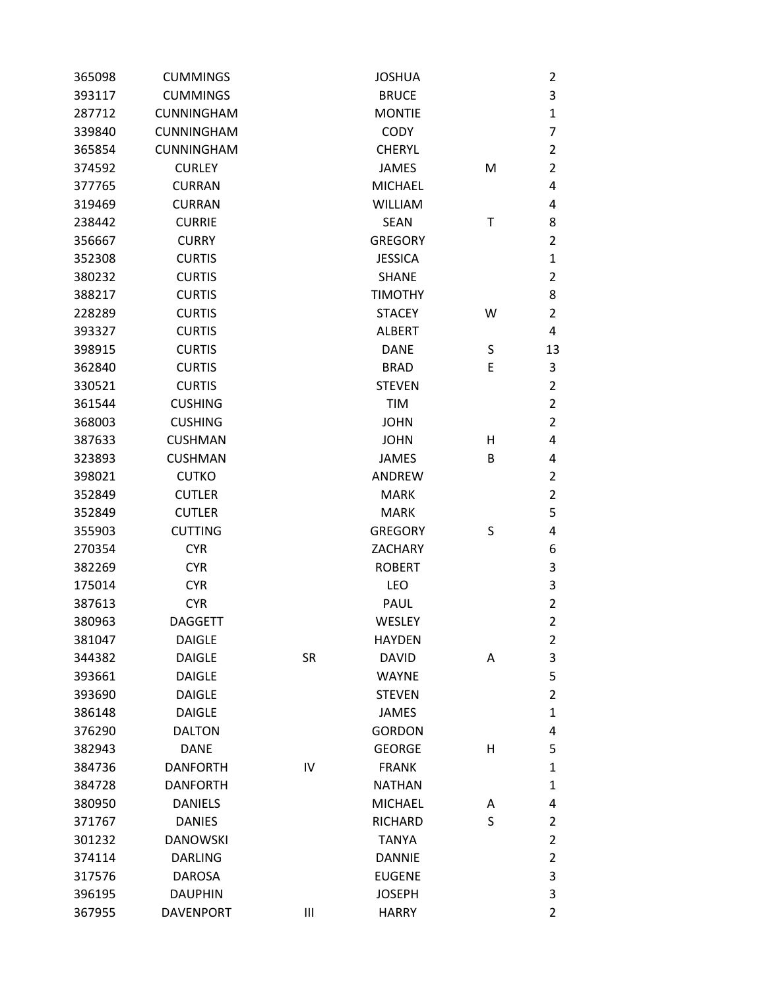| 365098 | <b>CUMMINGS</b>   |           | <b>JOSHUA</b>  |   | 2              |
|--------|-------------------|-----------|----------------|---|----------------|
| 393117 | <b>CUMMINGS</b>   |           | <b>BRUCE</b>   |   | 3              |
| 287712 | <b>CUNNINGHAM</b> |           | <b>MONTIE</b>  |   | $\mathbf{1}$   |
| 339840 | <b>CUNNINGHAM</b> |           | <b>CODY</b>    |   | $\overline{7}$ |
| 365854 | <b>CUNNINGHAM</b> |           | <b>CHERYL</b>  |   | $\overline{2}$ |
| 374592 | <b>CURLEY</b>     |           | <b>JAMES</b>   | M | $\overline{2}$ |
| 377765 | <b>CURRAN</b>     |           | <b>MICHAEL</b> |   | 4              |
| 319469 | <b>CURRAN</b>     |           | <b>WILLIAM</b> |   | 4              |
| 238442 | <b>CURRIE</b>     |           | <b>SEAN</b>    | Т | 8              |
| 356667 | <b>CURRY</b>      |           | <b>GREGORY</b> |   | $\overline{2}$ |
| 352308 | <b>CURTIS</b>     |           | <b>JESSICA</b> |   | $\mathbf{1}$   |
| 380232 | <b>CURTIS</b>     |           | <b>SHANE</b>   |   | $\overline{2}$ |
| 388217 | <b>CURTIS</b>     |           | <b>TIMOTHY</b> |   | 8              |
| 228289 | <b>CURTIS</b>     |           | <b>STACEY</b>  | w | $\overline{2}$ |
| 393327 | <b>CURTIS</b>     |           | <b>ALBERT</b>  |   | 4              |
| 398915 | <b>CURTIS</b>     |           | <b>DANE</b>    | S | 13             |
| 362840 | <b>CURTIS</b>     |           | <b>BRAD</b>    | E | 3              |
| 330521 | <b>CURTIS</b>     |           | <b>STEVEN</b>  |   | $\overline{2}$ |
| 361544 | <b>CUSHING</b>    |           | <b>TIM</b>     |   | $\overline{2}$ |
| 368003 | <b>CUSHING</b>    |           | <b>JOHN</b>    |   | $\overline{2}$ |
| 387633 | <b>CUSHMAN</b>    |           | <b>JOHN</b>    | н | 4              |
| 323893 | <b>CUSHMAN</b>    |           | <b>JAMES</b>   | B | 4              |
| 398021 | <b>CUTKO</b>      |           | ANDREW         |   | $\overline{2}$ |
| 352849 | <b>CUTLER</b>     |           | <b>MARK</b>    |   | $\overline{2}$ |
| 352849 | <b>CUTLER</b>     |           | <b>MARK</b>    |   | 5              |
| 355903 | <b>CUTTING</b>    |           | <b>GREGORY</b> | S | 4              |
| 270354 | <b>CYR</b>        |           | ZACHARY        |   | 6              |
| 382269 | <b>CYR</b>        |           | <b>ROBERT</b>  |   | $\mathsf 3$    |
| 175014 | <b>CYR</b>        |           | LEO            |   | 3              |
| 387613 | <b>CYR</b>        |           | <b>PAUL</b>    |   | $\overline{2}$ |
| 380963 | <b>DAGGETT</b>    |           | <b>WESLEY</b>  |   | $\overline{2}$ |
| 381047 | <b>DAIGLE</b>     |           | <b>HAYDEN</b>  |   | $\overline{2}$ |
| 344382 | <b>DAIGLE</b>     | <b>SR</b> | <b>DAVID</b>   | Α | 3              |
| 393661 | <b>DAIGLE</b>     |           | <b>WAYNE</b>   |   | 5              |
| 393690 | <b>DAIGLE</b>     |           | <b>STEVEN</b>  |   | $\overline{2}$ |
| 386148 | <b>DAIGLE</b>     |           | <b>JAMES</b>   |   | $\mathbf 1$    |
| 376290 | <b>DALTON</b>     |           | <b>GORDON</b>  |   | 4              |
| 382943 | <b>DANE</b>       |           | <b>GEORGE</b>  | н | 5              |
| 384736 | <b>DANFORTH</b>   | IV        | <b>FRANK</b>   |   | $\mathbf 1$    |
| 384728 | <b>DANFORTH</b>   |           | <b>NATHAN</b>  |   | $\mathbf{1}$   |
| 380950 | <b>DANIELS</b>    |           | <b>MICHAEL</b> | Α | 4              |
| 371767 | <b>DANIES</b>     |           | <b>RICHARD</b> | S | $\overline{2}$ |
| 301232 | <b>DANOWSKI</b>   |           | <b>TANYA</b>   |   | $\overline{2}$ |
| 374114 | <b>DARLING</b>    |           | <b>DANNIE</b>  |   | $\overline{2}$ |
| 317576 | <b>DAROSA</b>     |           | <b>EUGENE</b>  |   | 3              |
| 396195 | <b>DAUPHIN</b>    |           | <b>JOSEPH</b>  |   | $\mathsf 3$    |
| 367955 | <b>DAVENPORT</b>  | Ш         | <b>HARRY</b>   |   | $\overline{2}$ |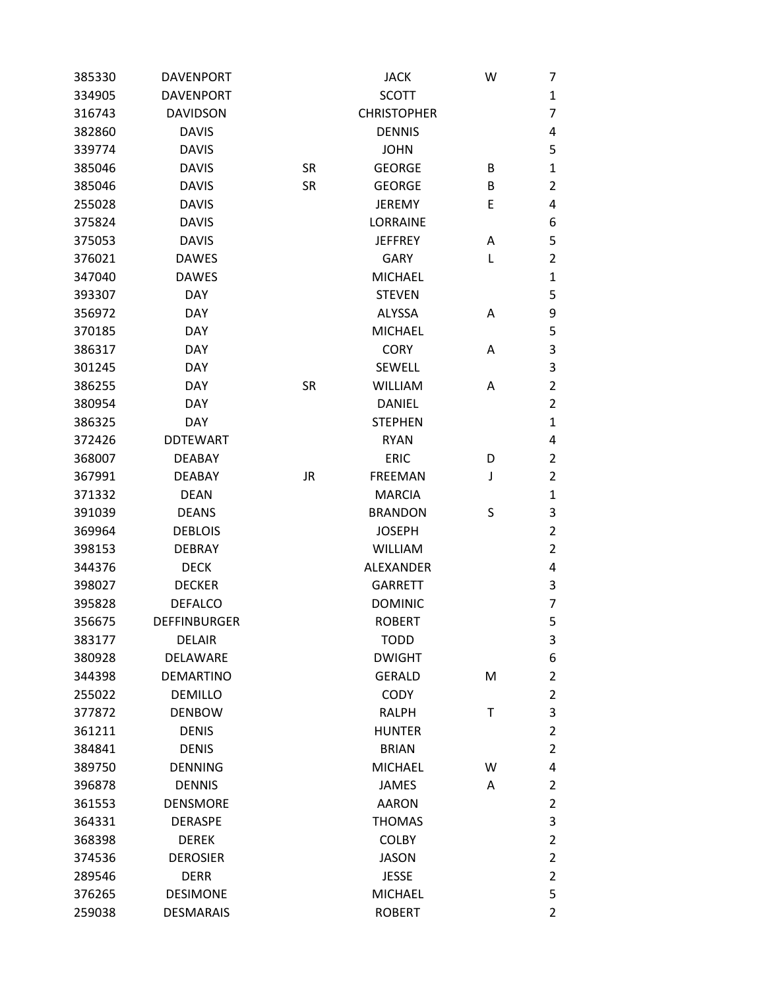| 385330 | <b>DAVENPORT</b>    |           | <b>JACK</b>        | W | 7                       |
|--------|---------------------|-----------|--------------------|---|-------------------------|
| 334905 | <b>DAVENPORT</b>    |           | <b>SCOTT</b>       |   | $\mathbf{1}$            |
| 316743 | <b>DAVIDSON</b>     |           | <b>CHRISTOPHER</b> |   | 7                       |
| 382860 | <b>DAVIS</b>        |           | <b>DENNIS</b>      |   | 4                       |
| 339774 | <b>DAVIS</b>        |           | <b>JOHN</b>        |   | 5                       |
| 385046 | <b>DAVIS</b>        | <b>SR</b> | <b>GEORGE</b>      | B | $\mathbf{1}$            |
| 385046 | <b>DAVIS</b>        | <b>SR</b> | <b>GEORGE</b>      | B | $\overline{2}$          |
| 255028 | <b>DAVIS</b>        |           | <b>JEREMY</b>      | Ε | 4                       |
| 375824 | <b>DAVIS</b>        |           | <b>LORRAINE</b>    |   | 6                       |
| 375053 | <b>DAVIS</b>        |           | <b>JEFFREY</b>     | Α | 5                       |
| 376021 | <b>DAWES</b>        |           | <b>GARY</b>        | L | $\overline{2}$          |
| 347040 | <b>DAWES</b>        |           | <b>MICHAEL</b>     |   | $\mathbf{1}$            |
| 393307 | <b>DAY</b>          |           | <b>STEVEN</b>      |   | 5                       |
| 356972 | <b>DAY</b>          |           | <b>ALYSSA</b>      | Α | 9                       |
| 370185 | <b>DAY</b>          |           | <b>MICHAEL</b>     |   | 5                       |
| 386317 | <b>DAY</b>          |           | <b>CORY</b>        | Α | 3                       |
| 301245 | <b>DAY</b>          |           | <b>SEWELL</b>      |   | 3                       |
| 386255 | <b>DAY</b>          | <b>SR</b> | <b>WILLIAM</b>     | A | $\overline{\mathbf{c}}$ |
| 380954 | <b>DAY</b>          |           | <b>DANIEL</b>      |   | $\overline{2}$          |
| 386325 | <b>DAY</b>          |           | <b>STEPHEN</b>     |   | $\mathbf{1}$            |
| 372426 | <b>DDTEWART</b>     |           | <b>RYAN</b>        |   | 4                       |
| 368007 | <b>DEABAY</b>       |           | <b>ERIC</b>        | D | $\overline{2}$          |
| 367991 | <b>DEABAY</b>       | <b>JR</b> | <b>FREEMAN</b>     | J | $\overline{2}$          |
| 371332 | <b>DEAN</b>         |           | <b>MARCIA</b>      |   | $\mathbf{1}$            |
| 391039 | <b>DEANS</b>        |           | <b>BRANDON</b>     | S | 3                       |
| 369964 | <b>DEBLOIS</b>      |           | <b>JOSEPH</b>      |   | $\overline{2}$          |
| 398153 | <b>DEBRAY</b>       |           | <b>WILLIAM</b>     |   | $\overline{2}$          |
| 344376 | <b>DECK</b>         |           | <b>ALEXANDER</b>   |   | 4                       |
| 398027 | <b>DECKER</b>       |           | <b>GARRETT</b>     |   | 3                       |
| 395828 | <b>DEFALCO</b>      |           | <b>DOMINIC</b>     |   | 7                       |
| 356675 | <b>DEFFINBURGER</b> |           | <b>ROBERT</b>      |   | 5                       |
| 383177 | <b>DELAIR</b>       |           | <b>TODD</b>        |   | 3                       |
| 380928 | DELAWARE            |           | <b>DWIGHT</b>      |   | 6                       |
| 344398 | <b>DEMARTINO</b>    |           | <b>GERALD</b>      | M | $\overline{2}$          |
| 255022 | <b>DEMILLO</b>      |           | <b>CODY</b>        |   | $\overline{2}$          |
| 377872 | <b>DENBOW</b>       |           | <b>RALPH</b>       | Τ | 3                       |
| 361211 | <b>DENIS</b>        |           | <b>HUNTER</b>      |   | 2                       |
| 384841 | <b>DENIS</b>        |           | <b>BRIAN</b>       |   | $\overline{2}$          |
| 389750 | <b>DENNING</b>      |           | <b>MICHAEL</b>     | W | 4                       |
| 396878 | <b>DENNIS</b>       |           | <b>JAMES</b>       | A | 2                       |
| 361553 | <b>DENSMORE</b>     |           | <b>AARON</b>       |   | $\overline{2}$          |
| 364331 | <b>DERASPE</b>      |           | <b>THOMAS</b>      |   | 3                       |
| 368398 | <b>DEREK</b>        |           | <b>COLBY</b>       |   | $\overline{2}$          |
| 374536 | <b>DEROSIER</b>     |           | <b>JASON</b>       |   | $\overline{2}$          |
| 289546 | <b>DERR</b>         |           | <b>JESSE</b>       |   | $\overline{2}$          |
| 376265 | <b>DESIMONE</b>     |           | <b>MICHAEL</b>     |   | 5                       |
| 259038 | <b>DESMARAIS</b>    |           | <b>ROBERT</b>      |   | $\overline{2}$          |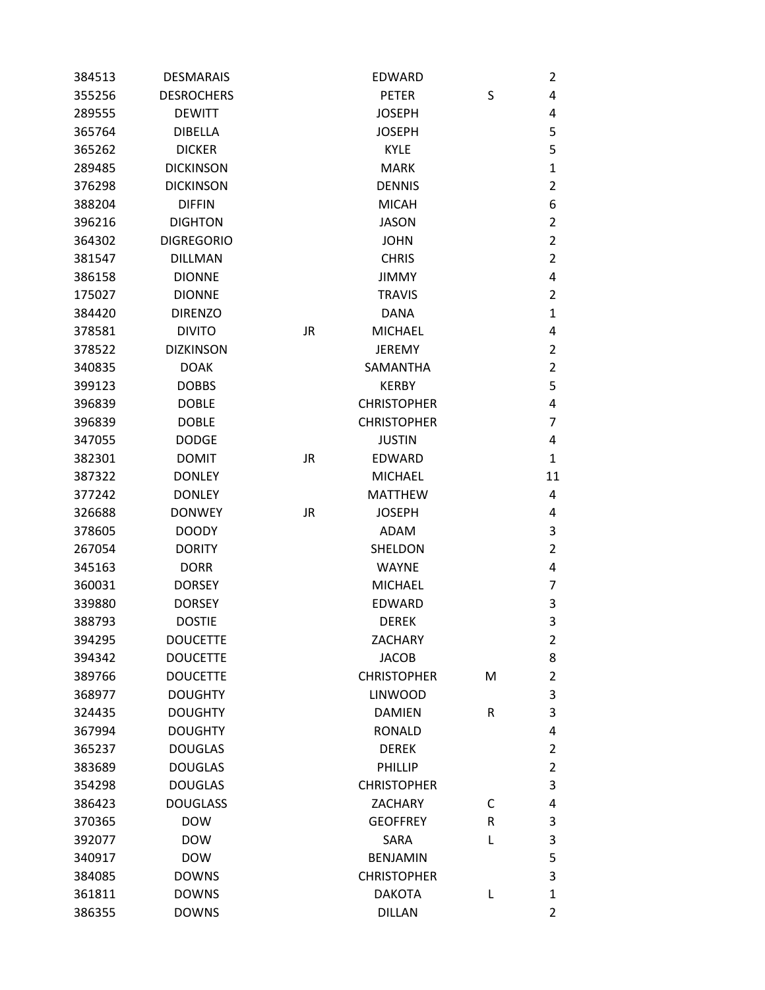| 384513 | <b>DESMARAIS</b>  |           | <b>EDWARD</b>      |   | 2              |
|--------|-------------------|-----------|--------------------|---|----------------|
| 355256 | <b>DESROCHERS</b> |           | <b>PETER</b>       | S | 4              |
| 289555 | <b>DEWITT</b>     |           | <b>JOSEPH</b>      |   | 4              |
| 365764 | <b>DIBELLA</b>    |           | <b>JOSEPH</b>      |   | 5              |
| 365262 | <b>DICKER</b>     |           | <b>KYLE</b>        |   | 5              |
| 289485 | <b>DICKINSON</b>  |           | <b>MARK</b>        |   | 1              |
| 376298 | <b>DICKINSON</b>  |           | <b>DENNIS</b>      |   | 2              |
| 388204 | <b>DIFFIN</b>     |           | <b>MICAH</b>       |   | 6              |
| 396216 | <b>DIGHTON</b>    |           | <b>JASON</b>       |   | $\overline{2}$ |
| 364302 | <b>DIGREGORIO</b> |           | <b>JOHN</b>        |   | $\overline{2}$ |
| 381547 | <b>DILLMAN</b>    |           | <b>CHRIS</b>       |   | 2              |
| 386158 | <b>DIONNE</b>     |           | <b>JIMMY</b>       |   | 4              |
| 175027 | <b>DIONNE</b>     |           | <b>TRAVIS</b>      |   | 2              |
| 384420 | <b>DIRENZO</b>    |           | <b>DANA</b>        |   | 1              |
| 378581 | <b>DIVITO</b>     | <b>JR</b> | <b>MICHAEL</b>     |   | 4              |
| 378522 | <b>DIZKINSON</b>  |           | <b>JEREMY</b>      |   | $\overline{2}$ |
| 340835 | <b>DOAK</b>       |           | <b>SAMANTHA</b>    |   | 2              |
| 399123 | <b>DOBBS</b>      |           | <b>KERBY</b>       |   | 5              |
| 396839 | <b>DOBLE</b>      |           | <b>CHRISTOPHER</b> |   | 4              |
| 396839 | <b>DOBLE</b>      |           | <b>CHRISTOPHER</b> |   | 7              |
| 347055 | <b>DODGE</b>      |           | <b>JUSTIN</b>      |   | 4              |
| 382301 | <b>DOMIT</b>      | <b>JR</b> | <b>EDWARD</b>      |   | 1              |
| 387322 | <b>DONLEY</b>     |           | <b>MICHAEL</b>     |   | 11             |
| 377242 | <b>DONLEY</b>     |           | <b>MATTHEW</b>     |   | 4              |
| 326688 | <b>DONWEY</b>     | <b>JR</b> | <b>JOSEPH</b>      |   | 4              |
| 378605 | <b>DOODY</b>      |           | <b>ADAM</b>        |   | 3              |
| 267054 | <b>DORITY</b>     |           | SHELDON            |   | $\overline{2}$ |
| 345163 | <b>DORR</b>       |           | <b>WAYNE</b>       |   | 4              |
| 360031 | <b>DORSEY</b>     |           | <b>MICHAEL</b>     |   | 7              |
| 339880 | <b>DORSEY</b>     |           | <b>EDWARD</b>      |   | 3              |
| 388793 | <b>DOSTIE</b>     |           | <b>DEREK</b>       |   | 3              |
| 394295 | <b>DOUCETTE</b>   |           | <b>ZACHARY</b>     |   | 2              |
| 394342 | <b>DOUCETTE</b>   |           | <b>JACOB</b>       |   | 8              |
| 389766 | <b>DOUCETTE</b>   |           | <b>CHRISTOPHER</b> | M | $\overline{2}$ |
| 368977 | <b>DOUGHTY</b>    |           | <b>LINWOOD</b>     |   | 3              |
| 324435 | <b>DOUGHTY</b>    |           | <b>DAMIEN</b>      | R | 3              |
| 367994 | <b>DOUGHTY</b>    |           | <b>RONALD</b>      |   | 4              |
| 365237 | <b>DOUGLAS</b>    |           | <b>DEREK</b>       |   | 2              |
| 383689 | <b>DOUGLAS</b>    |           | PHILLIP            |   | 2              |
| 354298 | <b>DOUGLAS</b>    |           | <b>CHRISTOPHER</b> |   | 3              |
| 386423 | <b>DOUGLASS</b>   |           | <b>ZACHARY</b>     | С | 4              |
| 370365 | <b>DOW</b>        |           | <b>GEOFFREY</b>    | R | 3              |
| 392077 | <b>DOW</b>        |           | SARA               | Г | 3              |
| 340917 | <b>DOW</b>        |           | <b>BENJAMIN</b>    |   | 5              |
| 384085 | <b>DOWNS</b>      |           | <b>CHRISTOPHER</b> |   | 3              |
| 361811 | <b>DOWNS</b>      |           | <b>DAKOTA</b>      | L | 1              |
| 386355 | <b>DOWNS</b>      |           | <b>DILLAN</b>      |   | $\overline{2}$ |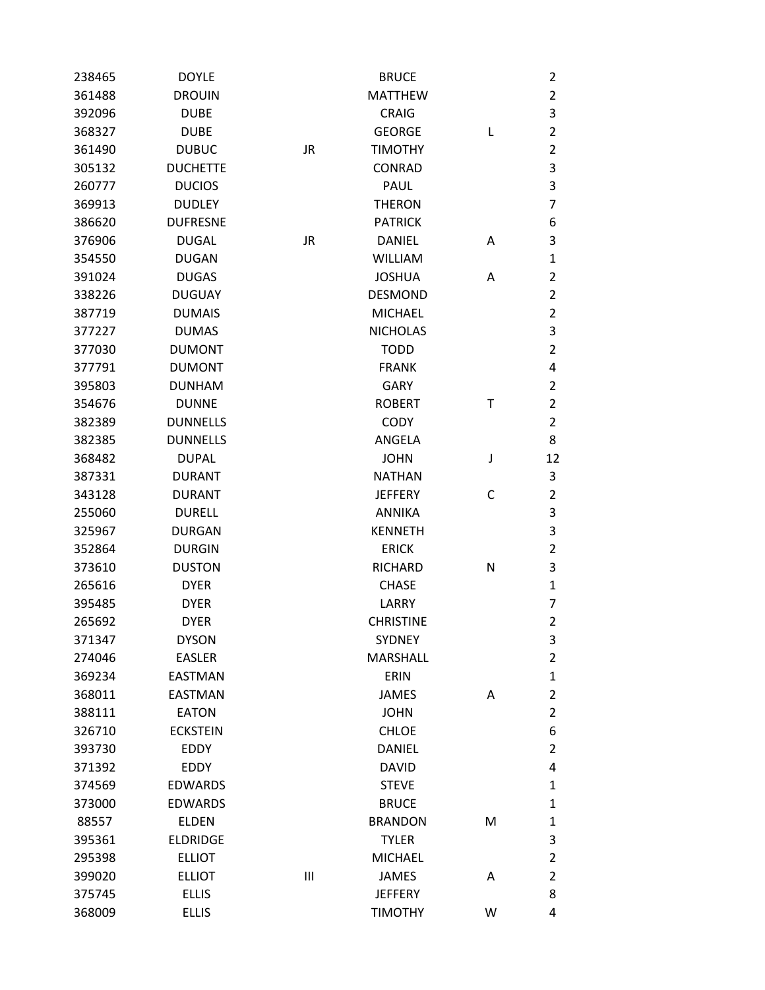| 238465 | <b>DOYLE</b>    |           | <b>BRUCE</b>     |   | $\overline{2}$ |
|--------|-----------------|-----------|------------------|---|----------------|
| 361488 | <b>DROUIN</b>   |           | <b>MATTHEW</b>   |   | $\overline{2}$ |
| 392096 | <b>DUBE</b>     |           | <b>CRAIG</b>     |   | 3              |
| 368327 | <b>DUBE</b>     |           | <b>GEORGE</b>    | L | $\overline{2}$ |
| 361490 | <b>DUBUC</b>    | <b>JR</b> | <b>TIMOTHY</b>   |   | $\overline{2}$ |
| 305132 | <b>DUCHETTE</b> |           | <b>CONRAD</b>    |   | 3              |
| 260777 | <b>DUCIOS</b>   |           | PAUL             |   | 3              |
| 369913 | <b>DUDLEY</b>   |           | <b>THERON</b>    |   | $\overline{7}$ |
| 386620 | <b>DUFRESNE</b> |           | <b>PATRICK</b>   |   | 6              |
| 376906 | <b>DUGAL</b>    | <b>JR</b> | <b>DANIEL</b>    | А | 3              |
| 354550 | <b>DUGAN</b>    |           | <b>WILLIAM</b>   |   | $\mathbf{1}$   |
| 391024 | <b>DUGAS</b>    |           | <b>JOSHUA</b>    | Α | $\overline{2}$ |
| 338226 | <b>DUGUAY</b>   |           | <b>DESMOND</b>   |   | $\overline{2}$ |
| 387719 | <b>DUMAIS</b>   |           | <b>MICHAEL</b>   |   | $\overline{2}$ |
| 377227 | <b>DUMAS</b>    |           | <b>NICHOLAS</b>  |   | 3              |
| 377030 | <b>DUMONT</b>   |           | <b>TODD</b>      |   | $\overline{2}$ |
| 377791 | <b>DUMONT</b>   |           | <b>FRANK</b>     |   | 4              |
| 395803 | <b>DUNHAM</b>   |           | <b>GARY</b>      |   | $\overline{2}$ |
| 354676 | <b>DUNNE</b>    |           | <b>ROBERT</b>    | Т | $\overline{2}$ |
| 382389 | <b>DUNNELLS</b> |           | <b>CODY</b>      |   | $\overline{2}$ |
| 382385 | <b>DUNNELLS</b> |           | ANGELA           |   | 8              |
| 368482 | <b>DUPAL</b>    |           | <b>JOHN</b>      | J | 12             |
| 387331 | <b>DURANT</b>   |           | <b>NATHAN</b>    |   | 3              |
| 343128 | <b>DURANT</b>   |           | <b>JEFFERY</b>   | С | $\overline{2}$ |
| 255060 | <b>DURELL</b>   |           | <b>ANNIKA</b>    |   | $\mathsf 3$    |
| 325967 | <b>DURGAN</b>   |           | <b>KENNETH</b>   |   | 3              |
| 352864 | <b>DURGIN</b>   |           | <b>ERICK</b>     |   | $\overline{2}$ |
| 373610 | <b>DUSTON</b>   |           | <b>RICHARD</b>   | N | 3              |
| 265616 | <b>DYER</b>     |           | <b>CHASE</b>     |   | $\mathbf{1}$   |
| 395485 | <b>DYER</b>     |           | LARRY            |   | 7              |
| 265692 | <b>DYER</b>     |           | <b>CHRISTINE</b> |   | $\overline{2}$ |
| 371347 | <b>DYSON</b>    |           | <b>SYDNEY</b>    |   | 3              |
| 274046 | <b>EASLER</b>   |           | <b>MARSHALL</b>  |   | $\overline{2}$ |
| 369234 | <b>EASTMAN</b>  |           | ERIN             |   | $\mathbf 1$    |
| 368011 | <b>EASTMAN</b>  |           | <b>JAMES</b>     | Α | $\overline{2}$ |
| 388111 | <b>EATON</b>    |           | <b>JOHN</b>      |   | $\overline{2}$ |
| 326710 | <b>ECKSTEIN</b> |           | <b>CHLOE</b>     |   | 6              |
| 393730 | <b>EDDY</b>     |           | <b>DANIEL</b>    |   | $\overline{2}$ |
| 371392 | EDDY            |           | <b>DAVID</b>     |   | 4              |
| 374569 | <b>EDWARDS</b>  |           | <b>STEVE</b>     |   | $\mathbf{1}$   |
| 373000 | <b>EDWARDS</b>  |           | <b>BRUCE</b>     |   | $\mathbf{1}$   |
| 88557  | <b>ELDEN</b>    |           | <b>BRANDON</b>   | M | $\mathbf{1}$   |
| 395361 | <b>ELDRIDGE</b> |           | <b>TYLER</b>     |   | 3              |
| 295398 | <b>ELLIOT</b>   |           | <b>MICHAEL</b>   |   | $\mathbf 2$    |
| 399020 | <b>ELLIOT</b>   | Ш         | <b>JAMES</b>     | Α | $\overline{2}$ |
| 375745 | <b>ELLIS</b>    |           | <b>JEFFERY</b>   |   | 8              |
| 368009 | <b>ELLIS</b>    |           | <b>TIMOTHY</b>   | W | 4              |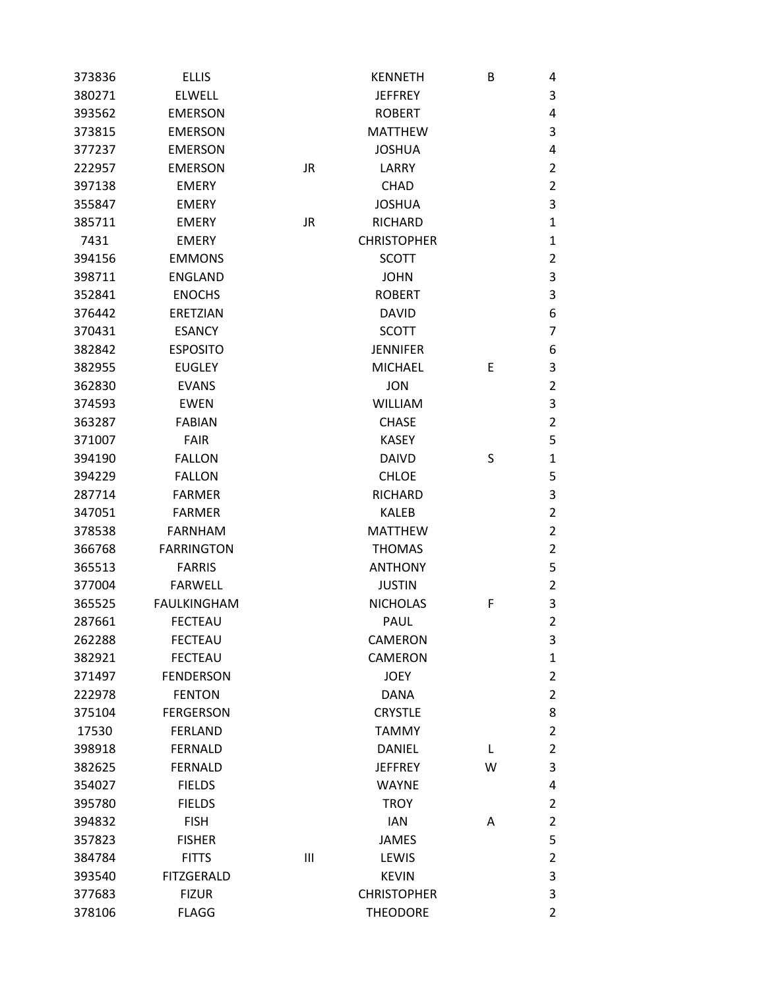| 373836 | <b>ELLIS</b>       |                | <b>KENNETH</b>     | В | 4              |
|--------|--------------------|----------------|--------------------|---|----------------|
| 380271 | <b>ELWELL</b>      |                | <b>JEFFREY</b>     |   | 3              |
| 393562 | <b>EMERSON</b>     |                | <b>ROBERT</b>      |   | 4              |
| 373815 | <b>EMERSON</b>     |                | <b>MATTHEW</b>     |   | 3              |
| 377237 | <b>EMERSON</b>     |                | <b>JOSHUA</b>      |   | 4              |
| 222957 | <b>EMERSON</b>     | <b>JR</b>      | LARRY              |   | 2              |
| 397138 | <b>EMERY</b>       |                | <b>CHAD</b>        |   | 2              |
| 355847 | <b>EMERY</b>       |                | <b>JOSHUA</b>      |   | 3              |
| 385711 | <b>EMERY</b>       | <b>JR</b>      | <b>RICHARD</b>     |   | 1              |
| 7431   | <b>EMERY</b>       |                | <b>CHRISTOPHER</b> |   | 1              |
| 394156 | <b>EMMONS</b>      |                | <b>SCOTT</b>       |   | 2              |
| 398711 | <b>ENGLAND</b>     |                | <b>JOHN</b>        |   | 3              |
| 352841 | <b>ENOCHS</b>      |                | <b>ROBERT</b>      |   | 3              |
| 376442 | <b>ERETZIAN</b>    |                | <b>DAVID</b>       |   | 6              |
| 370431 | <b>ESANCY</b>      |                | <b>SCOTT</b>       |   | 7              |
| 382842 | <b>ESPOSITO</b>    |                | <b>JENNIFER</b>    |   | 6              |
| 382955 | <b>EUGLEY</b>      |                | <b>MICHAEL</b>     | E | 3              |
| 362830 | <b>EVANS</b>       |                | <b>JON</b>         |   | $\overline{2}$ |
| 374593 | <b>EWEN</b>        |                | <b>WILLIAM</b>     |   | 3              |
| 363287 | <b>FABIAN</b>      |                | <b>CHASE</b>       |   | 2              |
| 371007 | <b>FAIR</b>        |                | <b>KASEY</b>       |   | 5              |
| 394190 | <b>FALLON</b>      |                | <b>DAIVD</b>       | S | 1              |
| 394229 | <b>FALLON</b>      |                | <b>CHLOE</b>       |   | 5              |
| 287714 | <b>FARMER</b>      |                | <b>RICHARD</b>     |   | 3              |
| 347051 | <b>FARMER</b>      |                | <b>KALEB</b>       |   | $\overline{2}$ |
| 378538 | <b>FARNHAM</b>     |                | <b>MATTHEW</b>     |   | 2              |
| 366768 | <b>FARRINGTON</b>  |                | <b>THOMAS</b>      |   | $\overline{2}$ |
| 365513 | <b>FARRIS</b>      |                | <b>ANTHONY</b>     |   | 5              |
| 377004 | <b>FARWELL</b>     |                | <b>JUSTIN</b>      |   | $\overline{2}$ |
| 365525 | <b>FAULKINGHAM</b> |                | <b>NICHOLAS</b>    | F | 3              |
| 287661 | <b>FECTEAU</b>     |                | <b>PAUL</b>        |   | $\overline{2}$ |
| 262288 | <b>FECTEAU</b>     |                | <b>CAMERON</b>     |   | 3              |
| 382921 | <b>FECTEAU</b>     |                | <b>CAMERON</b>     |   | $\mathbf{1}$   |
| 371497 | <b>FENDERSON</b>   |                | <b>JOEY</b>        |   | 2              |
| 222978 | <b>FENTON</b>      |                | <b>DANA</b>        |   | 2              |
| 375104 | <b>FERGERSON</b>   |                | <b>CRYSTLE</b>     |   | 8              |
| 17530  | <b>FERLAND</b>     |                | <b>TAMMY</b>       |   | 2              |
| 398918 | <b>FERNALD</b>     |                | <b>DANIEL</b>      | L | 2              |
| 382625 | <b>FERNALD</b>     |                | <b>JEFFREY</b>     | W | 3              |
| 354027 | <b>FIELDS</b>      |                | <b>WAYNE</b>       |   | 4              |
| 395780 | <b>FIELDS</b>      |                | <b>TROY</b>        |   | 2              |
| 394832 | <b>FISH</b>        |                | <b>IAN</b>         | Α | 2              |
| 357823 | <b>FISHER</b>      |                | <b>JAMES</b>       |   | 5              |
| 384784 | <b>FITTS</b>       | $\mathbf{III}$ | LEWIS              |   | $\overline{2}$ |
| 393540 | <b>FITZGERALD</b>  |                | <b>KEVIN</b>       |   | 3              |
| 377683 | <b>FIZUR</b>       |                | <b>CHRISTOPHER</b> |   | 3              |
| 378106 | <b>FLAGG</b>       |                | <b>THEODORE</b>    |   | $\overline{2}$ |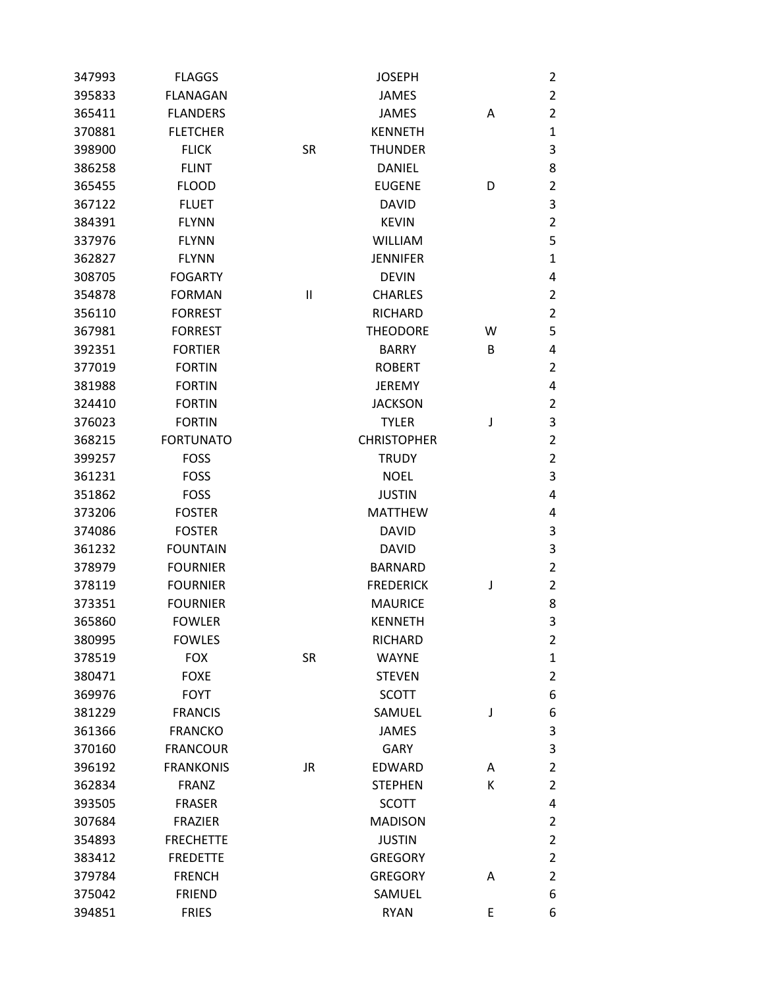| 347993 | <b>FLAGGS</b>    |              | <b>JOSEPH</b>      |   | $\overline{2}$ |
|--------|------------------|--------------|--------------------|---|----------------|
| 395833 | <b>FLANAGAN</b>  |              | <b>JAMES</b>       |   | $\overline{2}$ |
| 365411 | <b>FLANDERS</b>  |              | <b>JAMES</b>       | A | $\overline{2}$ |
| 370881 | <b>FLETCHER</b>  |              | <b>KENNETH</b>     |   | $\mathbf{1}$   |
| 398900 | <b>FLICK</b>     | <b>SR</b>    | <b>THUNDER</b>     |   | $\mathsf 3$    |
| 386258 | <b>FLINT</b>     |              | <b>DANIEL</b>      |   | 8              |
| 365455 | <b>FLOOD</b>     |              | <b>EUGENE</b>      | D | $\overline{2}$ |
| 367122 | <b>FLUET</b>     |              | <b>DAVID</b>       |   | $\mathsf 3$    |
| 384391 | <b>FLYNN</b>     |              | <b>KEVIN</b>       |   | $\overline{2}$ |
| 337976 | <b>FLYNN</b>     |              | <b>WILLIAM</b>     |   | 5              |
| 362827 | <b>FLYNN</b>     |              | <b>JENNIFER</b>    |   | 1              |
| 308705 | <b>FOGARTY</b>   |              | <b>DEVIN</b>       |   | 4              |
| 354878 | <b>FORMAN</b>    | $\mathbf{I}$ | <b>CHARLES</b>     |   | $\overline{2}$ |
| 356110 | <b>FORREST</b>   |              | <b>RICHARD</b>     |   | $\overline{2}$ |
| 367981 | <b>FORREST</b>   |              | <b>THEODORE</b>    | W | 5              |
| 392351 | <b>FORTIER</b>   |              | <b>BARRY</b>       | В | 4              |
| 377019 | <b>FORTIN</b>    |              | <b>ROBERT</b>      |   | $\overline{2}$ |
| 381988 | <b>FORTIN</b>    |              | <b>JEREMY</b>      |   | 4              |
| 324410 | <b>FORTIN</b>    |              | <b>JACKSON</b>     |   | $\overline{2}$ |
| 376023 | <b>FORTIN</b>    |              | <b>TYLER</b>       | J | $\mathsf 3$    |
| 368215 | <b>FORTUNATO</b> |              | <b>CHRISTOPHER</b> |   | $\overline{2}$ |
| 399257 | <b>FOSS</b>      |              | <b>TRUDY</b>       |   | $\overline{2}$ |
| 361231 | <b>FOSS</b>      |              | <b>NOEL</b>        |   | 3              |
| 351862 | <b>FOSS</b>      |              | <b>JUSTIN</b>      |   | 4              |
| 373206 | <b>FOSTER</b>    |              | <b>MATTHEW</b>     |   | 4              |
| 374086 | <b>FOSTER</b>    |              | <b>DAVID</b>       |   | 3              |
| 361232 | <b>FOUNTAIN</b>  |              | <b>DAVID</b>       |   | 3              |
| 378979 | <b>FOURNIER</b>  |              | <b>BARNARD</b>     |   | $\overline{2}$ |
| 378119 | <b>FOURNIER</b>  |              | <b>FREDERICK</b>   | J | $\overline{2}$ |
| 373351 | <b>FOURNIER</b>  |              | <b>MAURICE</b>     |   | 8              |
| 365860 | <b>FOWLER</b>    |              | <b>KENNETH</b>     |   | 3              |
| 380995 | <b>FOWLES</b>    |              | <b>RICHARD</b>     |   | $\overline{2}$ |
| 378519 | <b>FOX</b>       | <b>SR</b>    | <b>WAYNE</b>       |   | $\mathbf{1}$   |
| 380471 | <b>FOXE</b>      |              | <b>STEVEN</b>      |   | $\overline{2}$ |
| 369976 | <b>FOYT</b>      |              | <b>SCOTT</b>       |   | 6              |
| 381229 | <b>FRANCIS</b>   |              | SAMUEL             | J | 6              |
| 361366 | <b>FRANCKO</b>   |              | <b>JAMES</b>       |   | 3              |
| 370160 | <b>FRANCOUR</b>  |              | <b>GARY</b>        |   | 3              |
| 396192 | <b>FRANKONIS</b> | JR           | <b>EDWARD</b>      | A | $\overline{2}$ |
| 362834 | <b>FRANZ</b>     |              | <b>STEPHEN</b>     | К | $\overline{2}$ |
| 393505 | <b>FRASER</b>    |              | <b>SCOTT</b>       |   | 4              |
| 307684 | <b>FRAZIER</b>   |              | <b>MADISON</b>     |   | $\overline{2}$ |
| 354893 | <b>FRECHETTE</b> |              | <b>JUSTIN</b>      |   | $\overline{2}$ |
| 383412 | <b>FREDETTE</b>  |              | <b>GREGORY</b>     |   | $\mathbf 2$    |
| 379784 | <b>FRENCH</b>    |              | <b>GREGORY</b>     | A | $\overline{2}$ |
| 375042 | <b>FRIEND</b>    |              | SAMUEL             |   | 6              |
| 394851 | <b>FRIES</b>     |              | <b>RYAN</b>        | E | 6              |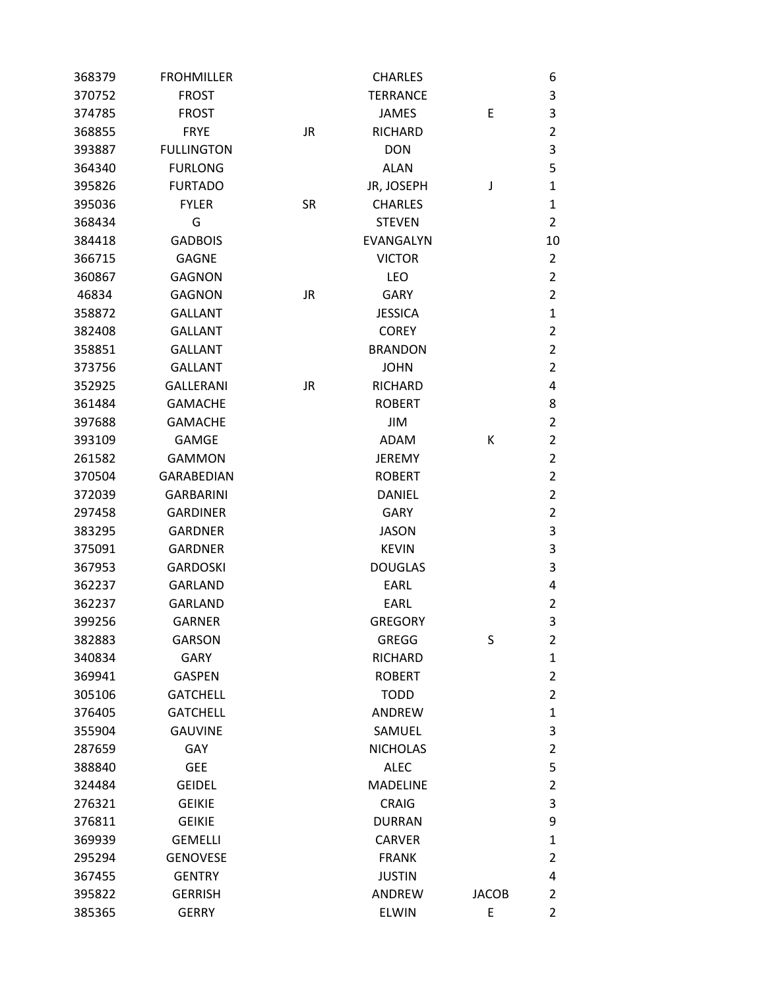| 368379 | <b>FROHMILLER</b> |           | <b>CHARLES</b>  |              | 6              |
|--------|-------------------|-----------|-----------------|--------------|----------------|
| 370752 | <b>FROST</b>      |           | <b>TERRANCE</b> |              | 3              |
| 374785 | <b>FROST</b>      |           | <b>JAMES</b>    | Ε            | 3              |
| 368855 | <b>FRYE</b>       | <b>JR</b> | RICHARD         |              | $\overline{2}$ |
| 393887 | <b>FULLINGTON</b> |           | <b>DON</b>      |              | 3              |
| 364340 | <b>FURLONG</b>    |           | <b>ALAN</b>     |              | 5              |
| 395826 | <b>FURTADO</b>    |           | JR, JOSEPH      | J            | $\mathbf{1}$   |
| 395036 | <b>FYLER</b>      | <b>SR</b> | <b>CHARLES</b>  |              | $\mathbf{1}$   |
| 368434 | G                 |           | <b>STEVEN</b>   |              | $\overline{2}$ |
| 384418 | <b>GADBOIS</b>    |           | EVANGALYN       |              | 10             |
| 366715 | <b>GAGNE</b>      |           | <b>VICTOR</b>   |              | $\overline{2}$ |
| 360867 | <b>GAGNON</b>     |           | <b>LEO</b>      |              | $\overline{2}$ |
| 46834  | <b>GAGNON</b>     | <b>JR</b> | GARY            |              | $\overline{2}$ |
| 358872 | <b>GALLANT</b>    |           | <b>JESSICA</b>  |              | $\mathbf{1}$   |
| 382408 | <b>GALLANT</b>    |           | <b>COREY</b>    |              | $\overline{2}$ |
| 358851 | <b>GALLANT</b>    |           | <b>BRANDON</b>  |              | $\overline{2}$ |
| 373756 | <b>GALLANT</b>    |           | <b>JOHN</b>     |              | $\overline{2}$ |
| 352925 | <b>GALLERANI</b>  | <b>JR</b> | <b>RICHARD</b>  |              | 4              |
| 361484 | <b>GAMACHE</b>    |           | <b>ROBERT</b>   |              | 8              |
| 397688 | <b>GAMACHE</b>    |           | <b>JIM</b>      |              | $\overline{2}$ |
| 393109 | <b>GAMGE</b>      |           | ADAM            | Κ            | $\overline{2}$ |
| 261582 | <b>GAMMON</b>     |           | <b>JEREMY</b>   |              | $\overline{2}$ |
| 370504 | <b>GARABEDIAN</b> |           | <b>ROBERT</b>   |              | $\overline{2}$ |
| 372039 | <b>GARBARINI</b>  |           | <b>DANIEL</b>   |              | $\overline{2}$ |
| 297458 | <b>GARDINER</b>   |           | <b>GARY</b>     |              | $\overline{2}$ |
| 383295 | <b>GARDNER</b>    |           | <b>JASON</b>    |              | 3              |
| 375091 | <b>GARDNER</b>    |           | <b>KEVIN</b>    |              | 3              |
| 367953 | <b>GARDOSKI</b>   |           | <b>DOUGLAS</b>  |              | 3              |
| 362237 | <b>GARLAND</b>    |           | EARL            |              | 4              |
| 362237 | <b>GARLAND</b>    |           | EARL            |              | $\overline{2}$ |
| 399256 | <b>GARNER</b>     |           | <b>GREGORY</b>  |              | 3              |
| 382883 | <b>GARSON</b>     |           | <b>GREGG</b>    | S            | $\overline{2}$ |
| 340834 | <b>GARY</b>       |           | RICHARD         |              | $\mathbf{1}$   |
| 369941 | <b>GASPEN</b>     |           | <b>ROBERT</b>   |              | $\overline{2}$ |
| 305106 | <b>GATCHELL</b>   |           | <b>TODD</b>     |              | $\overline{2}$ |
| 376405 | <b>GATCHELL</b>   |           | ANDREW          |              | $\mathbf{1}$   |
| 355904 | <b>GAUVINE</b>    |           | SAMUEL          |              | 3              |
| 287659 | GAY               |           | <b>NICHOLAS</b> |              | $\overline{2}$ |
| 388840 | <b>GEE</b>        |           | <b>ALEC</b>     |              | 5              |
| 324484 | <b>GEIDEL</b>     |           | <b>MADELINE</b> |              | $\overline{2}$ |
| 276321 | <b>GEIKIE</b>     |           | <b>CRAIG</b>    |              | 3              |
| 376811 | <b>GEIKIE</b>     |           | <b>DURRAN</b>   |              | 9              |
| 369939 | <b>GEMELLI</b>    |           | <b>CARVER</b>   |              | $\mathbf{1}$   |
| 295294 | <b>GENOVESE</b>   |           | <b>FRANK</b>    |              | $\overline{2}$ |
| 367455 | <b>GENTRY</b>     |           | <b>JUSTIN</b>   |              | 4              |
| 395822 | <b>GERRISH</b>    |           | ANDREW          | <b>JACOB</b> | $\overline{2}$ |
| 385365 | <b>GERRY</b>      |           | <b>ELWIN</b>    | E            | $\overline{2}$ |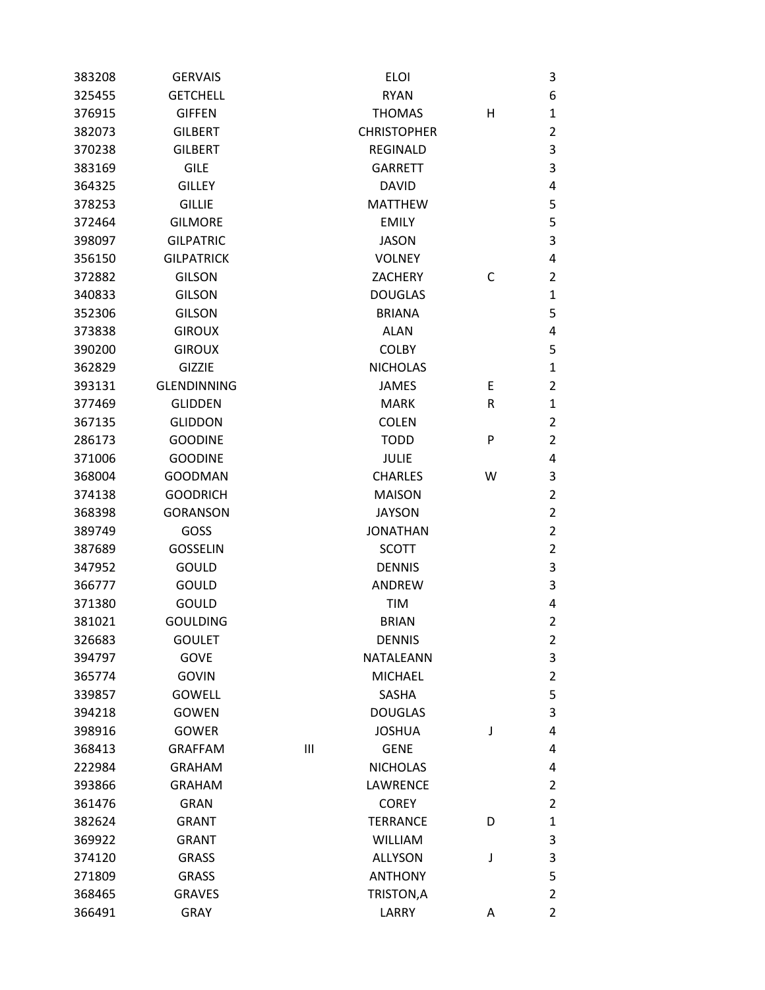| 383208 | <b>GERVAIS</b>     |   | <b>ELOI</b>        |   | 3              |
|--------|--------------------|---|--------------------|---|----------------|
| 325455 | <b>GETCHELL</b>    |   | <b>RYAN</b>        |   | 6              |
| 376915 | <b>GIFFEN</b>      |   | <b>THOMAS</b>      | Н | $\mathbf{1}$   |
| 382073 | <b>GILBERT</b>     |   | <b>CHRISTOPHER</b> |   | $\overline{2}$ |
| 370238 | <b>GILBERT</b>     |   | <b>REGINALD</b>    |   | 3              |
| 383169 | <b>GILE</b>        |   | <b>GARRETT</b>     |   | 3              |
| 364325 | <b>GILLEY</b>      |   | <b>DAVID</b>       |   | 4              |
| 378253 | <b>GILLIE</b>      |   | <b>MATTHEW</b>     |   | 5              |
| 372464 | <b>GILMORE</b>     |   | <b>EMILY</b>       |   | 5              |
| 398097 | <b>GILPATRIC</b>   |   | <b>JASON</b>       |   | 3              |
| 356150 | <b>GILPATRICK</b>  |   | <b>VOLNEY</b>      |   | 4              |
| 372882 | <b>GILSON</b>      |   | <b>ZACHERY</b>     | С | 2              |
| 340833 | <b>GILSON</b>      |   | <b>DOUGLAS</b>     |   | $\mathbf{1}$   |
| 352306 | <b>GILSON</b>      |   | <b>BRIANA</b>      |   | 5              |
| 373838 | <b>GIROUX</b>      |   | <b>ALAN</b>        |   | 4              |
| 390200 | <b>GIROUX</b>      |   | <b>COLBY</b>       |   | 5              |
| 362829 | GIZZIE             |   | <b>NICHOLAS</b>    |   | $\mathbf{1}$   |
| 393131 | <b>GLENDINNING</b> |   | <b>JAMES</b>       | Е | $\overline{2}$ |
| 377469 | <b>GLIDDEN</b>     |   | <b>MARK</b>        | R | 1              |
| 367135 | <b>GLIDDON</b>     |   | <b>COLEN</b>       |   | $\overline{2}$ |
| 286173 | <b>GOODINE</b>     |   | <b>TODD</b>        | P | $\overline{2}$ |
| 371006 | <b>GOODINE</b>     |   | <b>JULIE</b>       |   | 4              |
| 368004 | <b>GOODMAN</b>     |   | <b>CHARLES</b>     | W | 3              |
| 374138 | <b>GOODRICH</b>    |   | <b>MAISON</b>      |   | $\overline{2}$ |
| 368398 | <b>GORANSON</b>    |   | <b>JAYSON</b>      |   | $\overline{2}$ |
| 389749 | GOSS               |   | <b>JONATHAN</b>    |   | $\overline{2}$ |
| 387689 | <b>GOSSELIN</b>    |   | <b>SCOTT</b>       |   | $\overline{2}$ |
| 347952 | <b>GOULD</b>       |   | <b>DENNIS</b>      |   | 3              |
| 366777 | GOULD              |   | <b>ANDREW</b>      |   | 3              |
| 371380 | <b>GOULD</b>       |   | <b>TIM</b>         |   | 4              |
| 381021 | <b>GOULDING</b>    |   | <b>BRIAN</b>       |   | $\overline{2}$ |
| 326683 | <b>GOULET</b>      |   | <b>DENNIS</b>      |   | 2              |
| 394797 | <b>GOVE</b>        |   | NATALEANN          |   | 3              |
| 365774 | <b>GOVIN</b>       |   | <b>MICHAEL</b>     |   | $\overline{2}$ |
| 339857 | <b>GOWELL</b>      |   | <b>SASHA</b>       |   | 5              |
| 394218 | <b>GOWEN</b>       |   | <b>DOUGLAS</b>     |   | 3              |
| 398916 | <b>GOWER</b>       |   | <b>JOSHUA</b>      | J | 4              |
| 368413 | <b>GRAFFAM</b>     | Ш | <b>GENE</b>        |   | 4              |
| 222984 | <b>GRAHAM</b>      |   | <b>NICHOLAS</b>    |   | 4              |
| 393866 | <b>GRAHAM</b>      |   | LAWRENCE           |   | $\overline{2}$ |
| 361476 | <b>GRAN</b>        |   | <b>COREY</b>       |   | 2              |
| 382624 | <b>GRANT</b>       |   | <b>TERRANCE</b>    | D | $\mathbf{1}$   |
| 369922 | <b>GRANT</b>       |   | <b>WILLIAM</b>     |   | 3              |
| 374120 | <b>GRASS</b>       |   | <b>ALLYSON</b>     | J | 3              |
| 271809 | <b>GRASS</b>       |   | <b>ANTHONY</b>     |   | 5              |
| 368465 | <b>GRAVES</b>      |   | TRISTON, A         |   | 2              |
| 366491 | <b>GRAY</b>        |   | LARRY              | Α | $\overline{2}$ |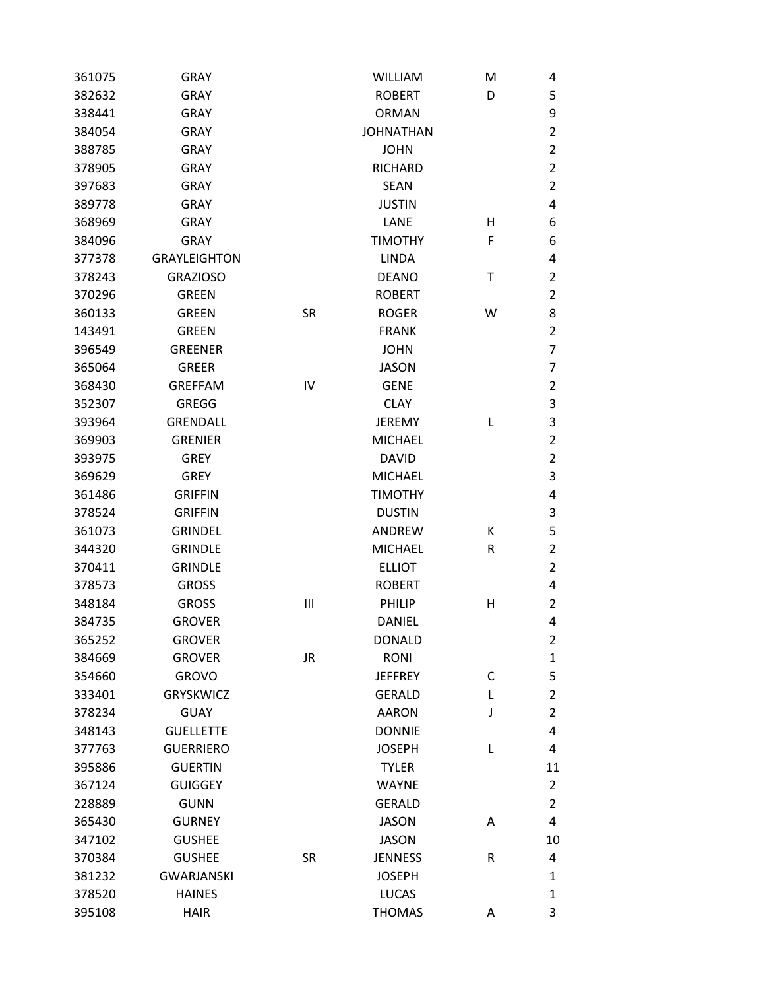| 361075 | <b>GRAY</b>         |           | <b>WILLIAM</b>   | M | 4              |
|--------|---------------------|-----------|------------------|---|----------------|
| 382632 | <b>GRAY</b>         |           | <b>ROBERT</b>    | D | 5              |
| 338441 | <b>GRAY</b>         |           | <b>ORMAN</b>     |   | 9              |
| 384054 | <b>GRAY</b>         |           | <b>JOHNATHAN</b> |   | $\overline{2}$ |
| 388785 | <b>GRAY</b>         |           | <b>JOHN</b>      |   | $\overline{2}$ |
| 378905 | <b>GRAY</b>         |           | <b>RICHARD</b>   |   | $\overline{2}$ |
| 397683 | <b>GRAY</b>         |           | <b>SEAN</b>      |   | $\overline{2}$ |
| 389778 | <b>GRAY</b>         |           | JUSTIN           |   | 4              |
| 368969 | <b>GRAY</b>         |           | LANE             | н | 6              |
| 384096 | <b>GRAY</b>         |           | <b>TIMOTHY</b>   | F | 6              |
| 377378 | <b>GRAYLEIGHTON</b> |           | <b>LINDA</b>     |   | 4              |
| 378243 | <b>GRAZIOSO</b>     |           | <b>DEANO</b>     | Т | $\overline{2}$ |
| 370296 | <b>GREEN</b>        |           | <b>ROBERT</b>    |   | $\overline{2}$ |
| 360133 | <b>GREEN</b>        | <b>SR</b> | <b>ROGER</b>     | W | 8              |
| 143491 | <b>GREEN</b>        |           | <b>FRANK</b>     |   | $\overline{2}$ |
| 396549 | <b>GREENER</b>      |           | <b>JOHN</b>      |   | $\overline{7}$ |
| 365064 | <b>GREER</b>        |           | <b>JASON</b>     |   | $\overline{7}$ |
| 368430 | <b>GREFFAM</b>      | IV        | <b>GENE</b>      |   | $\overline{2}$ |
| 352307 | <b>GREGG</b>        |           | <b>CLAY</b>      |   | 3              |
| 393964 | <b>GRENDALL</b>     |           | <b>JEREMY</b>    | L | 3              |
| 369903 | <b>GRENIER</b>      |           | <b>MICHAEL</b>   |   | $\overline{2}$ |
| 393975 | <b>GREY</b>         |           | <b>DAVID</b>     |   | $\overline{2}$ |
| 369629 | <b>GREY</b>         |           | <b>MICHAEL</b>   |   | 3              |
| 361486 | <b>GRIFFIN</b>      |           | <b>TIMOTHY</b>   |   | 4              |
| 378524 | <b>GRIFFIN</b>      |           | <b>DUSTIN</b>    |   | 3              |
| 361073 | <b>GRINDEL</b>      |           | ANDREW           | К | 5              |
| 344320 | <b>GRINDLE</b>      |           | <b>MICHAEL</b>   | R | $\overline{2}$ |
| 370411 | <b>GRINDLE</b>      |           | <b>ELLIOT</b>    |   | $\overline{2}$ |
| 378573 | <b>GROSS</b>        |           | <b>ROBERT</b>    |   | 4              |
| 348184 | <b>GROSS</b>        | Ш         | PHILIP           | н | $\overline{2}$ |
| 384735 | <b>GROVER</b>       |           | <b>DANIEL</b>    |   | 4              |
| 365252 | <b>GROVER</b>       |           | <b>DONALD</b>    |   | $\overline{2}$ |
| 384669 | <b>GROVER</b>       | JR.       | RONI             |   | $\mathbf 1$    |
| 354660 | <b>GROVO</b>        |           | <b>JEFFREY</b>   | C | 5              |
| 333401 | <b>GRYSKWICZ</b>    |           | <b>GERALD</b>    | L | $\mathbf 2$    |
| 378234 | <b>GUAY</b>         |           | <b>AARON</b>     | J | $\overline{2}$ |
| 348143 | <b>GUELLETTE</b>    |           | <b>DONNIE</b>    |   | 4              |
| 377763 | <b>GUERRIERO</b>    |           | <b>JOSEPH</b>    | L | 4              |
| 395886 | <b>GUERTIN</b>      |           | <b>TYLER</b>     |   | 11             |
| 367124 | <b>GUIGGEY</b>      |           | <b>WAYNE</b>     |   | $\overline{2}$ |
| 228889 | <b>GUNN</b>         |           | <b>GERALD</b>    |   | $\overline{2}$ |
| 365430 | <b>GURNEY</b>       |           | <b>JASON</b>     | Α | 4              |
| 347102 | <b>GUSHEE</b>       |           | <b>JASON</b>     |   | 10             |
| 370384 | <b>GUSHEE</b>       | <b>SR</b> | <b>JENNESS</b>   | R | 4              |
| 381232 | <b>GWARJANSKI</b>   |           | <b>JOSEPH</b>    |   | $\mathbf{1}$   |
| 378520 | <b>HAINES</b>       |           | <b>LUCAS</b>     |   | $\mathbf{1}$   |
| 395108 | <b>HAIR</b>         |           | <b>THOMAS</b>    | Α | 3              |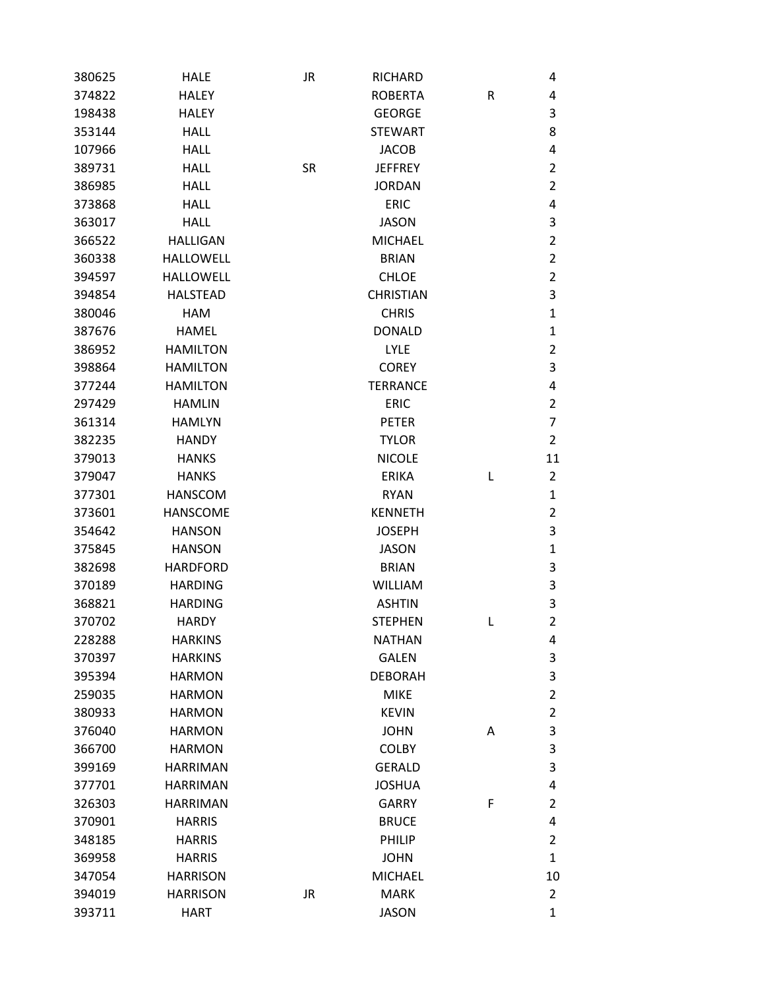| 380625 | <b>HALE</b>      | JR        | RICHARD          |   | 4              |
|--------|------------------|-----------|------------------|---|----------------|
| 374822 | <b>HALEY</b>     |           | <b>ROBERTA</b>   | R | 4              |
| 198438 | <b>HALEY</b>     |           | <b>GEORGE</b>    |   | 3              |
| 353144 | <b>HALL</b>      |           | <b>STEWART</b>   |   | 8              |
| 107966 | <b>HALL</b>      |           | <b>JACOB</b>     |   | 4              |
| 389731 | <b>HALL</b>      | <b>SR</b> | <b>JEFFREY</b>   |   | 2              |
| 386985 | <b>HALL</b>      |           | <b>JORDAN</b>    |   | $\overline{2}$ |
| 373868 | <b>HALL</b>      |           | <b>ERIC</b>      |   | 4              |
| 363017 | <b>HALL</b>      |           | <b>JASON</b>     |   | 3              |
| 366522 | <b>HALLIGAN</b>  |           | <b>MICHAEL</b>   |   | $\overline{2}$ |
| 360338 | <b>HALLOWELL</b> |           | <b>BRIAN</b>     |   | $\overline{2}$ |
| 394597 | <b>HALLOWELL</b> |           | <b>CHLOE</b>     |   | $\overline{2}$ |
| 394854 | <b>HALSTEAD</b>  |           | <b>CHRISTIAN</b> |   | 3              |
| 380046 | <b>HAM</b>       |           | <b>CHRIS</b>     |   | 1              |
| 387676 | <b>HAMEL</b>     |           | <b>DONALD</b>    |   | 1              |
| 386952 | <b>HAMILTON</b>  |           | <b>LYLE</b>      |   | 2              |
| 398864 | <b>HAMILTON</b>  |           | <b>COREY</b>     |   | 3              |
| 377244 | <b>HAMILTON</b>  |           | <b>TERRANCE</b>  |   | 4              |
| 297429 | <b>HAMLIN</b>    |           | <b>ERIC</b>      |   | $\overline{2}$ |
| 361314 | <b>HAMLYN</b>    |           | <b>PETER</b>     |   | 7              |
| 382235 | <b>HANDY</b>     |           | <b>TYLOR</b>     |   | 2              |
| 379013 | <b>HANKS</b>     |           | <b>NICOLE</b>    |   | 11             |
| 379047 | <b>HANKS</b>     |           | <b>ERIKA</b>     | L | $\overline{2}$ |
| 377301 | <b>HANSCOM</b>   |           | <b>RYAN</b>      |   | 1              |
| 373601 | <b>HANSCOME</b>  |           | <b>KENNETH</b>   |   | 2              |
| 354642 | <b>HANSON</b>    |           | <b>JOSEPH</b>    |   | 3              |
| 375845 | <b>HANSON</b>    |           | <b>JASON</b>     |   | $\mathbf 1$    |
| 382698 | <b>HARDFORD</b>  |           | <b>BRIAN</b>     |   | 3              |
| 370189 | <b>HARDING</b>   |           | <b>WILLIAM</b>   |   | 3              |
| 368821 | <b>HARDING</b>   |           | <b>ASHTIN</b>    |   | 3              |
| 370702 | <b>HARDY</b>     |           | <b>STEPHEN</b>   | L | $\overline{2}$ |
| 228288 | <b>HARKINS</b>   |           | <b>NATHAN</b>    |   | 4              |
| 370397 | <b>HARKINS</b>   |           | <b>GALEN</b>     |   | 3              |
| 395394 | <b>HARMON</b>    |           | <b>DEBORAH</b>   |   | 3              |
| 259035 | <b>HARMON</b>    |           | <b>MIKE</b>      |   | $\overline{2}$ |
| 380933 | <b>HARMON</b>    |           | <b>KEVIN</b>     |   | $\overline{2}$ |
| 376040 | <b>HARMON</b>    |           | <b>JOHN</b>      | Α | 3              |
| 366700 | <b>HARMON</b>    |           | <b>COLBY</b>     |   | 3              |
| 399169 | <b>HARRIMAN</b>  |           | <b>GERALD</b>    |   | 3              |
| 377701 | <b>HARRIMAN</b>  |           | <b>JOSHUA</b>    |   | 4              |
| 326303 | <b>HARRIMAN</b>  |           | <b>GARRY</b>     | F | $\overline{2}$ |
| 370901 | <b>HARRIS</b>    |           | <b>BRUCE</b>     |   | 4              |
| 348185 | <b>HARRIS</b>    |           | <b>PHILIP</b>    |   | $\overline{2}$ |
| 369958 | <b>HARRIS</b>    |           | <b>JOHN</b>      |   | $\mathbf{1}$   |
| 347054 | <b>HARRISON</b>  |           | <b>MICHAEL</b>   |   | 10             |
| 394019 | <b>HARRISON</b>  | <b>JR</b> | <b>MARK</b>      |   | $\overline{2}$ |
| 393711 | <b>HART</b>      |           | <b>JASON</b>     |   | $\mathbf{1}$   |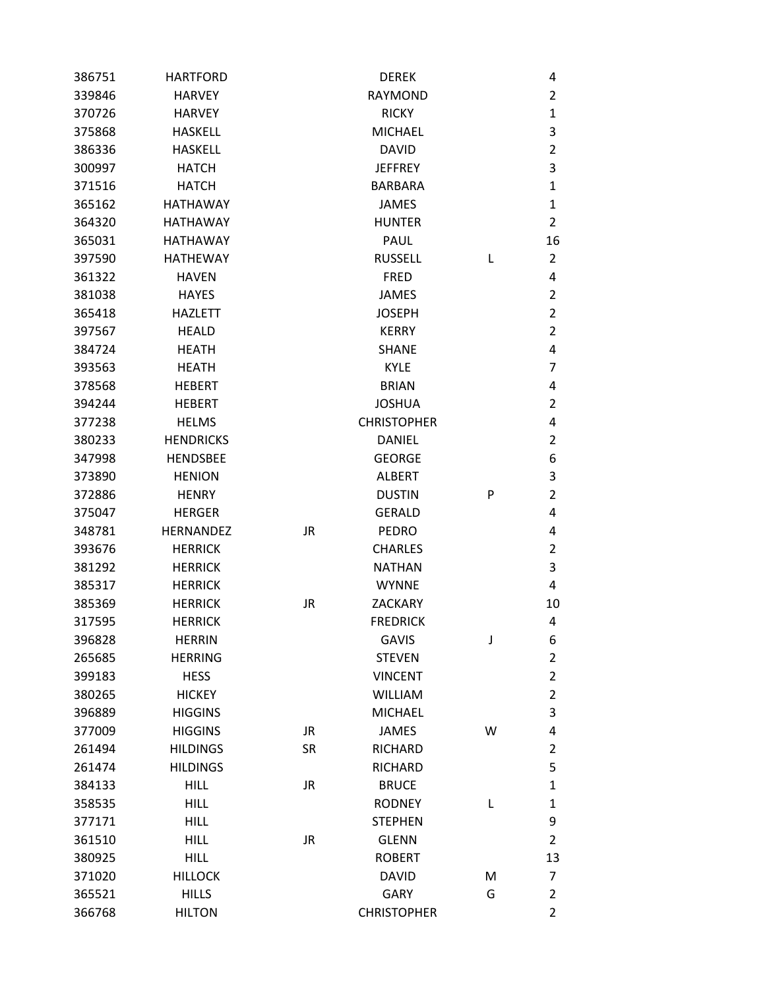| 386751 | <b>HARTFORD</b>  |           | <b>DEREK</b>       |   | 4              |
|--------|------------------|-----------|--------------------|---|----------------|
| 339846 | <b>HARVEY</b>    |           | <b>RAYMOND</b>     |   | $\overline{2}$ |
| 370726 | <b>HARVEY</b>    |           | <b>RICKY</b>       |   | $\mathbf{1}$   |
| 375868 | <b>HASKELL</b>   |           | <b>MICHAEL</b>     |   | 3              |
| 386336 | <b>HASKELL</b>   |           | <b>DAVID</b>       |   | $\overline{2}$ |
| 300997 | <b>HATCH</b>     |           | <b>JEFFREY</b>     |   | 3              |
| 371516 | <b>HATCH</b>     |           | <b>BARBARA</b>     |   | $\mathbf{1}$   |
| 365162 | <b>HATHAWAY</b>  |           | <b>JAMES</b>       |   | $\mathbf{1}$   |
| 364320 | <b>HATHAWAY</b>  |           | <b>HUNTER</b>      |   | $\overline{2}$ |
| 365031 | <b>HATHAWAY</b>  |           | <b>PAUL</b>        |   | 16             |
| 397590 | <b>HATHEWAY</b>  |           | <b>RUSSELL</b>     | L | 2              |
| 361322 | <b>HAVEN</b>     |           | <b>FRED</b>        |   | 4              |
| 381038 | <b>HAYES</b>     |           | <b>JAMES</b>       |   | $\overline{2}$ |
| 365418 | <b>HAZLETT</b>   |           | <b>JOSEPH</b>      |   | $\overline{2}$ |
| 397567 | <b>HEALD</b>     |           | <b>KERRY</b>       |   | $\overline{2}$ |
| 384724 | <b>HEATH</b>     |           | <b>SHANE</b>       |   | 4              |
| 393563 | <b>HEATH</b>     |           | <b>KYLE</b>        |   | 7              |
| 378568 | <b>HEBERT</b>    |           | <b>BRIAN</b>       |   | 4              |
| 394244 | <b>HEBERT</b>    |           | <b>JOSHUA</b>      |   | $\overline{2}$ |
| 377238 | <b>HELMS</b>     |           | <b>CHRISTOPHER</b> |   | 4              |
| 380233 | <b>HENDRICKS</b> |           | <b>DANIEL</b>      |   | $\overline{2}$ |
| 347998 | <b>HENDSBEE</b>  |           | <b>GEORGE</b>      |   | 6              |
| 373890 | <b>HENION</b>    |           | <b>ALBERT</b>      |   | 3              |
| 372886 | <b>HENRY</b>     |           | <b>DUSTIN</b>      | P | $\overline{2}$ |
| 375047 | <b>HERGER</b>    |           | <b>GERALD</b>      |   | 4              |
| 348781 | <b>HERNANDEZ</b> | <b>JR</b> | <b>PEDRO</b>       |   | 4              |
| 393676 | <b>HERRICK</b>   |           | <b>CHARLES</b>     |   | $\overline{2}$ |
| 381292 | <b>HERRICK</b>   |           | <b>NATHAN</b>      |   | 3              |
| 385317 | <b>HERRICK</b>   |           | <b>WYNNE</b>       |   | 4              |
| 385369 | <b>HERRICK</b>   | <b>JR</b> | <b>ZACKARY</b>     |   | 10             |
| 317595 | <b>HERRICK</b>   |           | <b>FREDRICK</b>    |   | 4              |
| 396828 | <b>HERRIN</b>    |           | <b>GAVIS</b>       | J | 6              |
| 265685 | <b>HERRING</b>   |           | <b>STEVEN</b>      |   | $\overline{2}$ |
| 399183 | <b>HESS</b>      |           | <b>VINCENT</b>     |   | $\mathbf 2$    |
| 380265 | <b>HICKEY</b>    |           | <b>WILLIAM</b>     |   | $\overline{2}$ |
| 396889 | <b>HIGGINS</b>   |           | <b>MICHAEL</b>     |   | 3              |
| 377009 | <b>HIGGINS</b>   | JR.       | <b>JAMES</b>       | W | 4              |
| 261494 | <b>HILDINGS</b>  | <b>SR</b> | <b>RICHARD</b>     |   | 2              |
| 261474 | <b>HILDINGS</b>  |           | <b>RICHARD</b>     |   | 5              |
| 384133 | <b>HILL</b>      | <b>JR</b> | <b>BRUCE</b>       |   | $\mathbf{1}$   |
| 358535 | <b>HILL</b>      |           | <b>RODNEY</b>      | L | $\mathbf{1}$   |
| 377171 | <b>HILL</b>      |           | <b>STEPHEN</b>     |   | 9              |
| 361510 | <b>HILL</b>      | JR        | <b>GLENN</b>       |   | $\overline{2}$ |
| 380925 | <b>HILL</b>      |           | <b>ROBERT</b>      |   | 13             |
| 371020 | <b>HILLOCK</b>   |           | <b>DAVID</b>       | M | 7              |
| 365521 | <b>HILLS</b>     |           | GARY               | G | $\overline{2}$ |
| 366768 | <b>HILTON</b>    |           | <b>CHRISTOPHER</b> |   | $\overline{2}$ |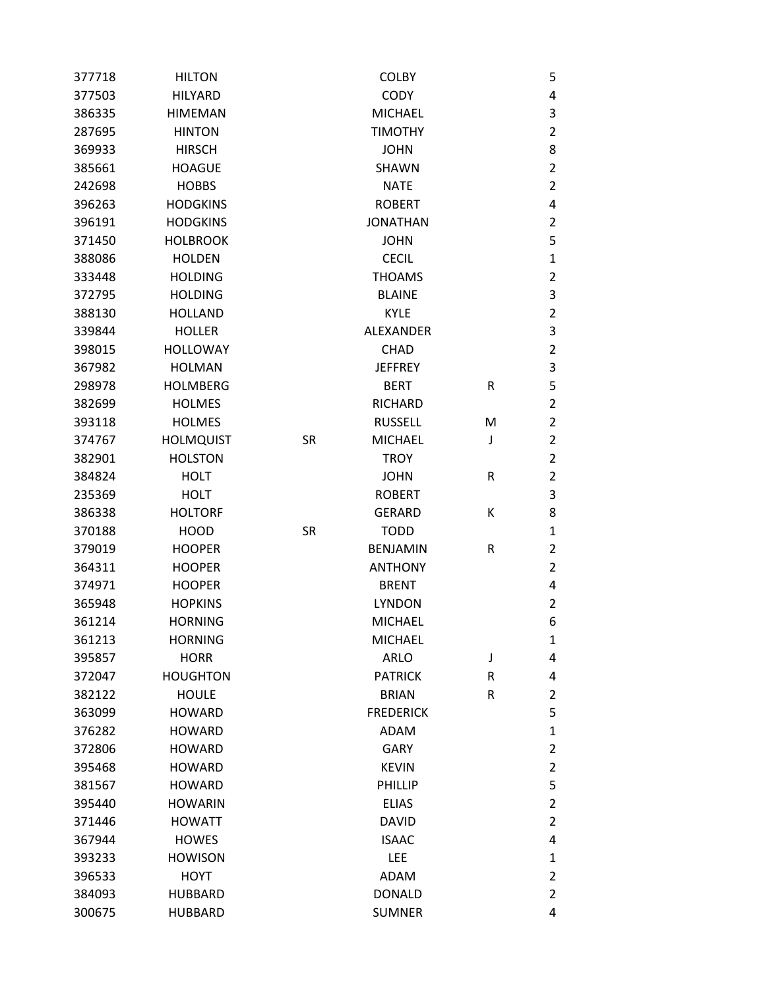| 377718 | <b>HILTON</b>    |           | <b>COLBY</b>     |         | 5              |
|--------|------------------|-----------|------------------|---------|----------------|
| 377503 | <b>HILYARD</b>   |           | <b>CODY</b>      |         | 4              |
| 386335 | <b>HIMEMAN</b>   |           | <b>MICHAEL</b>   |         | 3              |
| 287695 | <b>HINTON</b>    |           | <b>TIMOTHY</b>   |         | $\overline{2}$ |
| 369933 | <b>HIRSCH</b>    |           | <b>JOHN</b>      |         | 8              |
| 385661 | <b>HOAGUE</b>    |           | <b>SHAWN</b>     |         | $\overline{2}$ |
| 242698 | <b>HOBBS</b>     |           | <b>NATE</b>      |         | $\overline{2}$ |
| 396263 | <b>HODGKINS</b>  |           | <b>ROBERT</b>    |         | 4              |
| 396191 | <b>HODGKINS</b>  |           | <b>JONATHAN</b>  |         | $\overline{2}$ |
| 371450 | <b>HOLBROOK</b>  |           | <b>JOHN</b>      |         | 5              |
| 388086 | <b>HOLDEN</b>    |           | <b>CECIL</b>     |         | $\mathbf 1$    |
| 333448 | <b>HOLDING</b>   |           | <b>THOAMS</b>    |         | $\overline{2}$ |
| 372795 | <b>HOLDING</b>   |           | <b>BLAINE</b>    |         | 3              |
| 388130 | <b>HOLLAND</b>   |           | <b>KYLE</b>      |         | $\overline{2}$ |
| 339844 | <b>HOLLER</b>    |           | <b>ALEXANDER</b> |         | 3              |
| 398015 | <b>HOLLOWAY</b>  |           | <b>CHAD</b>      |         | $\overline{2}$ |
| 367982 | <b>HOLMAN</b>    |           | <b>JEFFREY</b>   |         | 3              |
| 298978 | <b>HOLMBERG</b>  |           | <b>BERT</b>      | R       | 5              |
| 382699 | <b>HOLMES</b>    |           | <b>RICHARD</b>   |         | $\overline{2}$ |
| 393118 | <b>HOLMES</b>    |           | <b>RUSSELL</b>   | M       | $\overline{2}$ |
| 374767 | <b>HOLMQUIST</b> | <b>SR</b> | <b>MICHAEL</b>   | J       | $\overline{2}$ |
| 382901 | <b>HOLSTON</b>   |           | <b>TROY</b>      |         | $\overline{2}$ |
| 384824 | <b>HOLT</b>      |           | <b>JOHN</b>      | R       | $\overline{2}$ |
| 235369 | <b>HOLT</b>      |           | <b>ROBERT</b>    |         | 3              |
| 386338 | <b>HOLTORF</b>   |           | <b>GERARD</b>    | К       | 8              |
| 370188 | <b>HOOD</b>      | <b>SR</b> | <b>TODD</b>      |         | 1              |
| 379019 | <b>HOOPER</b>    |           | <b>BENJAMIN</b>  | R       | 2              |
| 364311 | <b>HOOPER</b>    |           | <b>ANTHONY</b>   |         | $\overline{2}$ |
| 374971 | <b>HOOPER</b>    |           | <b>BRENT</b>     |         | 4              |
| 365948 | <b>HOPKINS</b>   |           | <b>LYNDON</b>    |         | 2              |
| 361214 | <b>HORNING</b>   |           | <b>MICHAEL</b>   |         | 6              |
| 361213 | <b>HORNING</b>   |           | <b>MICHAEL</b>   |         | 1              |
| 395857 | <b>HORR</b>      |           | <b>ARLO</b>      | J       | 4              |
| 372047 | <b>HOUGHTON</b>  |           | <b>PATRICK</b>   | R       | 4              |
| 382122 | <b>HOULE</b>     |           | <b>BRIAN</b>     | $\sf R$ | $\overline{2}$ |
| 363099 | <b>HOWARD</b>    |           | <b>FREDERICK</b> |         | 5              |
| 376282 | <b>HOWARD</b>    |           | <b>ADAM</b>      |         | $\mathbf{1}$   |
| 372806 | <b>HOWARD</b>    |           | <b>GARY</b>      |         | $\overline{2}$ |
| 395468 | <b>HOWARD</b>    |           | <b>KEVIN</b>     |         | $\overline{2}$ |
| 381567 | <b>HOWARD</b>    |           | PHILLIP          |         | 5              |
| 395440 | <b>HOWARIN</b>   |           | <b>ELIAS</b>     |         | $\overline{2}$ |
| 371446 | <b>HOWATT</b>    |           | DAVID            |         | $\overline{2}$ |
| 367944 | <b>HOWES</b>     |           | <b>ISAAC</b>     |         | 4              |
| 393233 | <b>HOWISON</b>   |           | LEE              |         | $\mathbf{1}$   |
| 396533 | <b>HOYT</b>      |           | <b>ADAM</b>      |         | $\overline{2}$ |
| 384093 | <b>HUBBARD</b>   |           | <b>DONALD</b>    |         | 2              |
| 300675 | <b>HUBBARD</b>   |           | <b>SUMNER</b>    |         | 4              |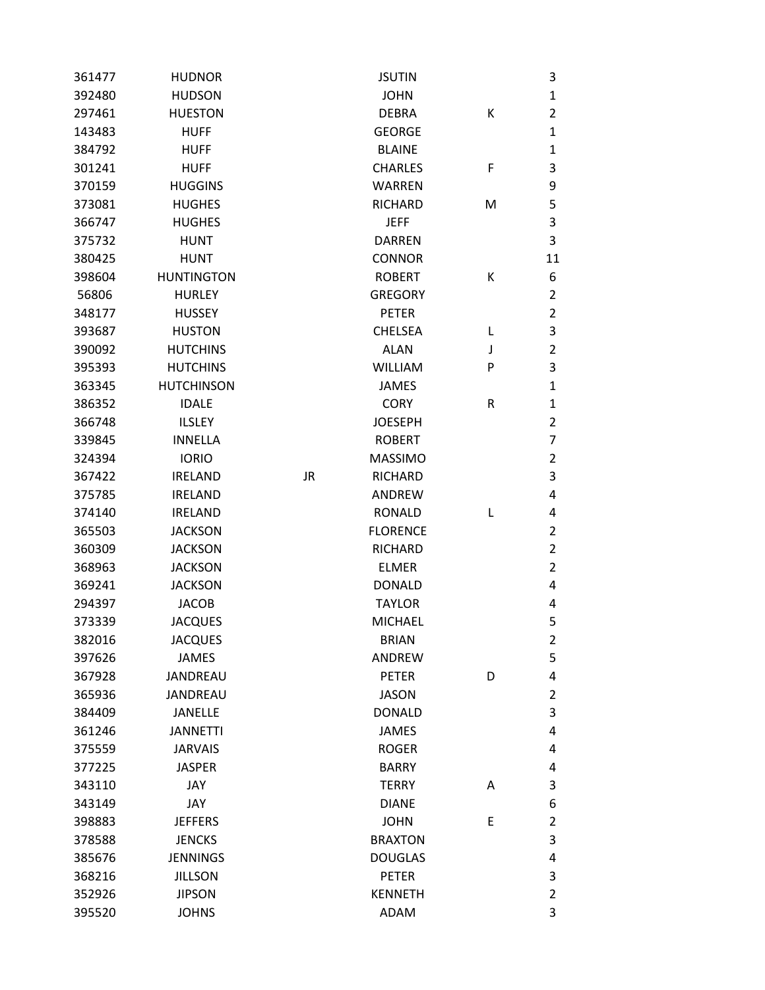| 361477 | <b>HUDNOR</b>     |           | <b>JSUTIN</b>   |   | 3              |
|--------|-------------------|-----------|-----------------|---|----------------|
| 392480 | <b>HUDSON</b>     |           | <b>JOHN</b>     |   | $\mathbf{1}$   |
| 297461 | <b>HUESTON</b>    |           | <b>DEBRA</b>    | К | $\overline{2}$ |
| 143483 | <b>HUFF</b>       |           | <b>GEORGE</b>   |   | $\mathbf{1}$   |
| 384792 | <b>HUFF</b>       |           | <b>BLAINE</b>   |   | $\mathbf{1}$   |
| 301241 | <b>HUFF</b>       |           | <b>CHARLES</b>  | F | 3              |
| 370159 | <b>HUGGINS</b>    |           | <b>WARREN</b>   |   | 9              |
| 373081 | <b>HUGHES</b>     |           | <b>RICHARD</b>  | M | 5              |
| 366747 | <b>HUGHES</b>     |           | <b>JEFF</b>     |   | 3              |
| 375732 | <b>HUNT</b>       |           | <b>DARREN</b>   |   | 3              |
| 380425 | <b>HUNT</b>       |           | <b>CONNOR</b>   |   | 11             |
| 398604 | <b>HUNTINGTON</b> |           | <b>ROBERT</b>   | Κ | 6              |
| 56806  | <b>HURLEY</b>     |           | <b>GREGORY</b>  |   | $\overline{2}$ |
| 348177 | <b>HUSSEY</b>     |           | <b>PETER</b>    |   | $\overline{2}$ |
| 393687 | <b>HUSTON</b>     |           | <b>CHELSEA</b>  | L | 3              |
| 390092 | <b>HUTCHINS</b>   |           | <b>ALAN</b>     | J | $\overline{2}$ |
| 395393 | <b>HUTCHINS</b>   |           | <b>WILLIAM</b>  | P | 3              |
| 363345 | <b>HUTCHINSON</b> |           | <b>JAMES</b>    |   | $\mathbf{1}$   |
| 386352 | <b>IDALE</b>      |           | <b>CORY</b>     | R | $\mathbf{1}$   |
| 366748 | <b>ILSLEY</b>     |           | <b>JOESEPH</b>  |   | $\overline{2}$ |
| 339845 | <b>INNELLA</b>    |           | <b>ROBERT</b>   |   | 7              |
| 324394 | <b>IORIO</b>      |           | <b>MASSIMO</b>  |   | $\overline{2}$ |
| 367422 | <b>IRELAND</b>    | <b>JR</b> | <b>RICHARD</b>  |   | 3              |
| 375785 | <b>IRELAND</b>    |           | ANDREW          |   | 4              |
| 374140 | <b>IRELAND</b>    |           | <b>RONALD</b>   | L | 4              |
| 365503 | <b>JACKSON</b>    |           | <b>FLORENCE</b> |   | $\overline{2}$ |
| 360309 | <b>JACKSON</b>    |           | <b>RICHARD</b>  |   | $\overline{2}$ |
| 368963 | <b>JACKSON</b>    |           | <b>ELMER</b>    |   | $\overline{2}$ |
| 369241 | <b>JACKSON</b>    |           | <b>DONALD</b>   |   | 4              |
| 294397 | <b>JACOB</b>      |           | <b>TAYLOR</b>   |   | 4              |
| 373339 | <b>JACQUES</b>    |           | <b>MICHAEL</b>  |   | 5              |
| 382016 | <b>JACQUES</b>    |           | <b>BRIAN</b>    |   | 2              |
| 397626 | <b>JAMES</b>      |           | ANDREW          |   | 5              |
| 367928 | JANDREAU          |           | <b>PETER</b>    | D | 4              |
| 365936 | <b>JANDREAU</b>   |           | <b>JASON</b>    |   | $\overline{2}$ |
| 384409 | <b>JANELLE</b>    |           | <b>DONALD</b>   |   | 3              |
| 361246 | <b>JANNETTI</b>   |           | <b>JAMES</b>    |   | 4              |
| 375559 | <b>JARVAIS</b>    |           | <b>ROGER</b>    |   | 4              |
| 377225 | <b>JASPER</b>     |           | <b>BARRY</b>    |   | 4              |
| 343110 | JAY               |           | <b>TERRY</b>    | Α | 3              |
| 343149 | JAY               |           | <b>DIANE</b>    |   | 6              |
| 398883 | <b>JEFFERS</b>    |           | <b>JOHN</b>     | E | $\overline{2}$ |
| 378588 | <b>JENCKS</b>     |           | <b>BRAXTON</b>  |   | 3              |
| 385676 | <b>JENNINGS</b>   |           | <b>DOUGLAS</b>  |   | 4              |
| 368216 | <b>JILLSON</b>    |           | <b>PETER</b>    |   | 3              |
| 352926 | <b>JIPSON</b>     |           | <b>KENNETH</b>  |   | $\overline{2}$ |
| 395520 | <b>JOHNS</b>      |           | <b>ADAM</b>     |   | 3              |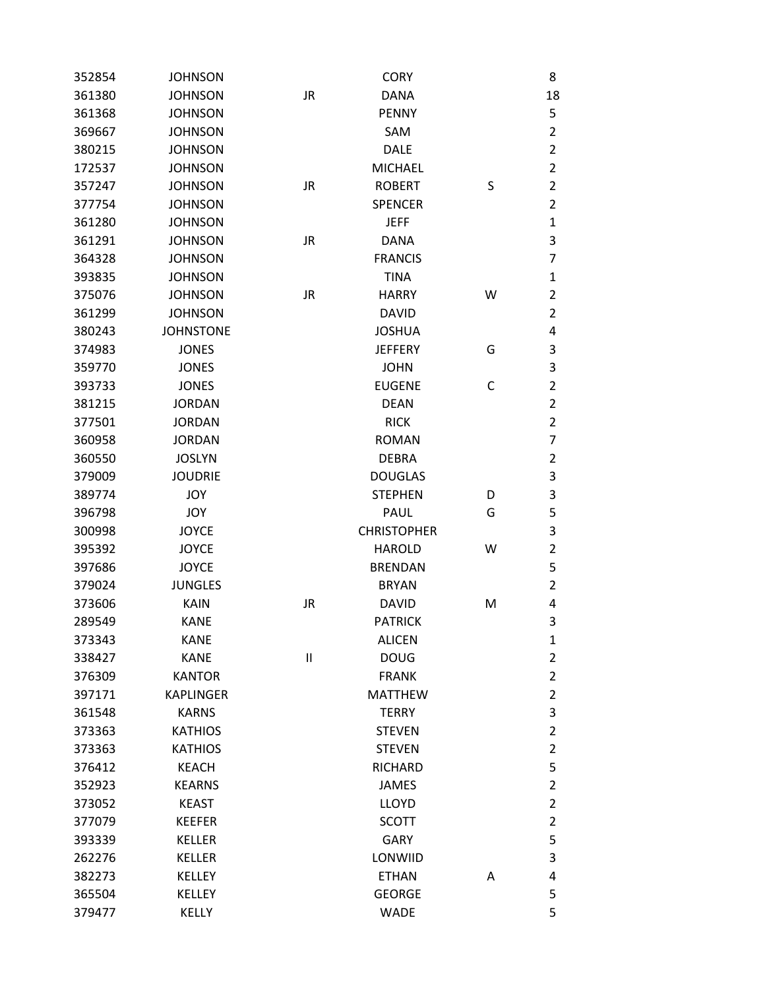| 352854 | <b>JOHNSON</b>   |           | <b>CORY</b>        |   | 8              |
|--------|------------------|-----------|--------------------|---|----------------|
| 361380 | <b>JOHNSON</b>   | JR        | <b>DANA</b>        |   | 18             |
| 361368 | <b>JOHNSON</b>   |           | <b>PENNY</b>       |   | 5              |
| 369667 | <b>JOHNSON</b>   |           | SAM                |   | $\overline{2}$ |
| 380215 | <b>JOHNSON</b>   |           | <b>DALE</b>        |   | $\overline{2}$ |
| 172537 | <b>JOHNSON</b>   |           | <b>MICHAEL</b>     |   | $\overline{2}$ |
| 357247 | <b>JOHNSON</b>   | JR        | <b>ROBERT</b>      | S | $\overline{2}$ |
| 377754 | <b>JOHNSON</b>   |           | <b>SPENCER</b>     |   | $\overline{2}$ |
| 361280 | <b>JOHNSON</b>   |           | <b>JEFF</b>        |   | $\mathbf 1$    |
| 361291 | <b>JOHNSON</b>   | <b>JR</b> | <b>DANA</b>        |   | 3              |
| 364328 | <b>JOHNSON</b>   |           | <b>FRANCIS</b>     |   | $\overline{7}$ |
| 393835 | <b>JOHNSON</b>   |           | <b>TINA</b>        |   | $\mathbf{1}$   |
| 375076 | <b>JOHNSON</b>   | <b>JR</b> | <b>HARRY</b>       | W | $\overline{2}$ |
| 361299 | <b>JOHNSON</b>   |           | <b>DAVID</b>       |   | $\overline{2}$ |
| 380243 | <b>JOHNSTONE</b> |           | <b>JOSHUA</b>      |   | 4              |
| 374983 | <b>JONES</b>     |           | <b>JEFFERY</b>     | G | 3              |
| 359770 | <b>JONES</b>     |           | <b>JOHN</b>        |   | 3              |
| 393733 | <b>JONES</b>     |           | <b>EUGENE</b>      | C | $\overline{2}$ |
| 381215 | <b>JORDAN</b>    |           | <b>DEAN</b>        |   | $\overline{2}$ |
| 377501 | <b>JORDAN</b>    |           | <b>RICK</b>        |   | $\overline{2}$ |
| 360958 | <b>JORDAN</b>    |           | <b>ROMAN</b>       |   | $\overline{7}$ |
| 360550 | <b>JOSLYN</b>    |           | <b>DEBRA</b>       |   | $\overline{2}$ |
| 379009 | <b>JOUDRIE</b>   |           | <b>DOUGLAS</b>     |   | 3              |
| 389774 | <b>JOY</b>       |           | <b>STEPHEN</b>     | D | 3              |
| 396798 | JOY              |           | PAUL               | G | 5              |
| 300998 | <b>JOYCE</b>     |           | <b>CHRISTOPHER</b> |   | 3              |
| 395392 | <b>JOYCE</b>     |           | <b>HAROLD</b>      | W | $\overline{2}$ |
| 397686 | <b>JOYCE</b>     |           | <b>BRENDAN</b>     |   | 5              |
| 379024 | <b>JUNGLES</b>   |           | <b>BRYAN</b>       |   | $\overline{2}$ |
| 373606 | <b>KAIN</b>      | JR        | <b>DAVID</b>       | M | 4              |
| 289549 | <b>KANE</b>      |           | <b>PATRICK</b>     |   | 3              |
| 373343 | <b>KANE</b>      |           | <b>ALICEN</b>      |   | $\mathbf{1}$   |
| 338427 | <b>KANE</b>      | $\sf II$  | <b>DOUG</b>        |   | $\overline{2}$ |
| 376309 | <b>KANTOR</b>    |           | <b>FRANK</b>       |   | $\overline{2}$ |
| 397171 | <b>KAPLINGER</b> |           | <b>MATTHEW</b>     |   | $\overline{2}$ |
| 361548 | <b>KARNS</b>     |           | <b>TERRY</b>       |   | 3              |
| 373363 | <b>KATHIOS</b>   |           | <b>STEVEN</b>      |   | $\overline{2}$ |
| 373363 | <b>KATHIOS</b>   |           | <b>STEVEN</b>      |   | $\overline{2}$ |
| 376412 | <b>KEACH</b>     |           | <b>RICHARD</b>     |   | 5              |
| 352923 | <b>KEARNS</b>    |           | <b>JAMES</b>       |   | $\overline{2}$ |
| 373052 | <b>KEAST</b>     |           | <b>LLOYD</b>       |   | $\overline{2}$ |
| 377079 | <b>KEEFER</b>    |           | <b>SCOTT</b>       |   | $\overline{2}$ |
| 393339 | <b>KELLER</b>    |           | <b>GARY</b>        |   | 5              |
| 262276 | <b>KELLER</b>    |           | LONWIID            |   | 3              |
| 382273 | <b>KELLEY</b>    |           | <b>ETHAN</b>       | A | 4              |
| 365504 | <b>KELLEY</b>    |           | <b>GEORGE</b>      |   | 5              |
| 379477 | <b>KELLY</b>     |           | <b>WADE</b>        |   | 5              |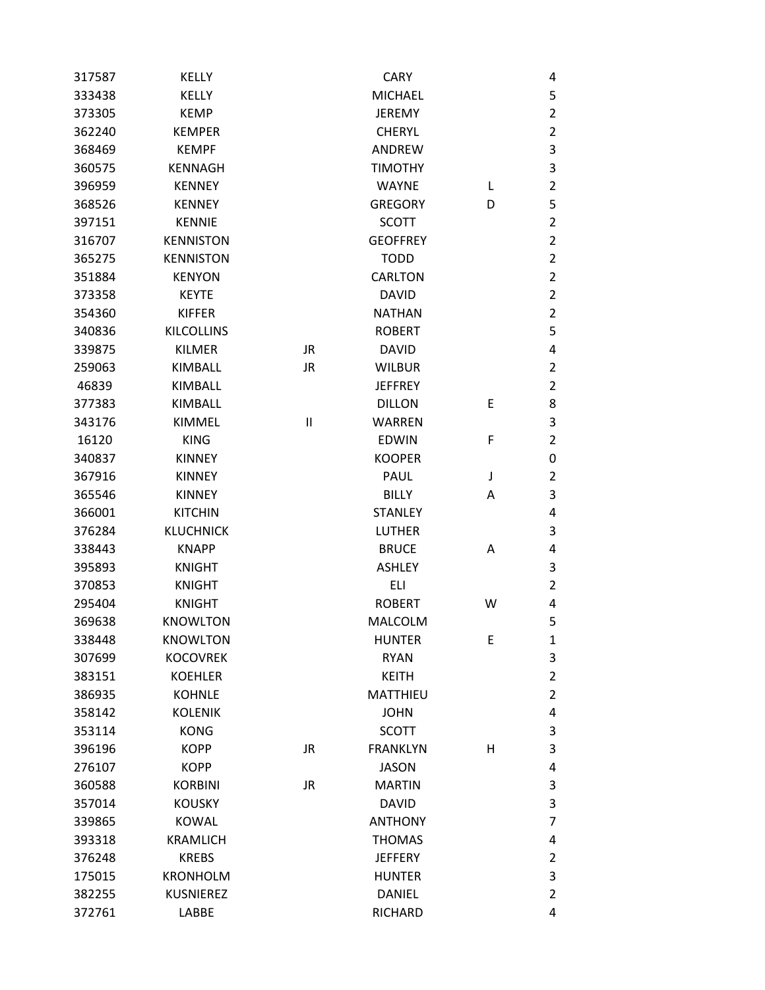| 317587 | <b>KELLY</b>      |              | <b>CARY</b>     |   | 4                       |
|--------|-------------------|--------------|-----------------|---|-------------------------|
| 333438 | <b>KELLY</b>      |              | <b>MICHAEL</b>  |   | 5                       |
| 373305 | <b>KEMP</b>       |              | <b>JEREMY</b>   |   | $\overline{2}$          |
| 362240 | <b>KEMPER</b>     |              | <b>CHERYL</b>   |   | $\overline{2}$          |
| 368469 | <b>KEMPF</b>      |              | <b>ANDREW</b>   |   | 3                       |
| 360575 | <b>KENNAGH</b>    |              | <b>TIMOTHY</b>  |   | 3                       |
| 396959 | <b>KENNEY</b>     |              | <b>WAYNE</b>    | L | $\overline{2}$          |
| 368526 | <b>KENNEY</b>     |              | <b>GREGORY</b>  | D | 5                       |
| 397151 | <b>KENNIE</b>     |              | <b>SCOTT</b>    |   | 2                       |
| 316707 | <b>KENNISTON</b>  |              | <b>GEOFFREY</b> |   | $\overline{2}$          |
| 365275 | <b>KENNISTON</b>  |              | <b>TODD</b>     |   | $\overline{2}$          |
| 351884 | <b>KENYON</b>     |              | <b>CARLTON</b>  |   | $\overline{2}$          |
| 373358 | <b>KEYTE</b>      |              | <b>DAVID</b>    |   | $\overline{2}$          |
| 354360 | <b>KIFFER</b>     |              | <b>NATHAN</b>   |   | 2                       |
| 340836 | <b>KILCOLLINS</b> |              | <b>ROBERT</b>   |   | 5                       |
| 339875 | <b>KILMER</b>     | JR.          | <b>DAVID</b>    |   | 4                       |
| 259063 | <b>KIMBALL</b>    | <b>JR</b>    | <b>WILBUR</b>   |   | $\overline{2}$          |
| 46839  | <b>KIMBALL</b>    |              | <b>JEFFREY</b>  |   | $\overline{2}$          |
| 377383 | KIMBALL           |              | <b>DILLON</b>   | Е | 8                       |
| 343176 | <b>KIMMEL</b>     | $\mathbf{I}$ | <b>WARREN</b>   |   | 3                       |
| 16120  | <b>KING</b>       |              | <b>EDWIN</b>    | F | 2                       |
| 340837 | <b>KINNEY</b>     |              | <b>KOOPER</b>   |   | 0                       |
| 367916 | <b>KINNEY</b>     |              | <b>PAUL</b>     | J | $\overline{\mathbf{c}}$ |
| 365546 | <b>KINNEY</b>     |              | <b>BILLY</b>    | Α | 3                       |
| 366001 | <b>KITCHIN</b>    |              | <b>STANLEY</b>  |   | 4                       |
| 376284 | <b>KLUCHNICK</b>  |              | <b>LUTHER</b>   |   | 3                       |
| 338443 | <b>KNAPP</b>      |              | <b>BRUCE</b>    | Α | 4                       |
| 395893 | <b>KNIGHT</b>     |              | <b>ASHLEY</b>   |   | 3                       |
| 370853 | <b>KNIGHT</b>     |              | ELI             |   | $\overline{2}$          |
| 295404 | <b>KNIGHT</b>     |              | <b>ROBERT</b>   | W | 4                       |
| 369638 | <b>KNOWLTON</b>   |              | <b>MALCOLM</b>  |   | 5                       |
| 338448 | <b>KNOWLTON</b>   |              | <b>HUNTER</b>   | Е | $\mathbf{1}$            |
| 307699 | <b>KOCOVREK</b>   |              | <b>RYAN</b>     |   | 3                       |
| 383151 | <b>KOEHLER</b>    |              | <b>KEITH</b>    |   | 2                       |
| 386935 | <b>KOHNLE</b>     |              | <b>MATTHIEU</b> |   | $\overline{2}$          |
| 358142 | <b>KOLENIK</b>    |              | <b>JOHN</b>     |   | 4                       |
| 353114 | <b>KONG</b>       |              | <b>SCOTT</b>    |   | 3                       |
| 396196 | <b>KOPP</b>       | <b>JR</b>    | <b>FRANKLYN</b> | н | 3                       |
| 276107 | <b>KOPP</b>       |              | <b>JASON</b>    |   | 4                       |
| 360588 | <b>KORBINI</b>    | <b>JR</b>    | <b>MARTIN</b>   |   | 3                       |
| 357014 | <b>KOUSKY</b>     |              | <b>DAVID</b>    |   | 3                       |
| 339865 | <b>KOWAL</b>      |              | <b>ANTHONY</b>  |   | 7                       |
| 393318 | <b>KRAMLICH</b>   |              | <b>THOMAS</b>   |   | 4                       |
| 376248 | <b>KREBS</b>      |              | <b>JEFFERY</b>  |   | $\overline{2}$          |
| 175015 | <b>KRONHOLM</b>   |              | <b>HUNTER</b>   |   | 3                       |
| 382255 | <b>KUSNIEREZ</b>  |              | <b>DANIEL</b>   |   | $\overline{2}$          |
| 372761 | LABBE             |              | RICHARD         |   | 4                       |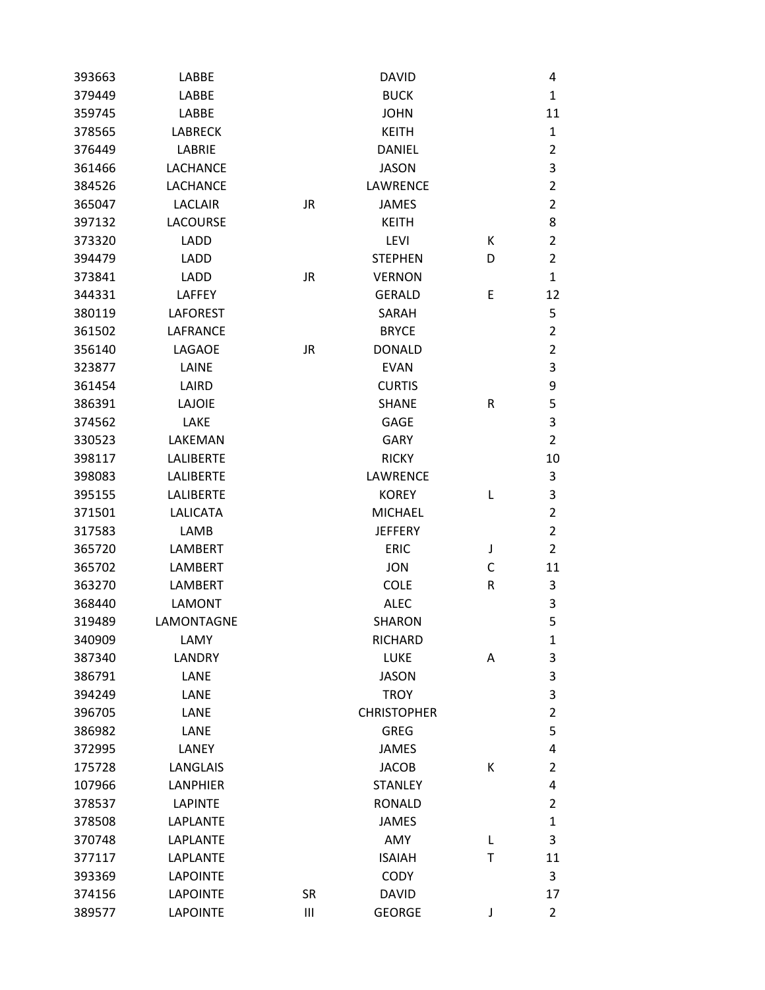| 393663 | LABBE            |           | <b>DAVID</b>       |   | 4              |
|--------|------------------|-----------|--------------------|---|----------------|
| 379449 | <b>LABBE</b>     |           | <b>BUCK</b>        |   | $\mathbf{1}$   |
| 359745 | <b>LABBE</b>     |           | <b>JOHN</b>        |   | 11             |
| 378565 | <b>LABRECK</b>   |           | <b>KEITH</b>       |   | $\mathbf{1}$   |
| 376449 | LABRIE           |           | <b>DANIEL</b>      |   | $\overline{2}$ |
| 361466 | <b>LACHANCE</b>  |           | <b>JASON</b>       |   | 3              |
| 384526 | <b>LACHANCE</b>  |           | LAWRENCE           |   | $\overline{2}$ |
| 365047 | <b>LACLAIR</b>   | <b>JR</b> | <b>JAMES</b>       |   | $\overline{2}$ |
| 397132 | <b>LACOURSE</b>  |           | <b>KEITH</b>       |   | 8              |
| 373320 | <b>LADD</b>      |           | <b>LEVI</b>        | К | $\overline{2}$ |
| 394479 | <b>LADD</b>      |           | <b>STEPHEN</b>     | D | $\overline{2}$ |
| 373841 | <b>LADD</b>      | <b>JR</b> | <b>VERNON</b>      |   | $\mathbf{1}$   |
| 344331 | LAFFEY           |           | <b>GERALD</b>      | E | 12             |
| 380119 | <b>LAFOREST</b>  |           | SARAH              |   | 5              |
| 361502 | <b>LAFRANCE</b>  |           | <b>BRYCE</b>       |   | $\overline{2}$ |
| 356140 | LAGAOE           | JR        | <b>DONALD</b>      |   | $\overline{2}$ |
| 323877 | LAINE            |           | <b>EVAN</b>        |   | 3              |
| 361454 | LAIRD            |           | <b>CURTIS</b>      |   | 9              |
| 386391 | <b>LAJOIE</b>    |           | <b>SHANE</b>       | R | 5              |
| 374562 | LAKE             |           | <b>GAGE</b>        |   | 3              |
| 330523 | LAKEMAN          |           | <b>GARY</b>        |   | $\overline{2}$ |
| 398117 | <b>LALIBERTE</b> |           | <b>RICKY</b>       |   | 10             |
| 398083 | <b>LALIBERTE</b> |           | LAWRENCE           |   | 3              |
| 395155 | <b>LALIBERTE</b> |           | <b>KOREY</b>       | L | 3              |
| 371501 | <b>LALICATA</b>  |           | <b>MICHAEL</b>     |   | $\overline{2}$ |
| 317583 | LAMB             |           | <b>JEFFERY</b>     |   | $\overline{2}$ |
| 365720 | <b>LAMBERT</b>   |           | <b>ERIC</b>        | J | $\overline{2}$ |
| 365702 | <b>LAMBERT</b>   |           | <b>JON</b>         | С | 11             |
| 363270 | <b>LAMBERT</b>   |           | <b>COLE</b>        | R | 3              |
| 368440 | <b>LAMONT</b>    |           | <b>ALEC</b>        |   | 3              |
| 319489 | LAMONTAGNE       |           | <b>SHARON</b>      |   | 5              |
| 340909 | LAMY             |           | <b>RICHARD</b>     |   | $\mathbf{1}$   |
| 387340 | <b>LANDRY</b>    |           | <b>LUKE</b>        | Α | 3              |
| 386791 | LANE             |           | <b>JASON</b>       |   | 3              |
| 394249 | LANE             |           | <b>TROY</b>        |   | 3              |
| 396705 | LANE             |           | <b>CHRISTOPHER</b> |   | $\overline{2}$ |
| 386982 | LANE             |           | <b>GREG</b>        |   | 5              |
| 372995 | LANEY            |           | <b>JAMES</b>       |   | 4              |
| 175728 | <b>LANGLAIS</b>  |           | <b>JACOB</b>       | К | $\overline{2}$ |
| 107966 | <b>LANPHIER</b>  |           | <b>STANLEY</b>     |   | 4              |
| 378537 | <b>LAPINTE</b>   |           | <b>RONALD</b>      |   | $\overline{2}$ |
| 378508 | <b>LAPLANTE</b>  |           | <b>JAMES</b>       |   | $\mathbf{1}$   |
| 370748 | LAPLANTE         |           | AMY                | Г | 3              |
| 377117 | LAPLANTE         |           | <b>ISAIAH</b>      | T | 11             |
| 393369 | <b>LAPOINTE</b>  |           | <b>CODY</b>        |   | 3              |
| 374156 | <b>LAPOINTE</b>  | <b>SR</b> | <b>DAVID</b>       |   | 17             |
| 389577 | <b>LAPOINTE</b>  | Ш         | <b>GEORGE</b>      | J | $\overline{2}$ |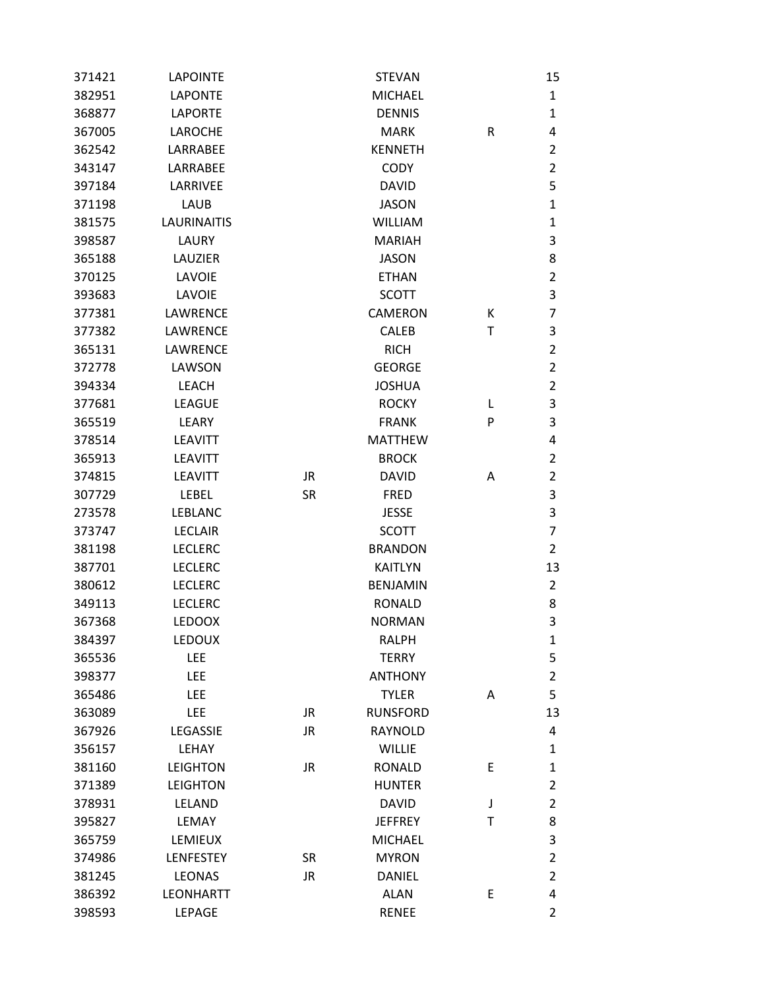| 371421 | <b>LAPOINTE</b>    |           | <b>STEVAN</b>   |   | 15             |
|--------|--------------------|-----------|-----------------|---|----------------|
| 382951 | <b>LAPONTE</b>     |           | <b>MICHAEL</b>  |   | $\mathbf{1}$   |
| 368877 | <b>LAPORTE</b>     |           | <b>DENNIS</b>   |   | $\mathbf{1}$   |
| 367005 | <b>LAROCHE</b>     |           | <b>MARK</b>     | R | 4              |
| 362542 | <b>LARRABEE</b>    |           | <b>KENNETH</b>  |   | $\overline{2}$ |
| 343147 | LARRABEE           |           | <b>CODY</b>     |   | $\overline{2}$ |
| 397184 | LARRIVEE           |           | <b>DAVID</b>    |   | 5              |
| 371198 | <b>LAUB</b>        |           | <b>JASON</b>    |   | $\mathbf{1}$   |
| 381575 | <b>LAURINAITIS</b> |           | <b>WILLIAM</b>  |   | $\mathbf{1}$   |
| 398587 | LAURY              |           | <b>MARIAH</b>   |   | 3              |
| 365188 | LAUZIER            |           | <b>JASON</b>    |   | 8              |
| 370125 | LAVOIE             |           | <b>ETHAN</b>    |   | $\overline{2}$ |
| 393683 | LAVOIE             |           | <b>SCOTT</b>    |   | 3              |
| 377381 | <b>LAWRENCE</b>    |           | <b>CAMERON</b>  | К | $\overline{7}$ |
| 377382 | <b>LAWRENCE</b>    |           | <b>CALEB</b>    | Τ | 3              |
| 365131 | <b>LAWRENCE</b>    |           | <b>RICH</b>     |   | $\overline{2}$ |
| 372778 | LAWSON             |           | <b>GEORGE</b>   |   | $\overline{2}$ |
| 394334 | <b>LEACH</b>       |           | <b>JOSHUA</b>   |   | $\overline{2}$ |
| 377681 | <b>LEAGUE</b>      |           | <b>ROCKY</b>    | L | 3              |
| 365519 | LEARY              |           | <b>FRANK</b>    | P | 3              |
| 378514 | <b>LEAVITT</b>     |           | <b>MATTHEW</b>  |   | 4              |
| 365913 | <b>LEAVITT</b>     |           | <b>BROCK</b>    |   | $\overline{2}$ |
| 374815 | <b>LEAVITT</b>     | <b>JR</b> | <b>DAVID</b>    | A | $\overline{2}$ |
| 307729 | <b>LEBEL</b>       | <b>SR</b> | <b>FRED</b>     |   | 3              |
| 273578 | <b>LEBLANC</b>     |           | <b>JESSE</b>    |   | 3              |
| 373747 | <b>LECLAIR</b>     |           | <b>SCOTT</b>    |   | $\overline{7}$ |
| 381198 | <b>LECLERC</b>     |           | <b>BRANDON</b>  |   | $\overline{2}$ |
| 387701 | <b>LECLERC</b>     |           | <b>KAITLYN</b>  |   | 13             |
| 380612 | <b>LECLERC</b>     |           | <b>BENJAMIN</b> |   | $\overline{2}$ |
| 349113 | <b>LECLERC</b>     |           | <b>RONALD</b>   |   | 8              |
| 367368 | <b>LEDOOX</b>      |           | <b>NORMAN</b>   |   | 3              |
| 384397 | <b>LEDOUX</b>      |           | <b>RALPH</b>    |   | $\mathbf{1}$   |
| 365536 | <b>LEE</b>         |           | <b>TERRY</b>    |   | 5              |
| 398377 | <b>LEE</b>         |           | <b>ANTHONY</b>  |   | $\overline{2}$ |
| 365486 | LEE                |           | <b>TYLER</b>    | A | 5              |
| 363089 | <b>LEE</b>         | <b>JR</b> | <b>RUNSFORD</b> |   | 13             |
| 367926 | LEGASSIE           | <b>JR</b> | <b>RAYNOLD</b>  |   | 4              |
| 356157 | LEHAY              |           | <b>WILLIE</b>   |   | $\mathbf{1}$   |
| 381160 | <b>LEIGHTON</b>    | <b>JR</b> | <b>RONALD</b>   | E | $\mathbf{1}$   |
| 371389 | <b>LEIGHTON</b>    |           | <b>HUNTER</b>   |   | $\overline{2}$ |
| 378931 | LELAND             |           | <b>DAVID</b>    | J | $\overline{2}$ |
| 395827 | LEMAY              |           | <b>JEFFREY</b>  | Τ | 8              |
| 365759 | LEMIEUX            |           | <b>MICHAEL</b>  |   | 3              |
| 374986 | <b>LENFESTEY</b>   | <b>SR</b> | <b>MYRON</b>    |   | $\overline{2}$ |
| 381245 | <b>LEONAS</b>      | <b>JR</b> | <b>DANIEL</b>   |   | $\overline{2}$ |
| 386392 | <b>LEONHARTT</b>   |           | <b>ALAN</b>     | E | 4              |
| 398593 | LEPAGE             |           | <b>RENEE</b>    |   | $\overline{2}$ |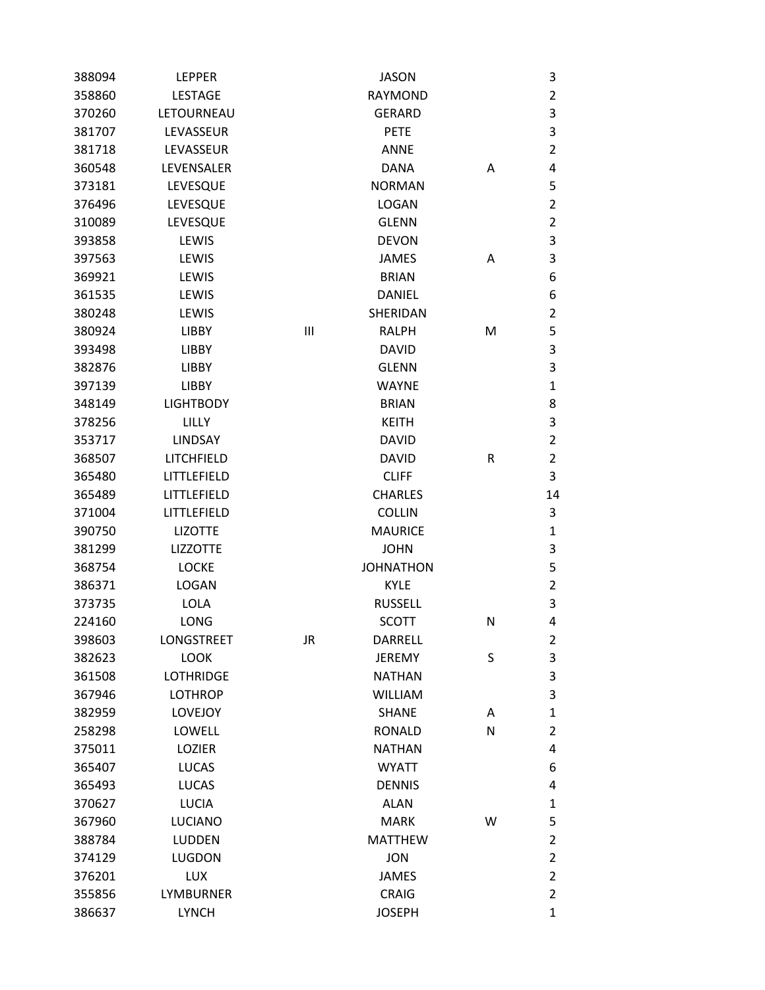| 388094 | <b>LEPPER</b>    |    | <b>JASON</b>     |              | 3              |
|--------|------------------|----|------------------|--------------|----------------|
| 358860 | <b>LESTAGE</b>   |    | <b>RAYMOND</b>   |              | $\overline{2}$ |
| 370260 | LETOURNEAU       |    | <b>GERARD</b>    |              | 3              |
| 381707 | LEVASSEUR        |    | <b>PETE</b>      |              | 3              |
| 381718 | LEVASSEUR        |    | <b>ANNE</b>      |              | $\overline{2}$ |
| 360548 | LEVENSALER       |    | <b>DANA</b>      | Α            | 4              |
| 373181 | LEVESQUE         |    | <b>NORMAN</b>    |              | 5              |
| 376496 | LEVESQUE         |    | <b>LOGAN</b>     |              | $\overline{2}$ |
| 310089 | LEVESQUE         |    | <b>GLENN</b>     |              | $\overline{2}$ |
| 393858 | LEWIS            |    | <b>DEVON</b>     |              | 3              |
| 397563 | LEWIS            |    | <b>JAMES</b>     | Α            | 3              |
| 369921 | LEWIS            |    | <b>BRIAN</b>     |              | 6              |
| 361535 | LEWIS            |    | <b>DANIEL</b>    |              | 6              |
| 380248 | LEWIS            |    | SHERIDAN         |              | $\overline{2}$ |
| 380924 | <b>LIBBY</b>     | Ш  | <b>RALPH</b>     | M            | 5              |
| 393498 | <b>LIBBY</b>     |    | <b>DAVID</b>     |              | 3              |
| 382876 | LIBBY            |    | <b>GLENN</b>     |              | 3              |
| 397139 | LIBBY            |    | <b>WAYNE</b>     |              | $\mathbf{1}$   |
| 348149 | <b>LIGHTBODY</b> |    | <b>BRIAN</b>     |              | 8              |
| 378256 | LILLY            |    | <b>KEITH</b>     |              | 3              |
| 353717 | LINDSAY          |    | <b>DAVID</b>     |              | $\overline{2}$ |
| 368507 | LITCHFIELD       |    | <b>DAVID</b>     | R            | $\overline{2}$ |
| 365480 | LITTLEFIELD      |    | <b>CLIFF</b>     |              | 3              |
| 365489 | LITTLEFIELD      |    | <b>CHARLES</b>   |              | 14             |
| 371004 | LITTLEFIELD      |    | <b>COLLIN</b>    |              | 3              |
| 390750 | <b>LIZOTTE</b>   |    | <b>MAURICE</b>   |              | $\mathbf{1}$   |
| 381299 | <b>LIZZOTTE</b>  |    | <b>JOHN</b>      |              | 3              |
| 368754 | <b>LOCKE</b>     |    | <b>JOHNATHON</b> |              | 5              |
| 386371 | <b>LOGAN</b>     |    | <b>KYLE</b>      |              | $\overline{2}$ |
| 373735 | LOLA             |    | <b>RUSSELL</b>   |              | 3              |
| 224160 | LONG             |    | <b>SCOTT</b>     | N            | 4              |
| 398603 | LONGSTREET       | JR | DARRELL          |              | 2              |
| 382623 | <b>LOOK</b>      |    | <b>JEREMY</b>    | S            | 3              |
| 361508 | <b>LOTHRIDGE</b> |    | <b>NATHAN</b>    |              | 3              |
| 367946 | <b>LOTHROP</b>   |    | <b>WILLIAM</b>   |              | 3              |
| 382959 | <b>LOVEJOY</b>   |    | <b>SHANE</b>     | Α            | $\mathbf{1}$   |
| 258298 | LOWELL           |    | <b>RONALD</b>    | $\mathsf{N}$ | $\overline{2}$ |
| 375011 | LOZIER           |    | <b>NATHAN</b>    |              | 4              |
| 365407 | <b>LUCAS</b>     |    | <b>WYATT</b>     |              | 6              |
| 365493 | <b>LUCAS</b>     |    | <b>DENNIS</b>    |              | 4              |
| 370627 | <b>LUCIA</b>     |    | <b>ALAN</b>      |              | $\mathbf{1}$   |
| 367960 | <b>LUCIANO</b>   |    | <b>MARK</b>      | W            | 5              |
| 388784 | <b>LUDDEN</b>    |    | <b>MATTHEW</b>   |              | $\overline{2}$ |
| 374129 | <b>LUGDON</b>    |    | <b>JON</b>       |              | $\overline{2}$ |
| 376201 | <b>LUX</b>       |    | <b>JAMES</b>     |              | $\overline{2}$ |
| 355856 | <b>LYMBURNER</b> |    | <b>CRAIG</b>     |              | $\overline{2}$ |
| 386637 | <b>LYNCH</b>     |    | <b>JOSEPH</b>    |              | $\mathbf{1}$   |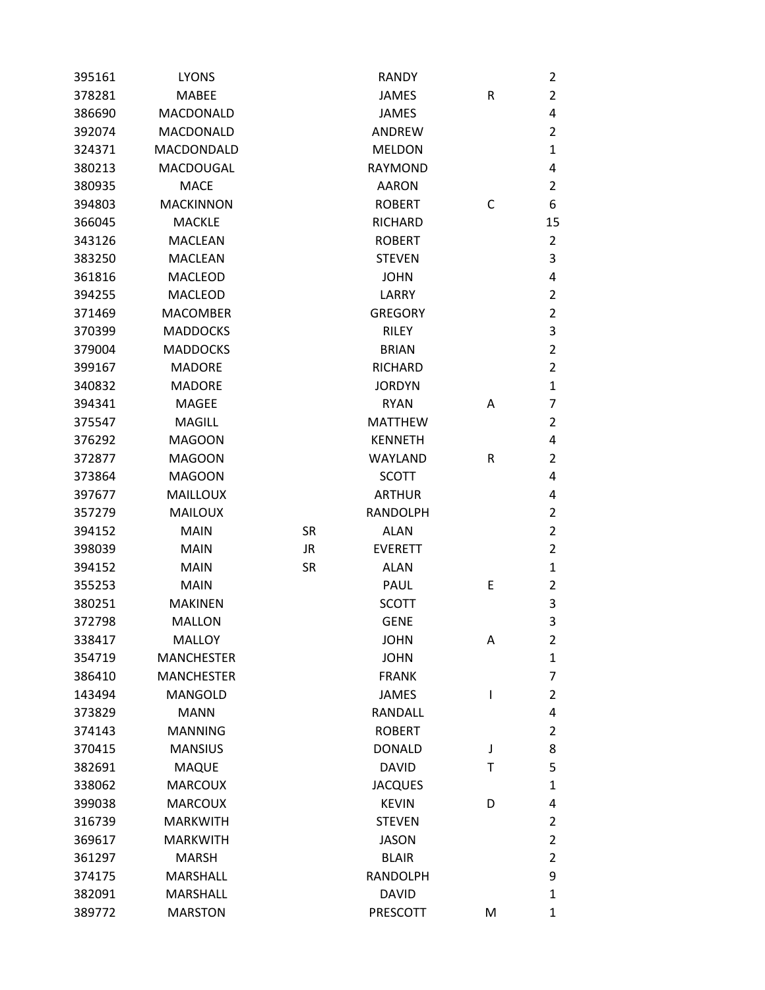| 395161 | <b>LYONS</b>      |           | <b>RANDY</b>    |   | 2              |
|--------|-------------------|-----------|-----------------|---|----------------|
| 378281 | <b>MABEE</b>      |           | <b>JAMES</b>    | R | $\overline{2}$ |
| 386690 | MACDONALD         |           | <b>JAMES</b>    |   | 4              |
| 392074 | MACDONALD         |           | ANDREW          |   | $\overline{2}$ |
| 324371 | MACDONDALD        |           | <b>MELDON</b>   |   | $\mathbf{1}$   |
| 380213 | MACDOUGAL         |           | <b>RAYMOND</b>  |   | 4              |
| 380935 | <b>MACE</b>       |           | <b>AARON</b>    |   | $\overline{2}$ |
| 394803 | <b>MACKINNON</b>  |           | <b>ROBERT</b>   | C | 6              |
| 366045 | <b>MACKLE</b>     |           | <b>RICHARD</b>  |   | 15             |
| 343126 | <b>MACLEAN</b>    |           | <b>ROBERT</b>   |   | $\overline{2}$ |
| 383250 | <b>MACLEAN</b>    |           | <b>STEVEN</b>   |   | 3              |
| 361816 | <b>MACLEOD</b>    |           | <b>JOHN</b>     |   | 4              |
| 394255 | <b>MACLEOD</b>    |           | LARRY           |   | $\overline{2}$ |
| 371469 | <b>MACOMBER</b>   |           | <b>GREGORY</b>  |   | $\overline{2}$ |
| 370399 | <b>MADDOCKS</b>   |           | <b>RILEY</b>    |   | 3              |
| 379004 | <b>MADDOCKS</b>   |           | <b>BRIAN</b>    |   | $\overline{2}$ |
| 399167 | <b>MADORE</b>     |           | <b>RICHARD</b>  |   | $\overline{2}$ |
| 340832 | <b>MADORE</b>     |           | <b>JORDYN</b>   |   | $\mathbf{1}$   |
| 394341 | <b>MAGEE</b>      |           | <b>RYAN</b>     | Α | $\overline{7}$ |
| 375547 | <b>MAGILL</b>     |           | <b>MATTHEW</b>  |   | $\overline{2}$ |
| 376292 | <b>MAGOON</b>     |           | <b>KENNETH</b>  |   | 4              |
| 372877 | <b>MAGOON</b>     |           | <b>WAYLAND</b>  | R | $\overline{2}$ |
| 373864 | <b>MAGOON</b>     |           | <b>SCOTT</b>    |   | 4              |
| 397677 | <b>MAILLOUX</b>   |           | <b>ARTHUR</b>   |   | 4              |
| 357279 | <b>MAILOUX</b>    |           | <b>RANDOLPH</b> |   | $\overline{2}$ |
| 394152 | <b>MAIN</b>       | <b>SR</b> | <b>ALAN</b>     |   | $\overline{2}$ |
| 398039 | <b>MAIN</b>       | JR        | <b>EVERETT</b>  |   | $\overline{2}$ |
| 394152 | <b>MAIN</b>       | <b>SR</b> | <b>ALAN</b>     |   | $\mathbf{1}$   |
| 355253 | <b>MAIN</b>       |           | PAUL            | Ε | $\overline{2}$ |
| 380251 | <b>MAKINEN</b>    |           | <b>SCOTT</b>    |   | 3              |
| 372798 | <b>MALLON</b>     |           | <b>GENE</b>     |   | 3              |
| 338417 | <b>MALLOY</b>     |           | <b>JOHN</b>     | Α | 2              |
| 354719 | <b>MANCHESTER</b> |           | <b>JOHN</b>     |   | $\mathbf{1}$   |
| 386410 | <b>MANCHESTER</b> |           | <b>FRANK</b>    |   | $\overline{7}$ |
| 143494 | <b>MANGOLD</b>    |           | <b>JAMES</b>    | I | $\overline{2}$ |
| 373829 | <b>MANN</b>       |           | <b>RANDALL</b>  |   | 4              |
| 374143 | <b>MANNING</b>    |           | <b>ROBERT</b>   |   | $\overline{2}$ |
| 370415 | <b>MANSIUS</b>    |           | <b>DONALD</b>   | J | 8              |
| 382691 | <b>MAQUE</b>      |           | <b>DAVID</b>    | Τ | 5              |
| 338062 | <b>MARCOUX</b>    |           | <b>JACQUES</b>  |   | $\mathbf{1}$   |
| 399038 | <b>MARCOUX</b>    |           | <b>KEVIN</b>    | D | 4              |
| 316739 | <b>MARKWITH</b>   |           | <b>STEVEN</b>   |   | $\overline{2}$ |
| 369617 | <b>MARKWITH</b>   |           | <b>JASON</b>    |   | $\overline{2}$ |
| 361297 | <b>MARSH</b>      |           | <b>BLAIR</b>    |   | $\overline{2}$ |
| 374175 | <b>MARSHALL</b>   |           | <b>RANDOLPH</b> |   | 9              |
| 382091 | <b>MARSHALL</b>   |           | <b>DAVID</b>    |   | $\mathbf{1}$   |
| 389772 | <b>MARSTON</b>    |           | PRESCOTT        | M | $\mathbf{1}$   |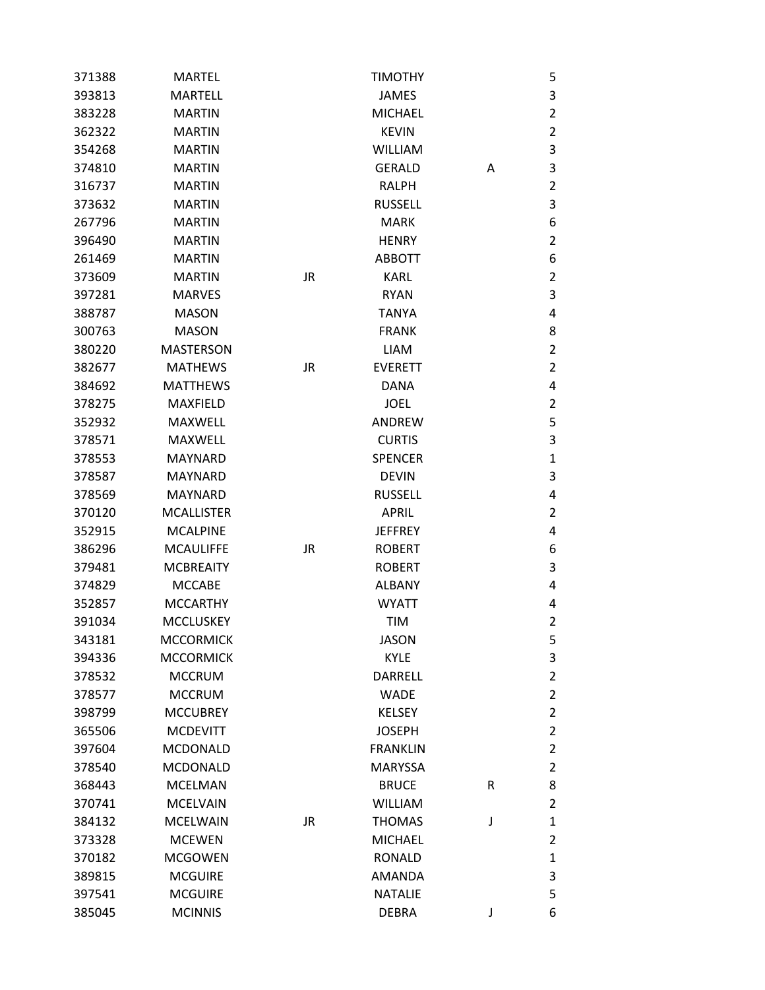| 371388 | <b>MARTEL</b>     |           | <b>TIMOTHY</b>  |   | 5              |
|--------|-------------------|-----------|-----------------|---|----------------|
| 393813 | <b>MARTELL</b>    |           | <b>JAMES</b>    |   | 3              |
| 383228 | <b>MARTIN</b>     |           | <b>MICHAEL</b>  |   | $\overline{2}$ |
| 362322 | <b>MARTIN</b>     |           | <b>KEVIN</b>    |   | $\overline{2}$ |
| 354268 | <b>MARTIN</b>     |           | <b>WILLIAM</b>  |   | $\mathsf 3$    |
| 374810 | <b>MARTIN</b>     |           | <b>GERALD</b>   | Α | 3              |
| 316737 | <b>MARTIN</b>     |           | <b>RALPH</b>    |   | $\overline{2}$ |
| 373632 | <b>MARTIN</b>     |           | <b>RUSSELL</b>  |   | 3              |
| 267796 | <b>MARTIN</b>     |           | <b>MARK</b>     |   | 6              |
| 396490 | <b>MARTIN</b>     |           | <b>HENRY</b>    |   | $\overline{2}$ |
| 261469 | <b>MARTIN</b>     |           | <b>ABBOTT</b>   |   | 6              |
| 373609 | <b>MARTIN</b>     | <b>JR</b> | <b>KARL</b>     |   | $\overline{2}$ |
| 397281 | <b>MARVES</b>     |           | <b>RYAN</b>     |   | 3              |
| 388787 | <b>MASON</b>      |           | <b>TANYA</b>    |   | 4              |
| 300763 | <b>MASON</b>      |           | <b>FRANK</b>    |   | 8              |
| 380220 | <b>MASTERSON</b>  |           | <b>LIAM</b>     |   | $\overline{2}$ |
| 382677 | <b>MATHEWS</b>    | JR        | <b>EVERETT</b>  |   | $\overline{2}$ |
| 384692 | <b>MATTHEWS</b>   |           | <b>DANA</b>     |   | 4              |
| 378275 | <b>MAXFIELD</b>   |           | <b>JOEL</b>     |   | $\overline{2}$ |
| 352932 | <b>MAXWELL</b>    |           | ANDREW          |   | 5              |
| 378571 | MAXWELL           |           | <b>CURTIS</b>   |   | 3              |
| 378553 | <b>MAYNARD</b>    |           | <b>SPENCER</b>  |   | $\mathbf{1}$   |
| 378587 | <b>MAYNARD</b>    |           | <b>DEVIN</b>    |   | $\mathsf 3$    |
| 378569 | <b>MAYNARD</b>    |           | <b>RUSSELL</b>  |   | 4              |
| 370120 | <b>MCALLISTER</b> |           | <b>APRIL</b>    |   | $\overline{2}$ |
| 352915 | <b>MCALPINE</b>   |           | <b>JEFFREY</b>  |   | 4              |
| 386296 | <b>MCAULIFFE</b>  | <b>JR</b> | <b>ROBERT</b>   |   | 6              |
| 379481 | <b>MCBREAITY</b>  |           | <b>ROBERT</b>   |   | 3              |
| 374829 | <b>MCCABE</b>     |           | <b>ALBANY</b>   |   | 4              |
| 352857 | <b>MCCARTHY</b>   |           | <b>WYATT</b>    |   | 4              |
| 391034 | <b>MCCLUSKEY</b>  |           | <b>TIM</b>      |   | $\overline{c}$ |
| 343181 | <b>MCCORMICK</b>  |           | <b>JASON</b>    |   | 5              |
| 394336 | <b>MCCORMICK</b>  |           | <b>KYLE</b>     |   | 3              |
| 378532 | <b>MCCRUM</b>     |           | <b>DARRELL</b>  |   | $\overline{2}$ |
| 378577 | <b>MCCRUM</b>     |           | <b>WADE</b>     |   | $\overline{2}$ |
| 398799 | <b>MCCUBREY</b>   |           | <b>KELSEY</b>   |   | $\overline{2}$ |
| 365506 | <b>MCDEVITT</b>   |           | <b>JOSEPH</b>   |   | $\overline{2}$ |
| 397604 | <b>MCDONALD</b>   |           | <b>FRANKLIN</b> |   | $\overline{2}$ |
| 378540 | <b>MCDONALD</b>   |           | <b>MARYSSA</b>  |   | $\overline{2}$ |
| 368443 | <b>MCELMAN</b>    |           | <b>BRUCE</b>    | R | 8              |
| 370741 | <b>MCELVAIN</b>   |           | <b>WILLIAM</b>  |   | $\overline{2}$ |
| 384132 | <b>MCELWAIN</b>   | JR        | <b>THOMAS</b>   | J | $\mathbf{1}$   |
| 373328 | <b>MCEWEN</b>     |           | <b>MICHAEL</b>  |   | $\overline{2}$ |
| 370182 | <b>MCGOWEN</b>    |           | <b>RONALD</b>   |   | $\mathbf{1}$   |
| 389815 | <b>MCGUIRE</b>    |           | <b>AMANDA</b>   |   | 3              |
| 397541 | <b>MCGUIRE</b>    |           | <b>NATALIE</b>  |   | 5              |
| 385045 | <b>MCINNIS</b>    |           | <b>DEBRA</b>    | J | 6              |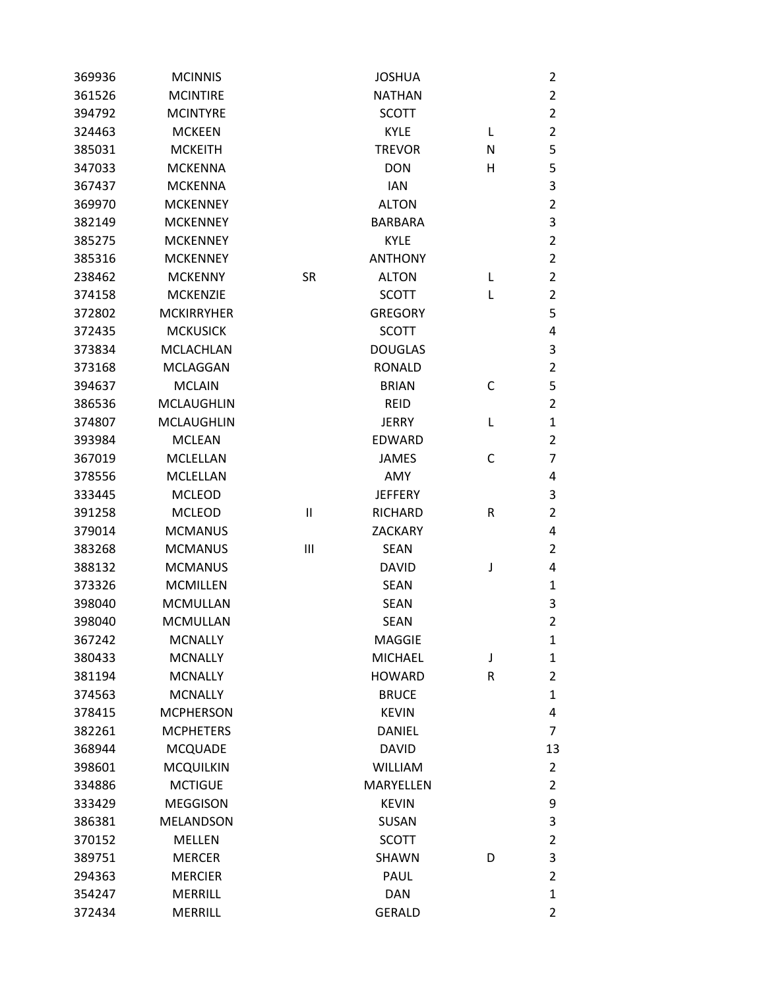| 369936 | <b>MCINNIS</b>    |              | <b>JOSHUA</b>  |   | $\overline{2}$ |
|--------|-------------------|--------------|----------------|---|----------------|
| 361526 | <b>MCINTIRE</b>   |              | <b>NATHAN</b>  |   | $\overline{2}$ |
| 394792 | <b>MCINTYRE</b>   |              | <b>SCOTT</b>   |   | $\overline{2}$ |
| 324463 | <b>MCKEEN</b>     |              | <b>KYLE</b>    | L | $\overline{2}$ |
| 385031 | <b>MCKEITH</b>    |              | <b>TREVOR</b>  | N | 5              |
| 347033 | <b>MCKENNA</b>    |              | <b>DON</b>     | н | 5              |
| 367437 | <b>MCKENNA</b>    |              | <b>IAN</b>     |   | 3              |
| 369970 | <b>MCKENNEY</b>   |              | <b>ALTON</b>   |   | $\overline{2}$ |
| 382149 | <b>MCKENNEY</b>   |              | <b>BARBARA</b> |   | $\mathsf 3$    |
| 385275 | <b>MCKENNEY</b>   |              | <b>KYLE</b>    |   | $\overline{2}$ |
| 385316 | <b>MCKENNEY</b>   |              | <b>ANTHONY</b> |   | $\overline{2}$ |
| 238462 | <b>MCKENNY</b>    | <b>SR</b>    | <b>ALTON</b>   | L | $\overline{2}$ |
| 374158 | <b>MCKENZIE</b>   |              | <b>SCOTT</b>   | L | $\overline{2}$ |
| 372802 | <b>MCKIRRYHER</b> |              | <b>GREGORY</b> |   | 5              |
| 372435 | <b>MCKUSICK</b>   |              | <b>SCOTT</b>   |   | 4              |
| 373834 | <b>MCLACHLAN</b>  |              | <b>DOUGLAS</b> |   | 3              |
| 373168 | <b>MCLAGGAN</b>   |              | <b>RONALD</b>  |   | $\overline{2}$ |
| 394637 | <b>MCLAIN</b>     |              | <b>BRIAN</b>   | C | 5              |
| 386536 | <b>MCLAUGHLIN</b> |              | <b>REID</b>    |   | $\overline{2}$ |
| 374807 | <b>MCLAUGHLIN</b> |              | <b>JERRY</b>   | L | $\mathbf{1}$   |
| 393984 | <b>MCLEAN</b>     |              | <b>EDWARD</b>  |   | 2              |
| 367019 | <b>MCLELLAN</b>   |              | <b>JAMES</b>   | С | $\overline{7}$ |
| 378556 | <b>MCLELLAN</b>   |              | AMY            |   | 4              |
| 333445 | <b>MCLEOD</b>     |              | <b>JEFFERY</b> |   | 3              |
| 391258 | <b>MCLEOD</b>     | $\mathbf{I}$ | <b>RICHARD</b> | R | $\overline{2}$ |
| 379014 | <b>MCMANUS</b>    |              | <b>ZACKARY</b> |   | 4              |
| 383268 | <b>MCMANUS</b>    | Ш            | <b>SEAN</b>    |   | $\overline{2}$ |
| 388132 | <b>MCMANUS</b>    |              | DAVID          | J | 4              |
| 373326 | <b>MCMILLEN</b>   |              | <b>SEAN</b>    |   | $\mathbf 1$    |
| 398040 | <b>MCMULLAN</b>   |              | <b>SEAN</b>    |   | 3              |
| 398040 | <b>MCMULLAN</b>   |              | <b>SEAN</b>    |   | $\overline{2}$ |
| 367242 | <b>MCNALLY</b>    |              | <b>MAGGIE</b>  |   | $\mathbf{1}$   |
| 380433 | <b>MCNALLY</b>    |              | <b>MICHAEL</b> | J | $\mathbf{1}$   |
| 381194 | <b>MCNALLY</b>    |              | <b>HOWARD</b>  | R | $\overline{2}$ |
| 374563 | <b>MCNALLY</b>    |              | <b>BRUCE</b>   |   | $\mathbf{1}$   |
| 378415 | <b>MCPHERSON</b>  |              | <b>KEVIN</b>   |   | 4              |
| 382261 | <b>MCPHETERS</b>  |              | <b>DANIEL</b>  |   | $\overline{7}$ |
| 368944 | <b>MCQUADE</b>    |              | <b>DAVID</b>   |   | 13             |
| 398601 | <b>MCQUILKIN</b>  |              | <b>WILLIAM</b> |   | $\overline{2}$ |
| 334886 | <b>MCTIGUE</b>    |              | MARYELLEN      |   | $\overline{2}$ |
| 333429 | <b>MEGGISON</b>   |              | <b>KEVIN</b>   |   | 9              |
| 386381 | <b>MELANDSON</b>  |              | <b>SUSAN</b>   |   | 3              |
| 370152 | <b>MELLEN</b>     |              | <b>SCOTT</b>   |   | $\overline{2}$ |
| 389751 | <b>MERCER</b>     |              | SHAWN          | D | 3              |
| 294363 | <b>MERCIER</b>    |              | PAUL           |   | $\overline{2}$ |
| 354247 | <b>MERRILL</b>    |              | <b>DAN</b>     |   | $\mathbf{1}$   |
| 372434 | <b>MERRILL</b>    |              | <b>GERALD</b>  |   | $\overline{2}$ |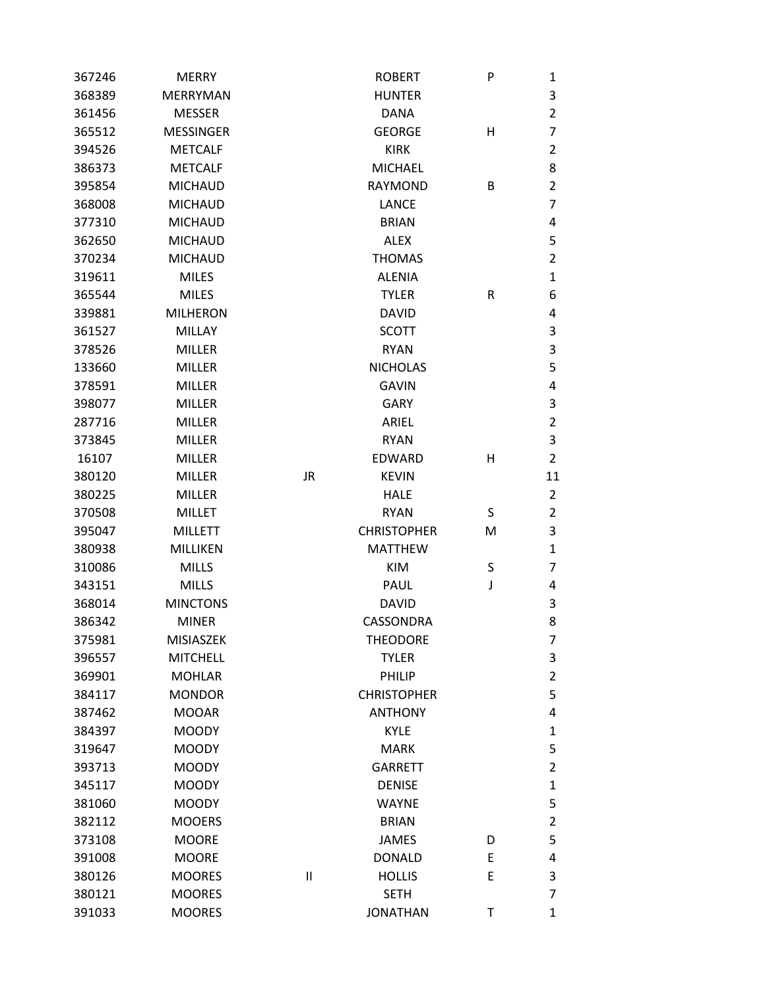| 367246 | <b>MERRY</b>     |           | <b>ROBERT</b>      | P | 1              |
|--------|------------------|-----------|--------------------|---|----------------|
| 368389 | <b>MERRYMAN</b>  |           | <b>HUNTER</b>      |   | 3              |
| 361456 | <b>MESSER</b>    |           | <b>DANA</b>        |   | $\overline{2}$ |
| 365512 | <b>MESSINGER</b> |           | <b>GEORGE</b>      | н | $\overline{7}$ |
| 394526 | <b>METCALF</b>   |           | <b>KIRK</b>        |   | $\overline{2}$ |
| 386373 | <b>METCALF</b>   |           | <b>MICHAEL</b>     |   | 8              |
| 395854 | <b>MICHAUD</b>   |           | <b>RAYMOND</b>     | В | $\overline{2}$ |
| 368008 | <b>MICHAUD</b>   |           | <b>LANCE</b>       |   | $\overline{7}$ |
| 377310 | <b>MICHAUD</b>   |           | <b>BRIAN</b>       |   | 4              |
| 362650 | <b>MICHAUD</b>   |           | <b>ALEX</b>        |   | 5              |
| 370234 | <b>MICHAUD</b>   |           | <b>THOMAS</b>      |   | $\overline{2}$ |
| 319611 | <b>MILES</b>     |           | <b>ALENIA</b>      |   | $\mathbf{1}$   |
| 365544 | <b>MILES</b>     |           | <b>TYLER</b>       | R | 6              |
| 339881 | <b>MILHERON</b>  |           | <b>DAVID</b>       |   | 4              |
| 361527 | MILLAY           |           | <b>SCOTT</b>       |   | 3              |
| 378526 | <b>MILLER</b>    |           | <b>RYAN</b>        |   | $\mathsf 3$    |
| 133660 | <b>MILLER</b>    |           | <b>NICHOLAS</b>    |   | 5              |
| 378591 | <b>MILLER</b>    |           | <b>GAVIN</b>       |   | 4              |
| 398077 | <b>MILLER</b>    |           | <b>GARY</b>        |   | $\mathsf 3$    |
| 287716 | <b>MILLER</b>    |           | ARIEL              |   | $\overline{2}$ |
| 373845 | <b>MILLER</b>    |           | <b>RYAN</b>        |   | 3              |
| 16107  | <b>MILLER</b>    |           | <b>EDWARD</b>      | н | $\overline{2}$ |
| 380120 | <b>MILLER</b>    | <b>JR</b> | <b>KEVIN</b>       |   | 11             |
| 380225 | <b>MILLER</b>    |           | <b>HALE</b>        |   | $\overline{2}$ |
| 370508 | <b>MILLET</b>    |           | <b>RYAN</b>        | S | $\overline{2}$ |
| 395047 | <b>MILLETT</b>   |           | <b>CHRISTOPHER</b> | M | 3              |
| 380938 | MILLIKEN         |           | <b>MATTHEW</b>     |   | $\mathbf{1}$   |
| 310086 | <b>MILLS</b>     |           | <b>KIM</b>         | S | $\overline{7}$ |
| 343151 | <b>MILLS</b>     |           | <b>PAUL</b>        | J | 4              |
| 368014 | <b>MINCTONS</b>  |           | <b>DAVID</b>       |   | 3              |
| 386342 | <b>MINER</b>     |           | CASSONDRA          |   | 8              |
| 375981 | <b>MISIASZEK</b> |           | <b>THEODORE</b>    |   | 7              |
| 396557 | <b>MITCHELL</b>  |           | <b>TYLER</b>       |   | 3              |
| 369901 | <b>MOHLAR</b>    |           | PHILIP             |   | $\overline{2}$ |
| 384117 | <b>MONDOR</b>    |           | <b>CHRISTOPHER</b> |   | 5              |
| 387462 | <b>MOOAR</b>     |           | <b>ANTHONY</b>     |   | 4              |
| 384397 | <b>MOODY</b>     |           | <b>KYLE</b>        |   | $\mathbf{1}$   |
| 319647 | <b>MOODY</b>     |           | <b>MARK</b>        |   | 5              |
| 393713 | <b>MOODY</b>     |           | <b>GARRETT</b>     |   | $\overline{2}$ |
| 345117 | <b>MOODY</b>     |           | <b>DENISE</b>      |   | $\mathbf{1}$   |
| 381060 | <b>MOODY</b>     |           | <b>WAYNE</b>       |   | 5              |
| 382112 | <b>MOOERS</b>    |           | <b>BRIAN</b>       |   | $\overline{2}$ |
| 373108 | <b>MOORE</b>     |           | <b>JAMES</b>       | D | 5              |
| 391008 | <b>MOORE</b>     |           | <b>DONALD</b>      | Ε | 4              |
| 380126 | <b>MOORES</b>    | $\sf II$  | <b>HOLLIS</b>      | E | 3              |
| 380121 | <b>MOORES</b>    |           | <b>SETH</b>        |   | 7              |
| 391033 | <b>MOORES</b>    |           | <b>JONATHAN</b>    | Τ | $\mathbf{1}$   |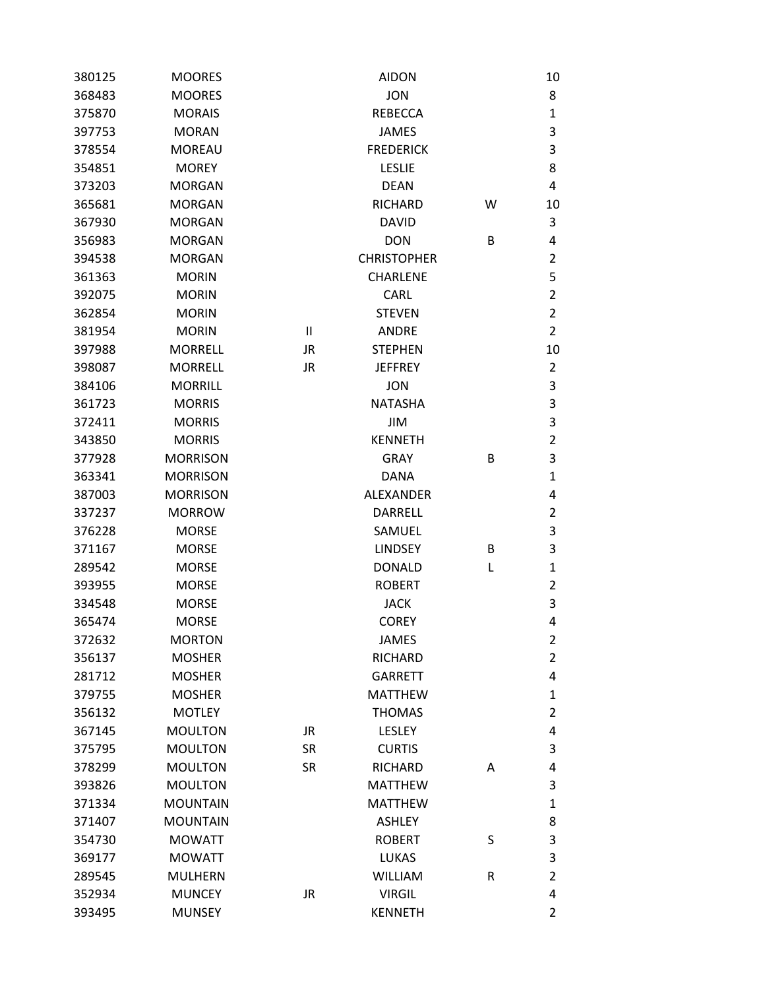| 380125 | <b>MOORES</b>   |           | <b>AIDON</b>       |   | 10                        |
|--------|-----------------|-----------|--------------------|---|---------------------------|
| 368483 | <b>MOORES</b>   |           | <b>JON</b>         |   | 8                         |
| 375870 | <b>MORAIS</b>   |           | <b>REBECCA</b>     |   | 1                         |
| 397753 | <b>MORAN</b>    |           | <b>JAMES</b>       |   | 3                         |
| 378554 | <b>MOREAU</b>   |           | <b>FREDERICK</b>   |   | 3                         |
| 354851 | <b>MOREY</b>    |           | <b>LESLIE</b>      |   | 8                         |
| 373203 | <b>MORGAN</b>   |           | <b>DEAN</b>        |   | $\overline{4}$            |
| 365681 | <b>MORGAN</b>   |           | <b>RICHARD</b>     | W | 10                        |
| 367930 | <b>MORGAN</b>   |           | <b>DAVID</b>       |   | 3                         |
| 356983 | <b>MORGAN</b>   |           | <b>DON</b>         | B | 4                         |
| 394538 | <b>MORGAN</b>   |           | <b>CHRISTOPHER</b> |   | $\overline{2}$            |
| 361363 | <b>MORIN</b>    |           | <b>CHARLENE</b>    |   | 5                         |
| 392075 | <b>MORIN</b>    |           | CARL               |   | $\overline{2}$            |
| 362854 | <b>MORIN</b>    |           | <b>STEVEN</b>      |   | $\overline{2}$            |
| 381954 | <b>MORIN</b>    | $\sf II$  | <b>ANDRE</b>       |   | $\overline{2}$            |
| 397988 | <b>MORRELL</b>  | JR        | <b>STEPHEN</b>     |   | 10                        |
| 398087 | <b>MORRELL</b>  | <b>JR</b> | <b>JEFFREY</b>     |   | $\overline{2}$            |
| 384106 | <b>MORRILL</b>  |           | <b>JON</b>         |   | 3                         |
| 361723 | <b>MORRIS</b>   |           | <b>NATASHA</b>     |   | 3                         |
| 372411 | <b>MORRIS</b>   |           | <b>JIM</b>         |   | 3                         |
| 343850 | <b>MORRIS</b>   |           | <b>KENNETH</b>     |   | $\overline{2}$            |
| 377928 | <b>MORRISON</b> |           | <b>GRAY</b>        | B | $\mathsf 3$               |
| 363341 | <b>MORRISON</b> |           | <b>DANA</b>        |   | $\mathbf{1}$              |
| 387003 | <b>MORRISON</b> |           | <b>ALEXANDER</b>   |   | 4                         |
| 337237 | <b>MORROW</b>   |           | <b>DARRELL</b>     |   | $\overline{2}$            |
| 376228 | <b>MORSE</b>    |           | SAMUEL             |   | $\mathsf 3$               |
| 371167 | <b>MORSE</b>    |           | <b>LINDSEY</b>     | B | 3                         |
| 289542 | <b>MORSE</b>    |           | <b>DONALD</b>      | L | $\mathbf 1$               |
| 393955 | <b>MORSE</b>    |           | <b>ROBERT</b>      |   | $\overline{2}$            |
| 334548 | <b>MORSE</b>    |           | <b>JACK</b>        |   | 3                         |
| 365474 | <b>MORSE</b>    |           | <b>COREY</b>       |   | 4                         |
| 372632 | <b>MORTON</b>   |           | <b>JAMES</b>       |   | $\overline{2}$            |
| 356137 | <b>MOSHER</b>   |           | <b>RICHARD</b>     |   | $\overline{2}$            |
| 281712 | <b>MOSHER</b>   |           | <b>GARRETT</b>     |   | 4                         |
| 379755 | <b>MOSHER</b>   |           | <b>MATTHEW</b>     |   | $\mathbf{1}$              |
| 356132 | <b>MOTLEY</b>   |           | <b>THOMAS</b>      |   | $\overline{2}$            |
| 367145 | <b>MOULTON</b>  | <b>JR</b> | <b>LESLEY</b>      |   | $\pmb{4}$                 |
| 375795 | <b>MOULTON</b>  | <b>SR</b> | <b>CURTIS</b>      |   | 3                         |
| 378299 | <b>MOULTON</b>  | <b>SR</b> | <b>RICHARD</b>     | A | 4                         |
| 393826 | <b>MOULTON</b>  |           | <b>MATTHEW</b>     |   | 3                         |
| 371334 | <b>MOUNTAIN</b> |           | <b>MATTHEW</b>     |   | $\mathbf{1}$              |
| 371407 | <b>MOUNTAIN</b> |           | <b>ASHLEY</b>      |   | 8                         |
| 354730 | <b>MOWATT</b>   |           | <b>ROBERT</b>      | S | 3                         |
| 369177 | <b>MOWATT</b>   |           | <b>LUKAS</b>       |   | $\ensuremath{\mathsf{3}}$ |
| 289545 | <b>MULHERN</b>  |           | <b>WILLIAM</b>     | R | $\overline{2}$            |
| 352934 | <b>MUNCEY</b>   | <b>JR</b> | <b>VIRGIL</b>      |   | 4                         |
| 393495 | <b>MUNSEY</b>   |           | <b>KENNETH</b>     |   | $\overline{2}$            |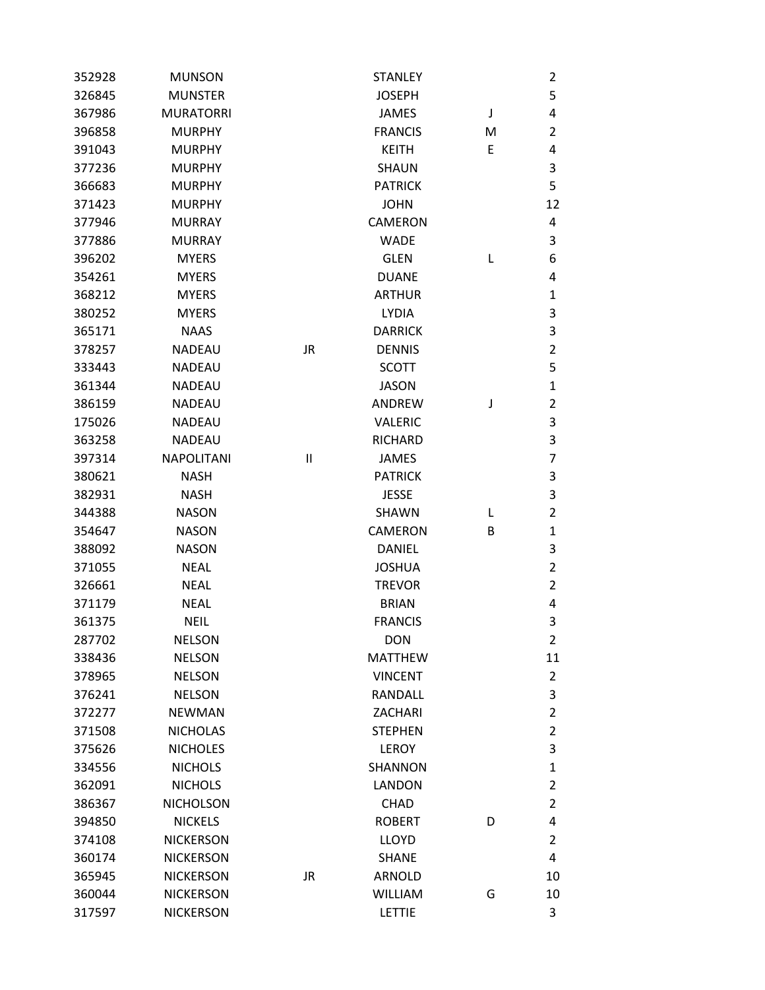| 352928 | <b>MUNSON</b>     |    | <b>STANLEY</b> |   | 2              |
|--------|-------------------|----|----------------|---|----------------|
| 326845 | <b>MUNSTER</b>    |    | <b>JOSEPH</b>  |   | 5              |
| 367986 | <b>MURATORRI</b>  |    | <b>JAMES</b>   | J | 4              |
| 396858 | <b>MURPHY</b>     |    | <b>FRANCIS</b> | M | 2              |
| 391043 | <b>MURPHY</b>     |    | <b>KEITH</b>   | E | 4              |
| 377236 | <b>MURPHY</b>     |    | <b>SHAUN</b>   |   | 3              |
| 366683 | <b>MURPHY</b>     |    | <b>PATRICK</b> |   | 5              |
| 371423 | <b>MURPHY</b>     |    | <b>JOHN</b>    |   | 12             |
| 377946 | <b>MURRAY</b>     |    | <b>CAMERON</b> |   | 4              |
| 377886 | <b>MURRAY</b>     |    | <b>WADE</b>    |   | 3              |
| 396202 | <b>MYERS</b>      |    | <b>GLEN</b>    | L | 6              |
| 354261 | <b>MYERS</b>      |    | <b>DUANE</b>   |   | 4              |
| 368212 | <b>MYERS</b>      |    | <b>ARTHUR</b>  |   | $\mathbf{1}$   |
| 380252 | <b>MYERS</b>      |    | <b>LYDIA</b>   |   | 3              |
| 365171 | <b>NAAS</b>       |    | <b>DARRICK</b> |   | 3              |
| 378257 | <b>NADEAU</b>     | JR | <b>DENNIS</b>  |   | $\overline{2}$ |
| 333443 | <b>NADEAU</b>     |    | <b>SCOTT</b>   |   | 5              |
| 361344 | <b>NADEAU</b>     |    | <b>JASON</b>   |   | $\mathbf{1}$   |
| 386159 | <b>NADEAU</b>     |    | ANDREW         | J | $\overline{2}$ |
| 175026 | <b>NADEAU</b>     |    | <b>VALERIC</b> |   | 3              |
| 363258 | <b>NADEAU</b>     |    | <b>RICHARD</b> |   | 3              |
| 397314 | <b>NAPOLITANI</b> | Ш  | <b>JAMES</b>   |   | 7              |
| 380621 | <b>NASH</b>       |    | <b>PATRICK</b> |   | 3              |
| 382931 | <b>NASH</b>       |    | <b>JESSE</b>   |   | 3              |
| 344388 | <b>NASON</b>      |    | <b>SHAWN</b>   | L | $\overline{2}$ |
| 354647 | <b>NASON</b>      |    | <b>CAMERON</b> | В | $\mathbf{1}$   |
| 388092 | <b>NASON</b>      |    | <b>DANIEL</b>  |   | 3              |
| 371055 | <b>NEAL</b>       |    | <b>JOSHUA</b>  |   | $\overline{2}$ |
| 326661 | <b>NEAL</b>       |    | <b>TREVOR</b>  |   | $\overline{2}$ |
| 371179 | <b>NEAL</b>       |    | <b>BRIAN</b>   |   | 4              |
| 361375 | <b>NEIL</b>       |    | <b>FRANCIS</b> |   | 3              |
| 287702 | <b>NELSON</b>     |    | <b>DON</b>     |   | $\overline{2}$ |
| 338436 | <b>NELSON</b>     |    | <b>MATTHEW</b> |   | 11             |
| 378965 | <b>NELSON</b>     |    | <b>VINCENT</b> |   | $\overline{2}$ |
| 376241 | <b>NELSON</b>     |    | RANDALL        |   | 3              |
| 372277 | <b>NEWMAN</b>     |    | ZACHARI        |   | $\overline{2}$ |
| 371508 | <b>NICHOLAS</b>   |    | <b>STEPHEN</b> |   | $\overline{2}$ |
| 375626 | <b>NICHOLES</b>   |    | <b>LEROY</b>   |   | 3              |
| 334556 | <b>NICHOLS</b>    |    | <b>SHANNON</b> |   | $\mathbf{1}$   |
| 362091 | <b>NICHOLS</b>    |    | <b>LANDON</b>  |   | $\overline{2}$ |
| 386367 | <b>NICHOLSON</b>  |    | <b>CHAD</b>    |   | $\overline{2}$ |
| 394850 | <b>NICKELS</b>    |    | <b>ROBERT</b>  | D | 4              |
| 374108 | <b>NICKERSON</b>  |    | <b>LLOYD</b>   |   | $\overline{2}$ |
| 360174 | <b>NICKERSON</b>  |    | <b>SHANE</b>   |   | 4              |
| 365945 | <b>NICKERSON</b>  | JR | <b>ARNOLD</b>  |   | 10             |
| 360044 | <b>NICKERSON</b>  |    | <b>WILLIAM</b> | G | 10             |
| 317597 | <b>NICKERSON</b>  |    | LETTIE         |   | 3              |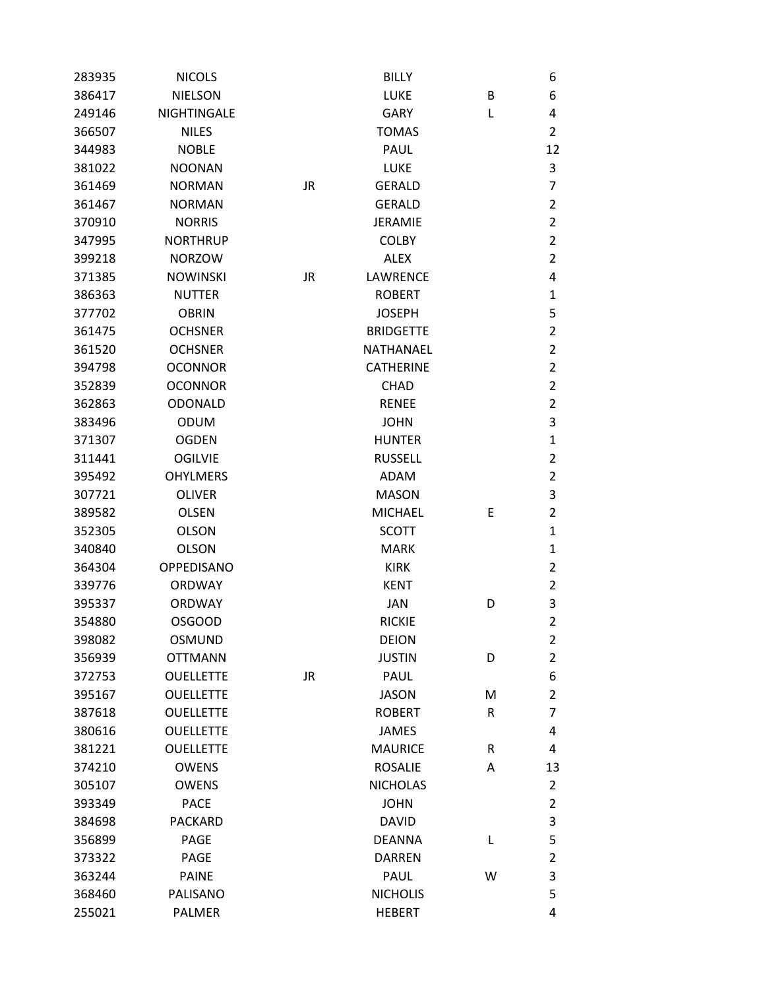| 283935 | <b>NICOLS</b>     |           | <b>BILLY</b>     |   | 6              |
|--------|-------------------|-----------|------------------|---|----------------|
| 386417 | <b>NIELSON</b>    |           | LUKE             | B | 6              |
| 249146 | NIGHTINGALE       |           | <b>GARY</b>      | Г | 4              |
| 366507 | <b>NILES</b>      |           | <b>TOMAS</b>     |   | $\overline{2}$ |
| 344983 | <b>NOBLE</b>      |           | <b>PAUL</b>      |   | 12             |
| 381022 | <b>NOONAN</b>     |           | <b>LUKE</b>      |   | 3              |
| 361469 | <b>NORMAN</b>     | <b>JR</b> | <b>GERALD</b>    |   | 7              |
| 361467 | <b>NORMAN</b>     |           | <b>GERALD</b>    |   | 2              |
| 370910 | <b>NORRIS</b>     |           | <b>JERAMIE</b>   |   | $\overline{2}$ |
| 347995 | <b>NORTHRUP</b>   |           | <b>COLBY</b>     |   | $\overline{2}$ |
| 399218 | <b>NORZOW</b>     |           | <b>ALEX</b>      |   | $\overline{2}$ |
| 371385 | <b>NOWINSKI</b>   | <b>JR</b> | LAWRENCE         |   | 4              |
| 386363 | <b>NUTTER</b>     |           | <b>ROBERT</b>    |   | $\mathbf{1}$   |
| 377702 | <b>OBRIN</b>      |           | <b>JOSEPH</b>    |   | 5              |
| 361475 | <b>OCHSNER</b>    |           | <b>BRIDGETTE</b> |   | $\overline{2}$ |
| 361520 | <b>OCHSNER</b>    |           | NATHANAEL        |   | $\overline{2}$ |
| 394798 | <b>OCONNOR</b>    |           | <b>CATHERINE</b> |   | $\overline{2}$ |
| 352839 | <b>OCONNOR</b>    |           | <b>CHAD</b>      |   | $\overline{2}$ |
| 362863 | <b>ODONALD</b>    |           | <b>RENEE</b>     |   | $\overline{2}$ |
| 383496 | <b>ODUM</b>       |           | <b>JOHN</b>      |   | 3              |
| 371307 | <b>OGDEN</b>      |           | <b>HUNTER</b>    |   | 1              |
| 311441 | <b>OGILVIE</b>    |           | <b>RUSSELL</b>   |   | $\overline{2}$ |
| 395492 | <b>OHYLMERS</b>   |           | <b>ADAM</b>      |   | $\overline{2}$ |
| 307721 | <b>OLIVER</b>     |           | <b>MASON</b>     |   | 3              |
| 389582 | <b>OLSEN</b>      |           | <b>MICHAEL</b>   | Ε | 2              |
| 352305 | <b>OLSON</b>      |           | <b>SCOTT</b>     |   | 1              |
| 340840 | <b>OLSON</b>      |           | <b>MARK</b>      |   | 1              |
| 364304 | <b>OPPEDISANO</b> |           | <b>KIRK</b>      |   | $\overline{2}$ |
| 339776 | <b>ORDWAY</b>     |           | <b>KENT</b>      |   | $\overline{2}$ |
| 395337 | <b>ORDWAY</b>     |           | <b>JAN</b>       | D | 3              |
| 354880 | <b>OSGOOD</b>     |           | <b>RICKIE</b>    |   | $\overline{2}$ |
| 398082 | <b>OSMUND</b>     |           | <b>DEION</b>     |   | 2              |
| 356939 | <b>OTTMANN</b>    |           | <b>JUSTIN</b>    | D | $\overline{2}$ |
| 372753 | <b>OUELLETTE</b>  | <b>JR</b> | PAUL             |   | 6              |
| 395167 | <b>OUELLETTE</b>  |           | <b>JASON</b>     | M | $\overline{2}$ |
| 387618 | <b>OUELLETTE</b>  |           | <b>ROBERT</b>    | R | 7              |
| 380616 | <b>OUELLETTE</b>  |           | <b>JAMES</b>     |   | 4              |
| 381221 | <b>OUELLETTE</b>  |           | <b>MAURICE</b>   | R | 4              |
| 374210 | <b>OWENS</b>      |           | <b>ROSALIE</b>   | Α | 13             |
| 305107 | <b>OWENS</b>      |           | <b>NICHOLAS</b>  |   | $\overline{2}$ |
| 393349 | <b>PACE</b>       |           | <b>JOHN</b>      |   | $\overline{2}$ |
| 384698 | <b>PACKARD</b>    |           | <b>DAVID</b>     |   | 3              |
| 356899 | PAGE              |           | <b>DEANNA</b>    | L | 5              |
| 373322 | PAGE              |           | <b>DARREN</b>    |   | $\overline{2}$ |
| 363244 | <b>PAINE</b>      |           | PAUL             | W | 3              |
| 368460 | PALISANO          |           | <b>NICHOLIS</b>  |   | 5              |
| 255021 | PALMER            |           | <b>HEBERT</b>    |   | 4              |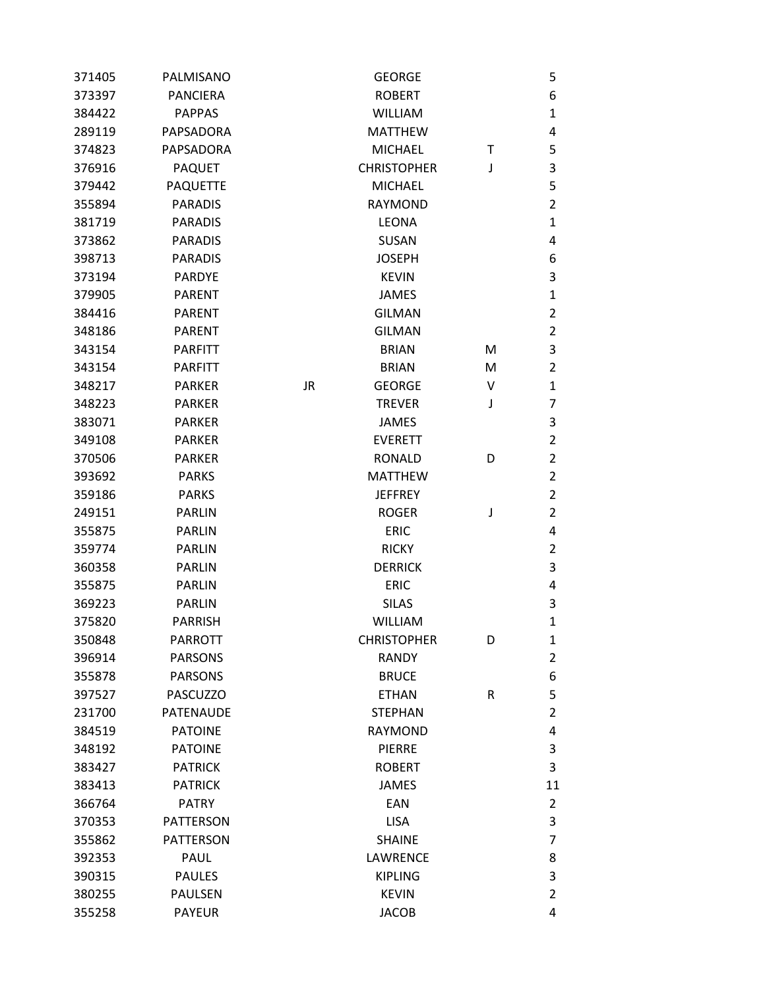| 371405 | PALMISANO        |           | <b>GEORGE</b>      |   | 5              |
|--------|------------------|-----------|--------------------|---|----------------|
| 373397 | <b>PANCIERA</b>  |           | <b>ROBERT</b>      |   | 6              |
| 384422 | <b>PAPPAS</b>    |           | <b>WILLIAM</b>     |   | $\mathbf 1$    |
| 289119 | PAPSADORA        |           | <b>MATTHEW</b>     |   | 4              |
| 374823 | PAPSADORA        |           | <b>MICHAEL</b>     | т | 5              |
| 376916 | <b>PAQUET</b>    |           | <b>CHRISTOPHER</b> | J | 3              |
| 379442 | <b>PAQUETTE</b>  |           | <b>MICHAEL</b>     |   | 5              |
| 355894 | <b>PARADIS</b>   |           | <b>RAYMOND</b>     |   | $\overline{2}$ |
| 381719 | <b>PARADIS</b>   |           | <b>LEONA</b>       |   | $\mathbf{1}$   |
| 373862 | <b>PARADIS</b>   |           | <b>SUSAN</b>       |   | 4              |
| 398713 | <b>PARADIS</b>   |           | <b>JOSEPH</b>      |   | 6              |
| 373194 | <b>PARDYE</b>    |           | <b>KEVIN</b>       |   | 3              |
| 379905 | <b>PARENT</b>    |           | <b>JAMES</b>       |   | $\mathbf{1}$   |
| 384416 | <b>PARENT</b>    |           | <b>GILMAN</b>      |   | $\overline{2}$ |
| 348186 | <b>PARENT</b>    |           | <b>GILMAN</b>      |   | $\overline{2}$ |
| 343154 | <b>PARFITT</b>   |           | <b>BRIAN</b>       | M | 3              |
| 343154 | <b>PARFITT</b>   |           | <b>BRIAN</b>       | M | $\overline{2}$ |
| 348217 | <b>PARKER</b>    | <b>JR</b> | <b>GEORGE</b>      | v | $\mathbf{1}$   |
| 348223 | <b>PARKER</b>    |           | <b>TREVER</b>      | J | $\overline{7}$ |
| 383071 | <b>PARKER</b>    |           | <b>JAMES</b>       |   | 3              |
| 349108 | <b>PARKER</b>    |           | <b>EVERETT</b>     |   | $\overline{2}$ |
| 370506 | <b>PARKER</b>    |           | <b>RONALD</b>      | D | $\overline{2}$ |
| 393692 | <b>PARKS</b>     |           | <b>MATTHEW</b>     |   | $\overline{2}$ |
| 359186 | <b>PARKS</b>     |           | <b>JEFFREY</b>     |   | $\overline{2}$ |
| 249151 | <b>PARLIN</b>    |           | <b>ROGER</b>       | J | $\overline{2}$ |
| 355875 | <b>PARLIN</b>    |           | <b>ERIC</b>        |   | 4              |
| 359774 | <b>PARLIN</b>    |           | <b>RICKY</b>       |   | $\overline{2}$ |
| 360358 | <b>PARLIN</b>    |           | <b>DERRICK</b>     |   | 3              |
| 355875 | <b>PARLIN</b>    |           | <b>ERIC</b>        |   | 4              |
| 369223 | <b>PARLIN</b>    |           | <b>SILAS</b>       |   | 3              |
| 375820 | <b>PARRISH</b>   |           | <b>WILLIAM</b>     |   | $\mathbf 1$    |
| 350848 | <b>PARROTT</b>   |           | <b>CHRISTOPHER</b> | D | $\mathbf{1}$   |
| 396914 | <b>PARSONS</b>   |           | <b>RANDY</b>       |   | $\overline{2}$ |
| 355878 | <b>PARSONS</b>   |           | <b>BRUCE</b>       |   | 6              |
| 397527 | <b>PASCUZZO</b>  |           | <b>ETHAN</b>       | R | 5              |
| 231700 | <b>PATENAUDE</b> |           | <b>STEPHAN</b>     |   | $\overline{2}$ |
| 384519 | <b>PATOINE</b>   |           | <b>RAYMOND</b>     |   | 4              |
| 348192 | <b>PATOINE</b>   |           | <b>PIERRE</b>      |   | 3              |
| 383427 | <b>PATRICK</b>   |           | <b>ROBERT</b>      |   | 3              |
| 383413 | <b>PATRICK</b>   |           | <b>JAMES</b>       |   | 11             |
| 366764 | <b>PATRY</b>     |           | EAN                |   | $\overline{2}$ |
| 370353 | <b>PATTERSON</b> |           | <b>LISA</b>        |   | 3              |
| 355862 | <b>PATTERSON</b> |           | <b>SHAINE</b>      |   | $\overline{7}$ |
| 392353 | PAUL             |           | <b>LAWRENCE</b>    |   | 8              |
| 390315 | <b>PAULES</b>    |           | <b>KIPLING</b>     |   | 3              |
| 380255 | PAULSEN          |           | <b>KEVIN</b>       |   | $\overline{2}$ |
| 355258 | <b>PAYEUR</b>    |           | <b>JACOB</b>       |   | 4              |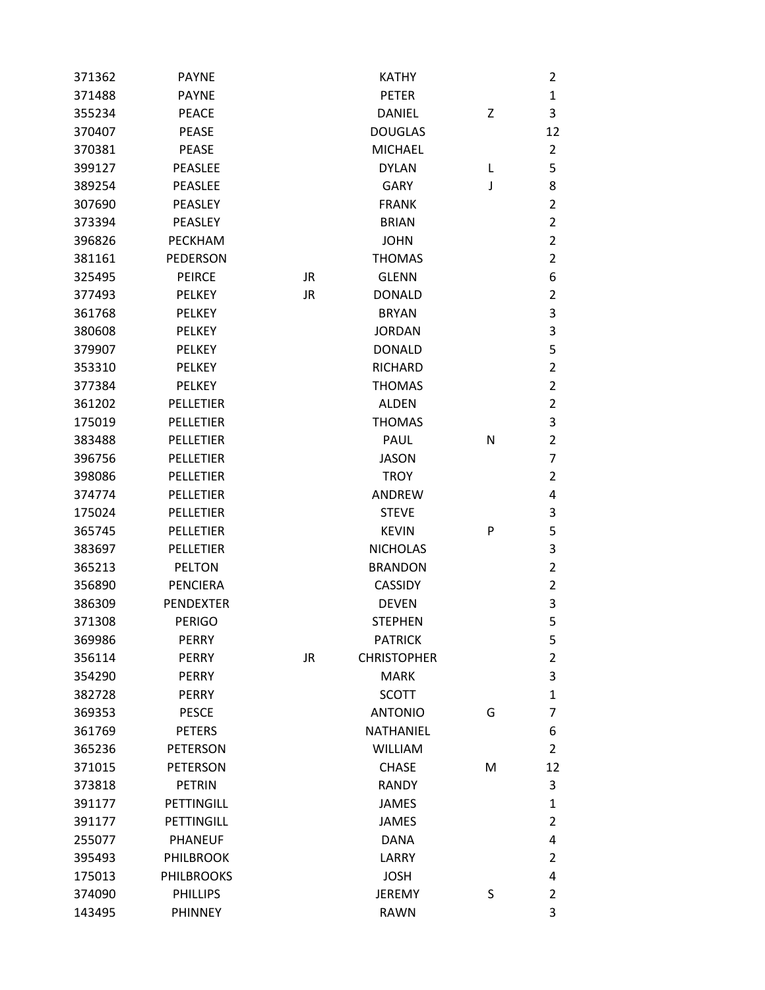| 371362 | <b>PAYNE</b>      |           | <b>KATHY</b>       |   | 2              |
|--------|-------------------|-----------|--------------------|---|----------------|
| 371488 | <b>PAYNE</b>      |           | <b>PETER</b>       |   | $\mathbf{1}$   |
| 355234 | <b>PEACE</b>      |           | <b>DANIEL</b>      | Z | 3              |
| 370407 | <b>PEASE</b>      |           | <b>DOUGLAS</b>     |   | 12             |
| 370381 | <b>PEASE</b>      |           | <b>MICHAEL</b>     |   | 2              |
| 399127 | PEASLEE           |           | <b>DYLAN</b>       | L | 5              |
| 389254 | <b>PEASLEE</b>    |           | <b>GARY</b>        | J | 8              |
| 307690 | <b>PEASLEY</b>    |           | <b>FRANK</b>       |   | $\overline{2}$ |
| 373394 | PEASLEY           |           | <b>BRIAN</b>       |   | 2              |
| 396826 | PECKHAM           |           | <b>JOHN</b>        |   | $\overline{2}$ |
| 381161 | PEDERSON          |           | <b>THOMAS</b>      |   | $\overline{2}$ |
| 325495 | <b>PEIRCE</b>     | JR        | <b>GLENN</b>       |   | 6              |
| 377493 | <b>PELKEY</b>     | <b>JR</b> | <b>DONALD</b>      |   | $\overline{2}$ |
| 361768 | <b>PELKEY</b>     |           | <b>BRYAN</b>       |   | 3              |
| 380608 | <b>PELKEY</b>     |           | <b>JORDAN</b>      |   | 3              |
| 379907 | <b>PELKEY</b>     |           | <b>DONALD</b>      |   | 5              |
| 353310 | <b>PELKEY</b>     |           | <b>RICHARD</b>     |   | $\overline{2}$ |
| 377384 | <b>PELKEY</b>     |           | <b>THOMAS</b>      |   | $\overline{2}$ |
| 361202 | <b>PELLETIER</b>  |           | <b>ALDEN</b>       |   | 2              |
| 175019 | PELLETIER         |           | <b>THOMAS</b>      |   | 3              |
| 383488 | <b>PELLETIER</b>  |           | <b>PAUL</b>        | N | 2              |
| 396756 | <b>PELLETIER</b>  |           | <b>JASON</b>       |   | 7              |
| 398086 | <b>PELLETIER</b>  |           | <b>TROY</b>        |   | $\overline{2}$ |
| 374774 | <b>PELLETIER</b>  |           | ANDREW             |   | 4              |
| 175024 | PELLETIER         |           | <b>STEVE</b>       |   | 3              |
| 365745 | <b>PELLETIER</b>  |           | <b>KEVIN</b>       | P | 5              |
| 383697 | <b>PELLETIER</b>  |           | <b>NICHOLAS</b>    |   | 3              |
| 365213 | <b>PELTON</b>     |           | <b>BRANDON</b>     |   | 2              |
| 356890 | <b>PENCIERA</b>   |           | <b>CASSIDY</b>     |   | $\overline{2}$ |
| 386309 | <b>PENDEXTER</b>  |           | <b>DEVEN</b>       |   | 3              |
| 371308 | <b>PERIGO</b>     |           | <b>STEPHEN</b>     |   | 5              |
| 369986 | PERRY             |           | <b>PATRICK</b>     |   | 5              |
| 356114 | <b>PERRY</b>      | <b>JR</b> | <b>CHRISTOPHER</b> |   | 2              |
| 354290 | PERRY             |           | <b>MARK</b>        |   | 3              |
| 382728 | <b>PERRY</b>      |           | <b>SCOTT</b>       |   | $\mathbf{1}$   |
| 369353 | <b>PESCE</b>      |           | <b>ANTONIO</b>     | G | 7              |
| 361769 | <b>PETERS</b>     |           | <b>NATHANIEL</b>   |   | 6              |
| 365236 | <b>PETERSON</b>   |           | <b>WILLIAM</b>     |   | $\overline{2}$ |
| 371015 | <b>PETERSON</b>   |           | <b>CHASE</b>       | M | 12             |
| 373818 | <b>PETRIN</b>     |           | <b>RANDY</b>       |   | 3              |
| 391177 | PETTINGILL        |           | <b>JAMES</b>       |   | $\mathbf{1}$   |
| 391177 | PETTINGILL        |           | <b>JAMES</b>       |   | 2              |
| 255077 | <b>PHANEUF</b>    |           | <b>DANA</b>        |   | 4              |
| 395493 | <b>PHILBROOK</b>  |           | LARRY              |   | $\overline{2}$ |
| 175013 | <b>PHILBROOKS</b> |           | <b>JOSH</b>        |   | 4              |
| 374090 | <b>PHILLIPS</b>   |           | <b>JEREMY</b>      | S | 2              |
| 143495 | <b>PHINNEY</b>    |           | <b>RAWN</b>        |   | 3              |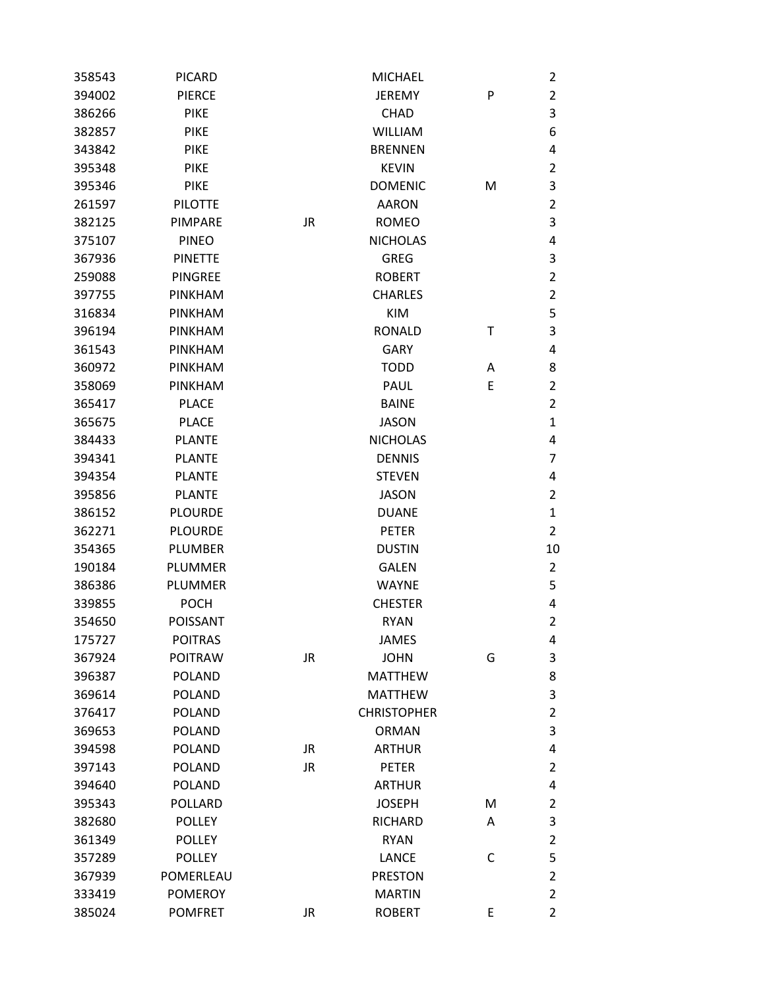| 358543 | <b>PICARD</b>   |           | <b>MICHAEL</b>     |   | $\overline{2}$ |
|--------|-----------------|-----------|--------------------|---|----------------|
| 394002 | <b>PIERCE</b>   |           | <b>JEREMY</b>      | P | $\overline{2}$ |
| 386266 | <b>PIKE</b>     |           | <b>CHAD</b>        |   | 3              |
| 382857 | <b>PIKE</b>     |           | <b>WILLIAM</b>     |   | 6              |
| 343842 | <b>PIKE</b>     |           | <b>BRENNEN</b>     |   | 4              |
| 395348 | <b>PIKE</b>     |           | <b>KEVIN</b>       |   | $\overline{2}$ |
| 395346 | <b>PIKE</b>     |           | <b>DOMENIC</b>     | M | 3              |
| 261597 | <b>PILOTTE</b>  |           | <b>AARON</b>       |   | $\overline{2}$ |
| 382125 | PIMPARE         | <b>JR</b> | <b>ROMEO</b>       |   | 3              |
| 375107 | <b>PINEO</b>    |           | <b>NICHOLAS</b>    |   | 4              |
| 367936 | <b>PINETTE</b>  |           | <b>GREG</b>        |   | 3              |
| 259088 | <b>PINGREE</b>  |           | <b>ROBERT</b>      |   | $\overline{2}$ |
| 397755 | <b>PINKHAM</b>  |           | <b>CHARLES</b>     |   | $\overline{2}$ |
| 316834 | PINKHAM         |           | <b>KIM</b>         |   | 5              |
| 396194 | PINKHAM         |           | <b>RONALD</b>      | т | $\mathsf 3$    |
| 361543 | PINKHAM         |           | <b>GARY</b>        |   | 4              |
| 360972 | PINKHAM         |           | <b>TODD</b>        | A | 8              |
| 358069 | PINKHAM         |           | <b>PAUL</b>        | Ε | $\overline{2}$ |
| 365417 | <b>PLACE</b>    |           | <b>BAINE</b>       |   | $\overline{2}$ |
| 365675 | <b>PLACE</b>    |           | <b>JASON</b>       |   | $\mathbf{1}$   |
| 384433 | <b>PLANTE</b>   |           | <b>NICHOLAS</b>    |   | 4              |
| 394341 | <b>PLANTE</b>   |           | <b>DENNIS</b>      |   | $\overline{7}$ |
| 394354 | <b>PLANTE</b>   |           | <b>STEVEN</b>      |   | 4              |
| 395856 | <b>PLANTE</b>   |           | <b>JASON</b>       |   | $\overline{2}$ |
| 386152 | <b>PLOURDE</b>  |           | <b>DUANE</b>       |   | $\mathbf{1}$   |
| 362271 | <b>PLOURDE</b>  |           | <b>PETER</b>       |   | $\overline{2}$ |
| 354365 | <b>PLUMBER</b>  |           | <b>DUSTIN</b>      |   | 10             |
| 190184 | <b>PLUMMER</b>  |           | <b>GALEN</b>       |   | $\overline{2}$ |
| 386386 | PLUMMER         |           | <b>WAYNE</b>       |   | 5              |
| 339855 | <b>POCH</b>     |           | <b>CHESTER</b>     |   | 4              |
| 354650 | <b>POISSANT</b> |           | <b>RYAN</b>        |   | $\overline{2}$ |
| 175727 | <b>POITRAS</b>  |           | <b>JAMES</b>       |   | 4              |
| 367924 | <b>POITRAW</b>  | <b>JR</b> | <b>JOHN</b>        | G | 3              |
| 396387 | <b>POLAND</b>   |           | <b>MATTHEW</b>     |   | 8              |
| 369614 | <b>POLAND</b>   |           | <b>MATTHEW</b>     |   | $\mathsf 3$    |
| 376417 | <b>POLAND</b>   |           | <b>CHRISTOPHER</b> |   | $\overline{2}$ |
| 369653 | <b>POLAND</b>   |           | <b>ORMAN</b>       |   | 3              |
| 394598 | <b>POLAND</b>   | JR        | <b>ARTHUR</b>      |   | 4              |
| 397143 | <b>POLAND</b>   | JR.       | <b>PETER</b>       |   | $\overline{2}$ |
| 394640 | <b>POLAND</b>   |           | <b>ARTHUR</b>      |   | 4              |
| 395343 | <b>POLLARD</b>  |           | <b>JOSEPH</b>      | M | $\overline{2}$ |
| 382680 | <b>POLLEY</b>   |           | RICHARD            | A | 3              |
| 361349 | <b>POLLEY</b>   |           | <b>RYAN</b>        |   | $\overline{2}$ |
| 357289 | <b>POLLEY</b>   |           | <b>LANCE</b>       | C | 5              |
| 367939 | POMERLEAU       |           | <b>PRESTON</b>     |   | $\overline{2}$ |
| 333419 | <b>POMEROY</b>  |           | <b>MARTIN</b>      |   | $\overline{2}$ |
| 385024 | <b>POMFRET</b>  | JR        | <b>ROBERT</b>      | E | $\overline{2}$ |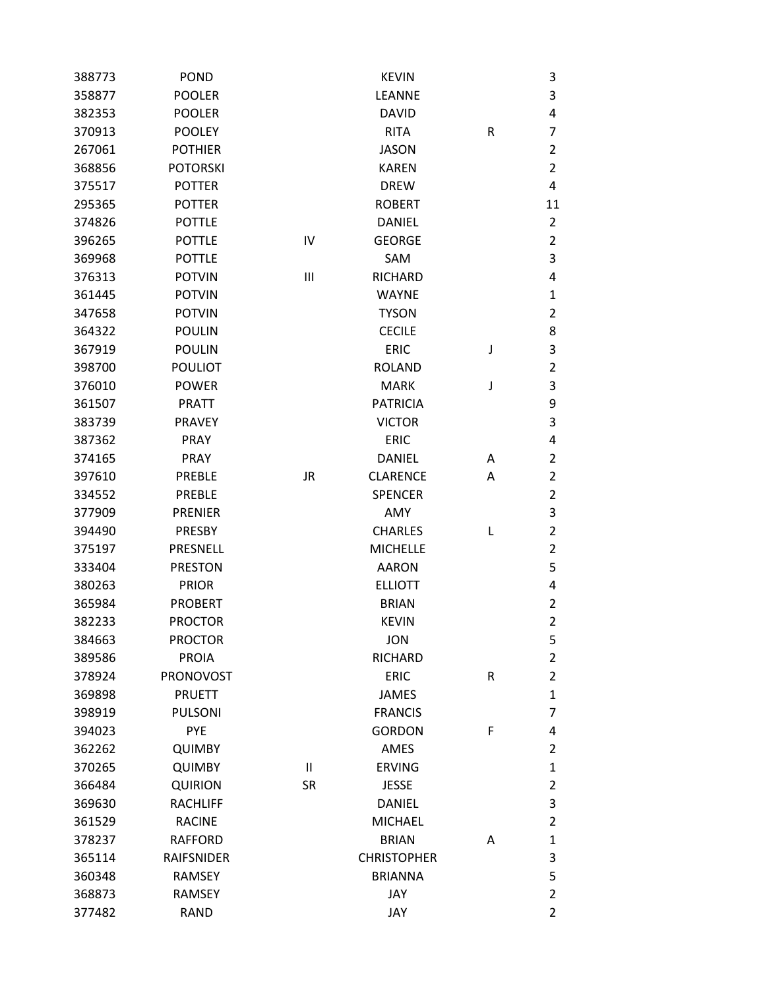| 388773 | <b>POND</b>       |           | <b>KEVIN</b>       |   | 3              |
|--------|-------------------|-----------|--------------------|---|----------------|
| 358877 | <b>POOLER</b>     |           | LEANNE             |   | 3              |
| 382353 | <b>POOLER</b>     |           | <b>DAVID</b>       |   | 4              |
| 370913 | <b>POOLEY</b>     |           | <b>RITA</b>        | R | 7              |
| 267061 | <b>POTHIER</b>    |           | <b>JASON</b>       |   | 2              |
| 368856 | <b>POTORSKI</b>   |           | <b>KAREN</b>       |   | $\overline{2}$ |
| 375517 | <b>POTTER</b>     |           | <b>DREW</b>        |   | 4              |
| 295365 | <b>POTTER</b>     |           | <b>ROBERT</b>      |   | 11             |
| 374826 | <b>POTTLE</b>     |           | <b>DANIEL</b>      |   | 2              |
| 396265 | <b>POTTLE</b>     | IV        | <b>GEORGE</b>      |   | $\overline{2}$ |
| 369968 | <b>POTTLE</b>     |           | SAM                |   | 3              |
| 376313 | <b>POTVIN</b>     | Ш         | <b>RICHARD</b>     |   | 4              |
| 361445 | <b>POTVIN</b>     |           | <b>WAYNE</b>       |   | 1              |
| 347658 | <b>POTVIN</b>     |           | <b>TYSON</b>       |   | 2              |
| 364322 | <b>POULIN</b>     |           | <b>CECILE</b>      |   | 8              |
| 367919 | <b>POULIN</b>     |           | <b>ERIC</b>        | J | 3              |
| 398700 | <b>POULIOT</b>    |           | <b>ROLAND</b>      |   | $\overline{2}$ |
| 376010 | <b>POWER</b>      |           | <b>MARK</b>        | J | 3              |
| 361507 | <b>PRATT</b>      |           | <b>PATRICIA</b>    |   | 9              |
| 383739 | <b>PRAVEY</b>     |           | <b>VICTOR</b>      |   | 3              |
| 387362 | PRAY              |           | <b>ERIC</b>        |   | 4              |
| 374165 | <b>PRAY</b>       |           | <b>DANIEL</b>      | A | 2              |
| 397610 | <b>PREBLE</b>     | <b>JR</b> | <b>CLARENCE</b>    | Α | 2              |
| 334552 | <b>PREBLE</b>     |           | <b>SPENCER</b>     |   | 2              |
| 377909 | <b>PRENIER</b>    |           | AMY                |   | 3              |
| 394490 | PRESBY            |           | <b>CHARLES</b>     | L | $\overline{2}$ |
| 375197 | PRESNELL          |           | <b>MICHELLE</b>    |   | $\overline{2}$ |
| 333404 | <b>PRESTON</b>    |           | <b>AARON</b>       |   | 5              |
| 380263 | <b>PRIOR</b>      |           | <b>ELLIOTT</b>     |   | 4              |
| 365984 | <b>PROBERT</b>    |           | <b>BRIAN</b>       |   | 2              |
| 382233 | <b>PROCTOR</b>    |           | <b>KEVIN</b>       |   | $\overline{2}$ |
| 384663 | <b>PROCTOR</b>    |           | <b>JON</b>         |   | 5              |
| 389586 | <b>PROIA</b>      |           | <b>RICHARD</b>     |   | 2              |
| 378924 | PRONOVOST         |           | <b>ERIC</b>        | R | $\overline{2}$ |
| 369898 | <b>PRUETT</b>     |           | <b>JAMES</b>       |   | 1              |
| 398919 | <b>PULSONI</b>    |           | <b>FRANCIS</b>     |   | 7              |
| 394023 | <b>PYE</b>        |           | <b>GORDON</b>      | F | 4              |
| 362262 | <b>QUIMBY</b>     |           | AMES               |   | 2              |
| 370265 | <b>QUIMBY</b>     | Ш         | <b>ERVING</b>      |   | 1              |
| 366484 | <b>QUIRION</b>    | <b>SR</b> | <b>JESSE</b>       |   | 2              |
| 369630 | <b>RACHLIFF</b>   |           | <b>DANIEL</b>      |   | 3              |
| 361529 | <b>RACINE</b>     |           | <b>MICHAEL</b>     |   | 2              |
| 378237 | <b>RAFFORD</b>    |           | <b>BRIAN</b>       | Α | 1              |
| 365114 | <b>RAIFSNIDER</b> |           | <b>CHRISTOPHER</b> |   | 3              |
| 360348 | <b>RAMSEY</b>     |           | <b>BRIANNA</b>     |   | 5              |
| 368873 | RAMSEY            |           | JAY                |   | 2              |
| 377482 | <b>RAND</b>       |           | JAY                |   | $\overline{2}$ |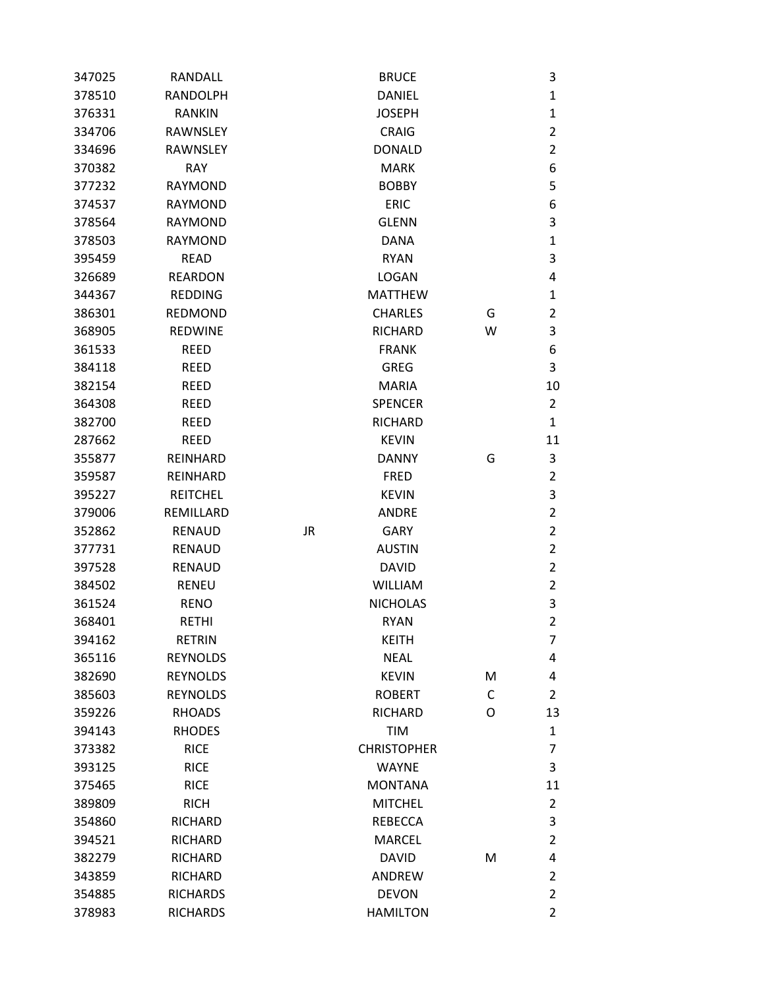| 347025 | RANDALL         |           | <b>BRUCE</b>       |   | 3              |
|--------|-----------------|-----------|--------------------|---|----------------|
| 378510 | <b>RANDOLPH</b> |           | <b>DANIEL</b>      |   | $\mathbf{1}$   |
| 376331 | <b>RANKIN</b>   |           | <b>JOSEPH</b>      |   | $\mathbf{1}$   |
| 334706 | <b>RAWNSLEY</b> |           | <b>CRAIG</b>       |   | $\overline{2}$ |
| 334696 | <b>RAWNSLEY</b> |           | <b>DONALD</b>      |   | $\overline{2}$ |
| 370382 | <b>RAY</b>      |           | <b>MARK</b>        |   | 6              |
| 377232 | <b>RAYMOND</b>  |           | <b>BOBBY</b>       |   | 5              |
| 374537 | <b>RAYMOND</b>  |           | <b>ERIC</b>        |   | 6              |
| 378564 | <b>RAYMOND</b>  |           | <b>GLENN</b>       |   | 3              |
| 378503 | <b>RAYMOND</b>  |           | <b>DANA</b>        |   | $\mathbf{1}$   |
| 395459 | <b>READ</b>     |           | <b>RYAN</b>        |   | 3              |
| 326689 | <b>REARDON</b>  |           | <b>LOGAN</b>       |   | 4              |
| 344367 | <b>REDDING</b>  |           | <b>MATTHEW</b>     |   | $\mathbf{1}$   |
| 386301 | <b>REDMOND</b>  |           | <b>CHARLES</b>     | G | $\overline{2}$ |
| 368905 | <b>REDWINE</b>  |           | <b>RICHARD</b>     | W | 3              |
| 361533 | <b>REED</b>     |           | <b>FRANK</b>       |   | 6              |
| 384118 | <b>REED</b>     |           | <b>GREG</b>        |   | 3              |
| 382154 | <b>REED</b>     |           | <b>MARIA</b>       |   | 10             |
| 364308 | <b>REED</b>     |           | <b>SPENCER</b>     |   | $\overline{2}$ |
| 382700 | <b>REED</b>     |           | <b>RICHARD</b>     |   | $\mathbf{1}$   |
| 287662 | <b>REED</b>     |           | <b>KEVIN</b>       |   | 11             |
| 355877 | REINHARD        |           | <b>DANNY</b>       | G | 3              |
| 359587 | REINHARD        |           | <b>FRED</b>        |   | $\overline{2}$ |
| 395227 | <b>REITCHEL</b> |           | <b>KEVIN</b>       |   | 3              |
| 379006 | REMILLARD       |           | <b>ANDRE</b>       |   | $\overline{2}$ |
| 352862 | <b>RENAUD</b>   | <b>JR</b> | <b>GARY</b>        |   | $\overline{2}$ |
| 377731 | <b>RENAUD</b>   |           | <b>AUSTIN</b>      |   | $\overline{2}$ |
| 397528 | <b>RENAUD</b>   |           | <b>DAVID</b>       |   | $\overline{2}$ |
| 384502 | <b>RENEU</b>    |           | <b>WILLIAM</b>     |   | $\overline{2}$ |
| 361524 | <b>RENO</b>     |           | <b>NICHOLAS</b>    |   | 3              |
| 368401 | <b>RETHI</b>    |           | <b>RYAN</b>        |   | $\overline{2}$ |
| 394162 | <b>RETRIN</b>   |           | <b>KEITH</b>       |   | 7              |
| 365116 | <b>REYNOLDS</b> |           | <b>NEAL</b>        |   | 4              |
| 382690 | <b>REYNOLDS</b> |           | <b>KEVIN</b>       | M | 4              |
| 385603 | <b>REYNOLDS</b> |           | <b>ROBERT</b>      | C | $\overline{2}$ |
| 359226 | <b>RHOADS</b>   |           | <b>RICHARD</b>     | O | 13             |
| 394143 | <b>RHODES</b>   |           | TIM                |   | $\mathbf{1}$   |
| 373382 | <b>RICE</b>     |           | <b>CHRISTOPHER</b> |   | 7              |
| 393125 | <b>RICE</b>     |           | <b>WAYNE</b>       |   | 3              |
| 375465 | <b>RICE</b>     |           | <b>MONTANA</b>     |   | 11             |
| 389809 | <b>RICH</b>     |           | <b>MITCHEL</b>     |   | $\overline{2}$ |
| 354860 | RICHARD         |           | <b>REBECCA</b>     |   | 3              |
| 394521 | RICHARD         |           | <b>MARCEL</b>      |   | $\overline{2}$ |
| 382279 | <b>RICHARD</b>  |           | <b>DAVID</b>       | M | 4              |
| 343859 | <b>RICHARD</b>  |           | <b>ANDREW</b>      |   | $\overline{2}$ |
| 354885 | <b>RICHARDS</b> |           | <b>DEVON</b>       |   | $\overline{2}$ |
| 378983 | <b>RICHARDS</b> |           | <b>HAMILTON</b>    |   | $\overline{2}$ |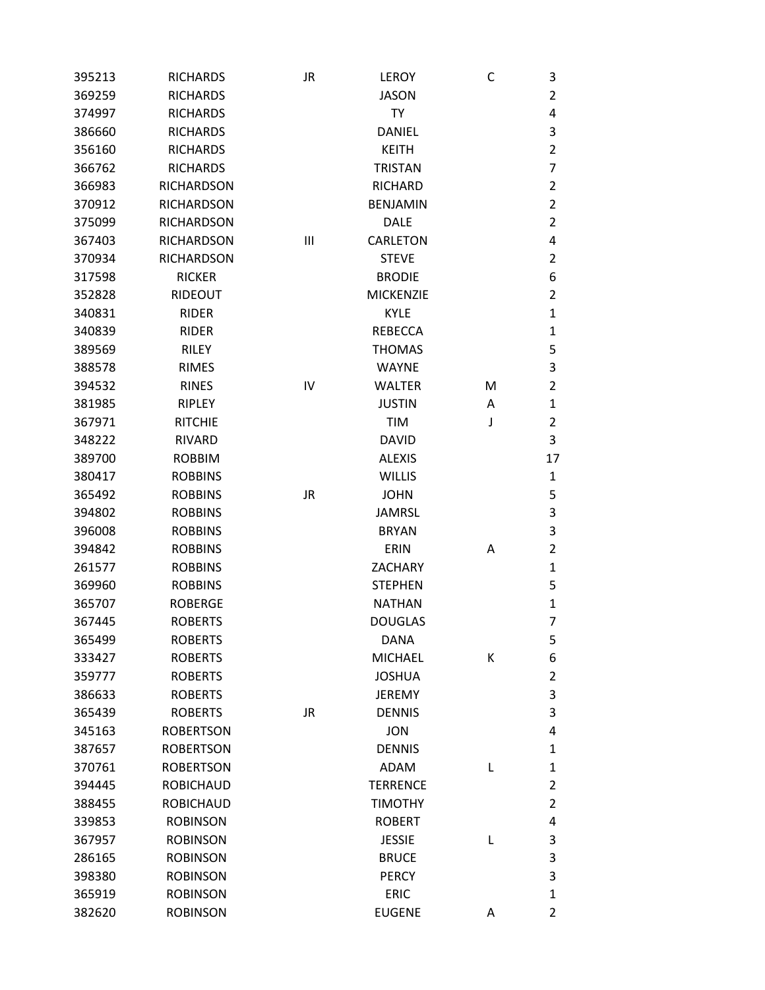| 395213 | <b>RICHARDS</b>   | JR        | <b>LEROY</b>     | С | 3              |
|--------|-------------------|-----------|------------------|---|----------------|
| 369259 | <b>RICHARDS</b>   |           | <b>JASON</b>     |   | $\overline{2}$ |
| 374997 | <b>RICHARDS</b>   |           | TY               |   | 4              |
| 386660 | <b>RICHARDS</b>   |           | DANIEL           |   | 3              |
| 356160 | <b>RICHARDS</b>   |           | <b>KEITH</b>     |   | $\overline{2}$ |
| 366762 | <b>RICHARDS</b>   |           | <b>TRISTAN</b>   |   | 7              |
| 366983 | <b>RICHARDSON</b> |           | <b>RICHARD</b>   |   | 2              |
| 370912 | <b>RICHARDSON</b> |           | <b>BENJAMIN</b>  |   | $\overline{2}$ |
| 375099 | <b>RICHARDSON</b> |           | <b>DALE</b>      |   | $\overline{2}$ |
| 367403 | <b>RICHARDSON</b> | Ш         | <b>CARLETON</b>  |   | 4              |
| 370934 | <b>RICHARDSON</b> |           | <b>STEVE</b>     |   | $\overline{2}$ |
| 317598 | <b>RICKER</b>     |           | <b>BRODIE</b>    |   | 6              |
| 352828 | RIDEOUT           |           | <b>MICKENZIE</b> |   | 2              |
| 340831 | <b>RIDER</b>      |           | <b>KYLE</b>      |   | 1              |
| 340839 | <b>RIDER</b>      |           | <b>REBECCA</b>   |   | 1              |
| 389569 | <b>RILEY</b>      |           | <b>THOMAS</b>    |   | 5              |
| 388578 | <b>RIMES</b>      |           | <b>WAYNE</b>     |   | 3              |
| 394532 | <b>RINES</b>      | IV        | <b>WALTER</b>    | М | 2              |
| 381985 | RIPLEY            |           | <b>JUSTIN</b>    | Α | 1              |
| 367971 | <b>RITCHIE</b>    |           | <b>TIM</b>       | J | $\overline{2}$ |
| 348222 | <b>RIVARD</b>     |           | <b>DAVID</b>     |   | 3              |
| 389700 | <b>ROBBIM</b>     |           | <b>ALEXIS</b>    |   | 17             |
| 380417 | <b>ROBBINS</b>    |           | <b>WILLIS</b>    |   | $\mathbf{1}$   |
| 365492 | <b>ROBBINS</b>    | JR        | <b>JOHN</b>      |   | 5              |
| 394802 | <b>ROBBINS</b>    |           | <b>JAMRSL</b>    |   | 3              |
| 396008 | <b>ROBBINS</b>    |           | <b>BRYAN</b>     |   | 3              |
| 394842 | <b>ROBBINS</b>    |           | ERIN             | Α | $\overline{2}$ |
| 261577 | <b>ROBBINS</b>    |           | <b>ZACHARY</b>   |   | 1              |
| 369960 | <b>ROBBINS</b>    |           | <b>STEPHEN</b>   |   | 5              |
| 365707 | <b>ROBERGE</b>    |           | <b>NATHAN</b>    |   | 1              |
| 367445 | <b>ROBERTS</b>    |           | <b>DOUGLAS</b>   |   | 7              |
| 365499 | <b>ROBERTS</b>    |           | DANA             |   | 5              |
| 333427 | <b>ROBERTS</b>    |           | <b>MICHAEL</b>   | К | 6              |
| 359777 | <b>ROBERTS</b>    |           | <b>JOSHUA</b>    |   | $\overline{2}$ |
| 386633 | <b>ROBERTS</b>    |           | <b>JEREMY</b>    |   | 3              |
| 365439 | <b>ROBERTS</b>    | <b>JR</b> | <b>DENNIS</b>    |   | 3              |
| 345163 | <b>ROBERTSON</b>  |           | <b>JON</b>       |   | 4              |
| 387657 | <b>ROBERTSON</b>  |           | <b>DENNIS</b>    |   | 1              |
| 370761 | <b>ROBERTSON</b>  |           | <b>ADAM</b>      | L | 1              |
| 394445 | <b>ROBICHAUD</b>  |           | <b>TERRENCE</b>  |   | $\overline{2}$ |
| 388455 | <b>ROBICHAUD</b>  |           | <b>TIMOTHY</b>   |   | 2              |
| 339853 | <b>ROBINSON</b>   |           | <b>ROBERT</b>    |   | 4              |
| 367957 | <b>ROBINSON</b>   |           | <b>JESSIE</b>    | L | 3              |
| 286165 | <b>ROBINSON</b>   |           | <b>BRUCE</b>     |   | 3              |
| 398380 | <b>ROBINSON</b>   |           | <b>PERCY</b>     |   | 3              |
| 365919 | <b>ROBINSON</b>   |           | <b>ERIC</b>      |   | 1              |
| 382620 | <b>ROBINSON</b>   |           | <b>EUGENE</b>    | А | $\overline{2}$ |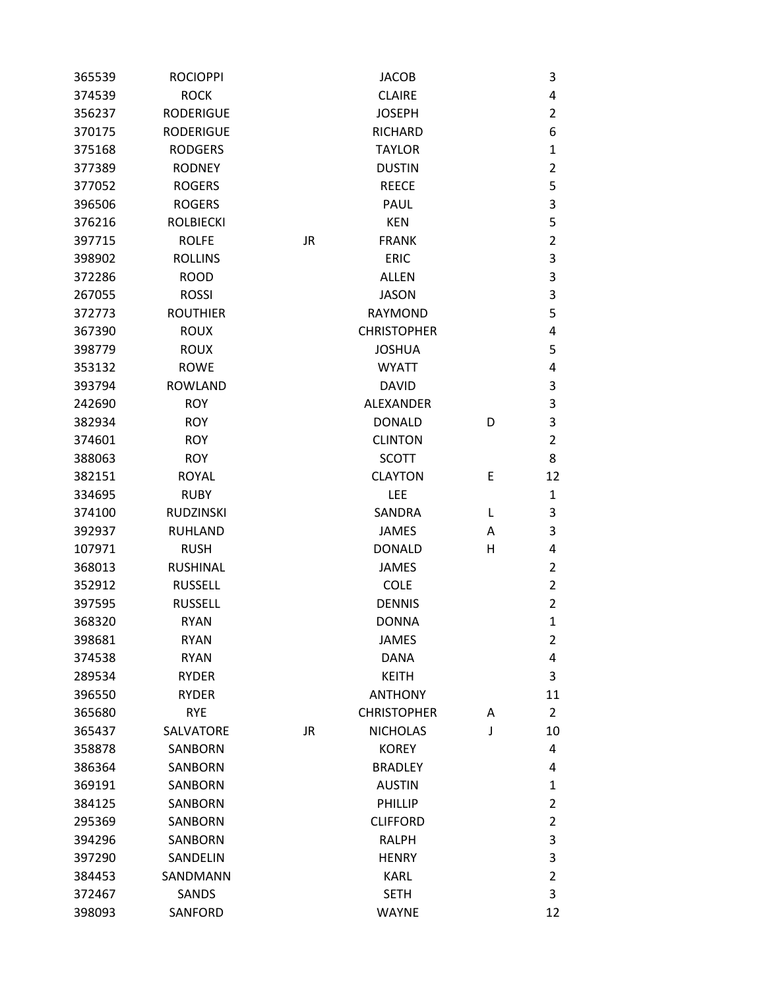| 365539 | <b>ROCIOPPI</b>  |           | JACOB              |   | 3              |
|--------|------------------|-----------|--------------------|---|----------------|
| 374539 | <b>ROCK</b>      |           | <b>CLAIRE</b>      |   | 4              |
| 356237 | <b>RODERIGUE</b> |           | <b>JOSEPH</b>      |   | $\overline{2}$ |
| 370175 | <b>RODERIGUE</b> |           | <b>RICHARD</b>     |   | 6              |
| 375168 | <b>RODGERS</b>   |           | <b>TAYLOR</b>      |   | 1              |
| 377389 | <b>RODNEY</b>    |           | <b>DUSTIN</b>      |   | $\overline{2}$ |
| 377052 | <b>ROGERS</b>    |           | <b>REECE</b>       |   | 5              |
| 396506 | <b>ROGERS</b>    |           | <b>PAUL</b>        |   | 3              |
| 376216 | <b>ROLBIECKI</b> |           | <b>KEN</b>         |   | 5              |
| 397715 | <b>ROLFE</b>     | <b>JR</b> | <b>FRANK</b>       |   | $\overline{2}$ |
| 398902 | <b>ROLLINS</b>   |           | <b>ERIC</b>        |   | 3              |
| 372286 | <b>ROOD</b>      |           | <b>ALLEN</b>       |   | 3              |
| 267055 | <b>ROSSI</b>     |           | <b>JASON</b>       |   | 3              |
| 372773 | <b>ROUTHIER</b>  |           | <b>RAYMOND</b>     |   | 5              |
| 367390 | <b>ROUX</b>      |           | <b>CHRISTOPHER</b> |   | 4              |
| 398779 | <b>ROUX</b>      |           | <b>JOSHUA</b>      |   | 5              |
| 353132 | <b>ROWE</b>      |           | <b>WYATT</b>       |   | 4              |
| 393794 | <b>ROWLAND</b>   |           | <b>DAVID</b>       |   | 3              |
| 242690 | <b>ROY</b>       |           | <b>ALEXANDER</b>   |   | 3              |
| 382934 | <b>ROY</b>       |           | <b>DONALD</b>      | D | 3              |
| 374601 | <b>ROY</b>       |           | <b>CLINTON</b>     |   | 2              |
| 388063 | <b>ROY</b>       |           | <b>SCOTT</b>       |   | 8              |
| 382151 | <b>ROYAL</b>     |           | <b>CLAYTON</b>     | Ε | 12             |
| 334695 | <b>RUBY</b>      |           | LEE                |   | 1              |
| 374100 | <b>RUDZINSKI</b> |           | SANDRA             | L | 3              |
| 392937 | <b>RUHLAND</b>   |           | <b>JAMES</b>       | Α | 3              |
| 107971 | <b>RUSH</b>      |           | <b>DONALD</b>      | Н | 4              |
| 368013 | <b>RUSHINAL</b>  |           | <b>JAMES</b>       |   | $\overline{2}$ |
| 352912 | <b>RUSSELL</b>   |           | <b>COLE</b>        |   | $\overline{2}$ |
| 397595 | <b>RUSSELL</b>   |           | <b>DENNIS</b>      |   | 2              |
| 368320 | <b>RYAN</b>      |           | <b>DONNA</b>       |   | 1              |
| 398681 | <b>RYAN</b>      |           | <b>JAMES</b>       |   | 2              |
| 374538 | <b>RYAN</b>      |           | <b>DANA</b>        |   | 4              |
| 289534 | <b>RYDER</b>     |           | <b>KEITH</b>       |   | 3              |
| 396550 | <b>RYDER</b>     |           | <b>ANTHONY</b>     |   | 11             |
| 365680 | <b>RYE</b>       |           | <b>CHRISTOPHER</b> | Α | $\overline{2}$ |
| 365437 | SALVATORE        | <b>JR</b> | <b>NICHOLAS</b>    | J | 10             |
| 358878 | SANBORN          |           | <b>KOREY</b>       |   | 4              |
| 386364 | SANBORN          |           | <b>BRADLEY</b>     |   | 4              |
| 369191 | SANBORN          |           | <b>AUSTIN</b>      |   | 1              |
| 384125 | SANBORN          |           | PHILLIP            |   | 2              |
| 295369 | <b>SANBORN</b>   |           | <b>CLIFFORD</b>    |   | 2              |
| 394296 | <b>SANBORN</b>   |           | <b>RALPH</b>       |   | 3              |
| 397290 | SANDELIN         |           | <b>HENRY</b>       |   | 3              |
| 384453 | SANDMANN         |           | <b>KARL</b>        |   | $\overline{2}$ |
| 372467 | SANDS            |           | <b>SETH</b>        |   | 3              |
| 398093 | SANFORD          |           | <b>WAYNE</b>       |   | 12             |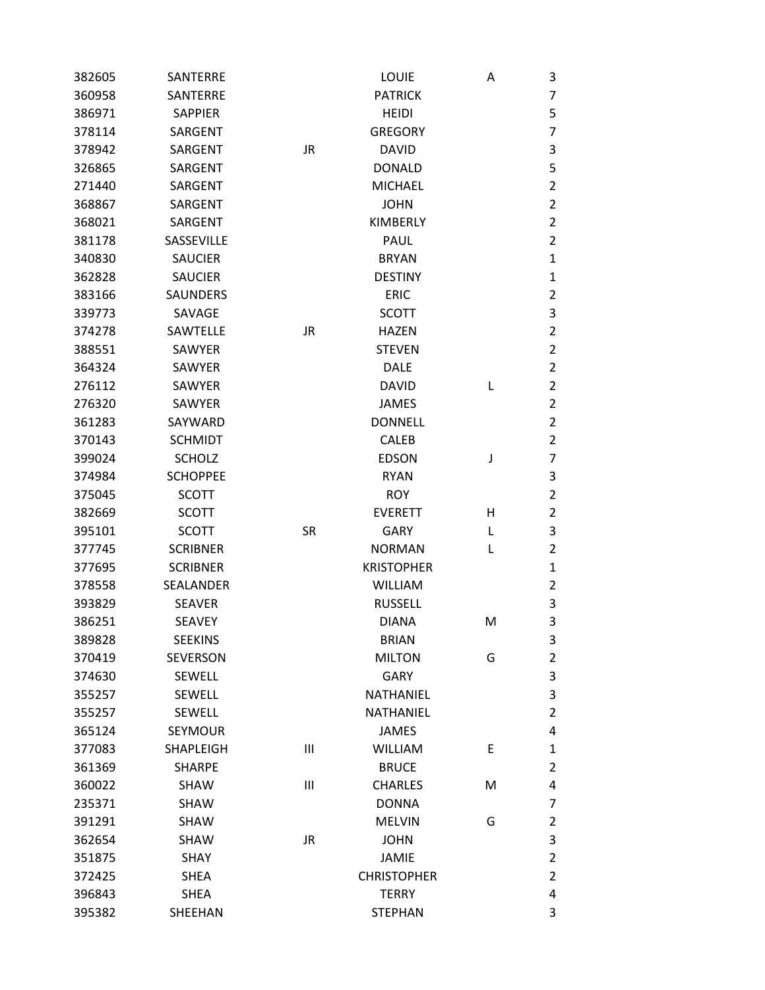| 382605 | SANTERRE        |           | <b>LOUIE</b>       | Α | 3              |
|--------|-----------------|-----------|--------------------|---|----------------|
| 360958 | SANTERRE        |           | <b>PATRICK</b>     |   | 7              |
| 386971 | <b>SAPPIER</b>  |           | <b>HEIDI</b>       |   | 5              |
| 378114 | SARGENT         |           | <b>GREGORY</b>     |   | 7              |
| 378942 | SARGENT         | <b>JR</b> | <b>DAVID</b>       |   | 3              |
| 326865 | SARGENT         |           | <b>DONALD</b>      |   | 5              |
| 271440 | SARGENT         |           | <b>MICHAEL</b>     |   | 2              |
| 368867 | SARGENT         |           | <b>JOHN</b>        |   | $\overline{2}$ |
| 368021 | SARGENT         |           | <b>KIMBERLY</b>    |   | $\overline{2}$ |
| 381178 | SASSEVILLE      |           | PAUL               |   | $\overline{2}$ |
| 340830 | <b>SAUCIER</b>  |           | <b>BRYAN</b>       |   | 1              |
| 362828 | <b>SAUCIER</b>  |           | <b>DESTINY</b>     |   | 1              |
| 383166 | <b>SAUNDERS</b> |           | <b>ERIC</b>        |   | 2              |
| 339773 | SAVAGE          |           | <b>SCOTT</b>       |   | 3              |
| 374278 | SAWTELLE        | JR        | <b>HAZEN</b>       |   | $\overline{2}$ |
| 388551 | <b>SAWYER</b>   |           | <b>STEVEN</b>      |   | $\overline{2}$ |
| 364324 | SAWYER          |           | <b>DALE</b>        |   | $\overline{2}$ |
| 276112 | <b>SAWYER</b>   |           | <b>DAVID</b>       | L | $\overline{2}$ |
| 276320 | <b>SAWYER</b>   |           | <b>JAMES</b>       |   | 2              |
| 361283 | SAYWARD         |           | <b>DONNELL</b>     |   | 2              |
| 370143 | <b>SCHMIDT</b>  |           | <b>CALEB</b>       |   | $\overline{2}$ |
| 399024 | <b>SCHOLZ</b>   |           | <b>EDSON</b>       | J | 7              |
| 374984 | <b>SCHOPPEE</b> |           | <b>RYAN</b>        |   | 3              |
| 375045 | <b>SCOTT</b>    |           | <b>ROY</b>         |   | $\overline{2}$ |
| 382669 | <b>SCOTT</b>    |           | <b>EVERETT</b>     | н | $\overline{2}$ |
| 395101 | <b>SCOTT</b>    | <b>SR</b> | <b>GARY</b>        | L | 3              |
| 377745 | <b>SCRIBNER</b> |           | <b>NORMAN</b>      | L | $\overline{2}$ |
| 377695 | <b>SCRIBNER</b> |           | <b>KRISTOPHER</b>  |   | 1              |
| 378558 | SEALANDER       |           | <b>WILLIAM</b>     |   | $\overline{2}$ |
| 393829 | <b>SEAVER</b>   |           | <b>RUSSELL</b>     |   | 3              |
| 386251 | <b>SEAVEY</b>   |           | <b>DIANA</b>       | M | 3              |
| 389828 | <b>SEEKINS</b>  |           | <b>BRIAN</b>       |   | 3              |
| 370419 | <b>SEVERSON</b> |           | <b>MILTON</b>      | G | $\overline{2}$ |
| 374630 | SEWELL          |           | <b>GARY</b>        |   | 3              |
| 355257 | <b>SEWELL</b>   |           | <b>NATHANIEL</b>   |   | 3              |
| 355257 | SEWELL          |           | <b>NATHANIEL</b>   |   | $\overline{2}$ |
| 365124 | <b>SEYMOUR</b>  |           | <b>JAMES</b>       |   | 4              |
| 377083 | SHAPLEIGH       | Ш         | <b>WILLIAM</b>     | E | 1              |
| 361369 | <b>SHARPE</b>   |           | <b>BRUCE</b>       |   | 2              |
| 360022 | SHAW            | Ш         | <b>CHARLES</b>     | M | 4              |
| 235371 | SHAW            |           | <b>DONNA</b>       |   | 7              |
| 391291 | SHAW            |           | <b>MELVIN</b>      | G | 2              |
| 362654 | SHAW            | <b>JR</b> | <b>JOHN</b>        |   | 3              |
| 351875 | SHAY            |           | <b>JAMIE</b>       |   | $\overline{2}$ |
| 372425 | <b>SHEA</b>     |           | <b>CHRISTOPHER</b> |   | $\overline{2}$ |
| 396843 | <b>SHEA</b>     |           | <b>TERRY</b>       |   | 4              |
| 395382 | SHEEHAN         |           | <b>STEPHAN</b>     |   | 3              |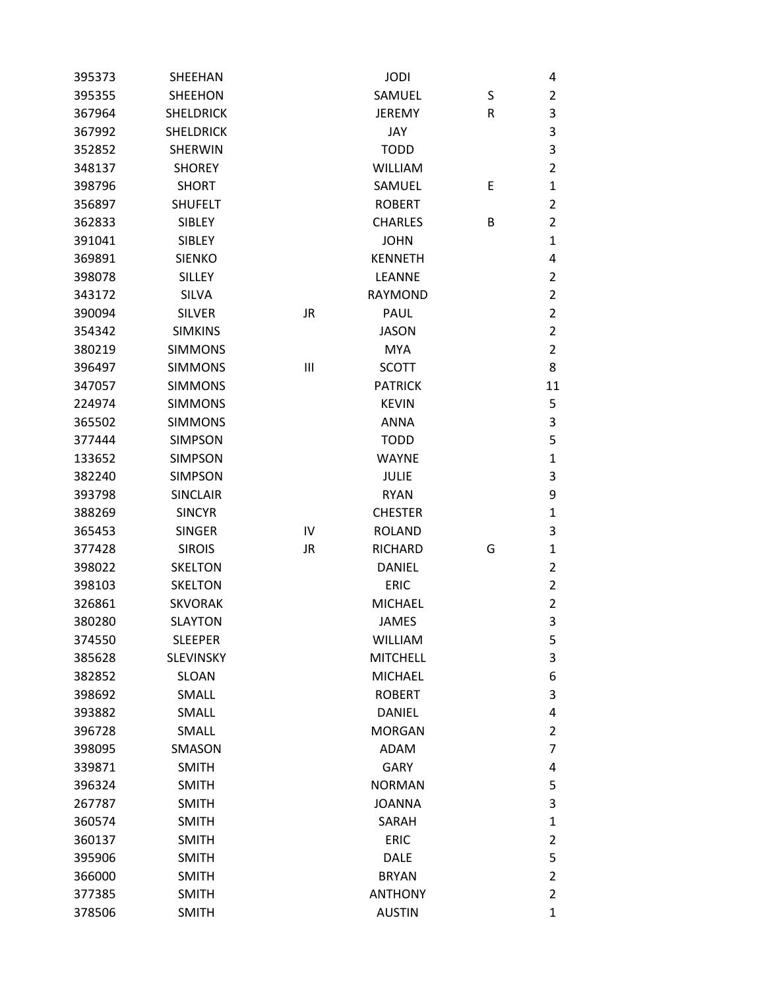| 395373 | SHEEHAN          |           | <b>JODI</b>     |   | 4              |
|--------|------------------|-----------|-----------------|---|----------------|
| 395355 | <b>SHEEHON</b>   |           | SAMUEL          | S | $\overline{2}$ |
| 367964 | <b>SHELDRICK</b> |           | <b>JEREMY</b>   | R | 3              |
| 367992 | <b>SHELDRICK</b> |           | JAY             |   | 3              |
| 352852 | <b>SHERWIN</b>   |           | <b>TODD</b>     |   | 3              |
| 348137 | <b>SHOREY</b>    |           | <b>WILLIAM</b>  |   | $\overline{2}$ |
| 398796 | <b>SHORT</b>     |           | SAMUEL          | Ε | $\mathbf{1}$   |
| 356897 | <b>SHUFELT</b>   |           | <b>ROBERT</b>   |   | $\overline{2}$ |
| 362833 | <b>SIBLEY</b>    |           | <b>CHARLES</b>  | B | $\overline{2}$ |
| 391041 | <b>SIBLEY</b>    |           | <b>JOHN</b>     |   | $\mathbf 1$    |
| 369891 | <b>SIENKO</b>    |           | <b>KENNETH</b>  |   | 4              |
| 398078 | <b>SILLEY</b>    |           | LEANNE          |   | $\overline{2}$ |
| 343172 | <b>SILVA</b>     |           | <b>RAYMOND</b>  |   | $\overline{2}$ |
| 390094 | <b>SILVER</b>    | <b>JR</b> | PAUL            |   | $\overline{2}$ |
| 354342 | <b>SIMKINS</b>   |           | JASON           |   | $\overline{2}$ |
| 380219 | <b>SIMMONS</b>   |           | <b>MYA</b>      |   | $\overline{2}$ |
| 396497 | <b>SIMMONS</b>   | Ш         | <b>SCOTT</b>    |   | 8              |
| 347057 | <b>SIMMONS</b>   |           | <b>PATRICK</b>  |   | 11             |
| 224974 | <b>SIMMONS</b>   |           | <b>KEVIN</b>    |   | 5              |
| 365502 | <b>SIMMONS</b>   |           | <b>ANNA</b>     |   | $\mathsf 3$    |
| 377444 | <b>SIMPSON</b>   |           | <b>TODD</b>     |   | 5              |
| 133652 | <b>SIMPSON</b>   |           | <b>WAYNE</b>    |   | $\mathbf{1}$   |
| 382240 | <b>SIMPSON</b>   |           | <b>JULIE</b>    |   | $\mathsf 3$    |
| 393798 | <b>SINCLAIR</b>  |           | <b>RYAN</b>     |   | 9              |
| 388269 | <b>SINCYR</b>    |           | <b>CHESTER</b>  |   | $\mathbf{1}$   |
| 365453 | <b>SINGER</b>    | IV        | <b>ROLAND</b>   |   | 3              |
| 377428 | <b>SIROIS</b>    | <b>JR</b> | <b>RICHARD</b>  | G | 1              |
| 398022 | <b>SKELTON</b>   |           | <b>DANIEL</b>   |   | $\overline{2}$ |
| 398103 | <b>SKELTON</b>   |           | <b>ERIC</b>     |   | $\overline{2}$ |
| 326861 | <b>SKVORAK</b>   |           | <b>MICHAEL</b>  |   | $\overline{2}$ |
| 380280 | <b>SLAYTON</b>   |           | <b>JAMES</b>    |   | 3              |
| 374550 | <b>SLEEPER</b>   |           | <b>WILLIAM</b>  |   | 5              |
| 385628 | <b>SLEVINSKY</b> |           | <b>MITCHELL</b> |   | 3              |
| 382852 | SLOAN            |           | <b>MICHAEL</b>  |   | 6              |
| 398692 | SMALL            |           | <b>ROBERT</b>   |   | $\mathsf 3$    |
| 393882 | SMALL            |           | <b>DANIEL</b>   |   | 4              |
| 396728 | SMALL            |           | <b>MORGAN</b>   |   | $\overline{2}$ |
| 398095 | SMASON           |           | <b>ADAM</b>     |   | $\overline{7}$ |
| 339871 | <b>SMITH</b>     |           | <b>GARY</b>     |   | 4              |
| 396324 | <b>SMITH</b>     |           | <b>NORMAN</b>   |   | 5              |
| 267787 | <b>SMITH</b>     |           | <b>JOANNA</b>   |   | 3              |
| 360574 | <b>SMITH</b>     |           | SARAH           |   | $\mathbf{1}$   |
| 360137 | <b>SMITH</b>     |           | <b>ERIC</b>     |   | $\overline{2}$ |
| 395906 | <b>SMITH</b>     |           | <b>DALE</b>     |   | 5              |
| 366000 | <b>SMITH</b>     |           | <b>BRYAN</b>    |   | $\overline{2}$ |
| 377385 | <b>SMITH</b>     |           | <b>ANTHONY</b>  |   | $\overline{2}$ |
| 378506 | <b>SMITH</b>     |           | <b>AUSTIN</b>   |   | $\mathbf{1}$   |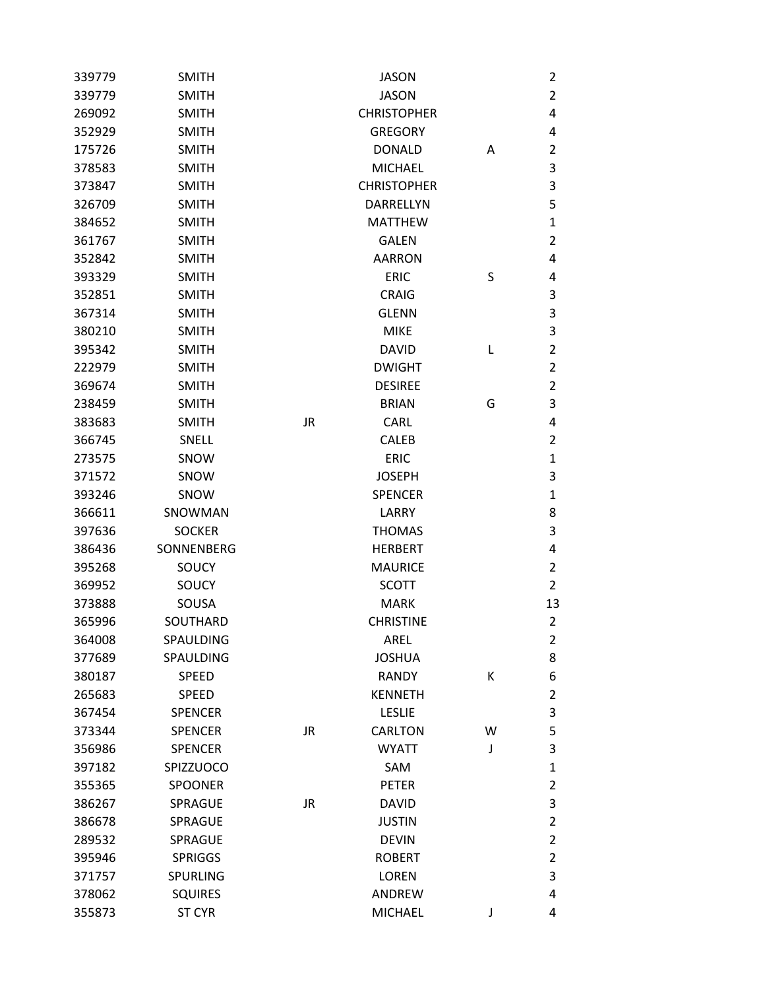| 339779 | <b>SMITH</b>   |           | <b>JASON</b>       |   | $\overline{2}$ |
|--------|----------------|-----------|--------------------|---|----------------|
| 339779 | <b>SMITH</b>   |           | <b>JASON</b>       |   | $\overline{2}$ |
| 269092 | <b>SMITH</b>   |           | <b>CHRISTOPHER</b> |   | 4              |
| 352929 | <b>SMITH</b>   |           | <b>GREGORY</b>     |   | 4              |
| 175726 | <b>SMITH</b>   |           | <b>DONALD</b>      | A | $\overline{2}$ |
| 378583 | <b>SMITH</b>   |           | <b>MICHAEL</b>     |   | $\mathsf 3$    |
| 373847 | <b>SMITH</b>   |           | <b>CHRISTOPHER</b> |   | $\mathsf 3$    |
| 326709 | <b>SMITH</b>   |           | DARRELLYN          |   | 5              |
| 384652 | <b>SMITH</b>   |           | <b>MATTHEW</b>     |   | $\mathbf{1}$   |
| 361767 | <b>SMITH</b>   |           | <b>GALEN</b>       |   | $\overline{2}$ |
| 352842 | <b>SMITH</b>   |           | <b>AARRON</b>      |   | 4              |
| 393329 | <b>SMITH</b>   |           | <b>ERIC</b>        | S | 4              |
| 352851 | <b>SMITH</b>   |           | <b>CRAIG</b>       |   | $\mathsf 3$    |
| 367314 | <b>SMITH</b>   |           | <b>GLENN</b>       |   | 3              |
| 380210 | <b>SMITH</b>   |           | <b>MIKE</b>        |   | 3              |
| 395342 | <b>SMITH</b>   |           | <b>DAVID</b>       | L | $\overline{2}$ |
| 222979 | <b>SMITH</b>   |           | <b>DWIGHT</b>      |   | $\overline{2}$ |
| 369674 | <b>SMITH</b>   |           | <b>DESIREE</b>     |   | $\overline{2}$ |
| 238459 | <b>SMITH</b>   |           | <b>BRIAN</b>       | G | 3              |
| 383683 | <b>SMITH</b>   | <b>JR</b> | <b>CARL</b>        |   | 4              |
| 366745 | SNELL          |           | <b>CALEB</b>       |   | $\overline{2}$ |
| 273575 | SNOW           |           | <b>ERIC</b>        |   | $\mathbf{1}$   |
| 371572 | SNOW           |           | <b>JOSEPH</b>      |   | 3              |
| 393246 | SNOW           |           | <b>SPENCER</b>     |   | $\mathbf{1}$   |
| 366611 | SNOWMAN        |           | LARRY              |   | 8              |
| 397636 | <b>SOCKER</b>  |           | <b>THOMAS</b>      |   | 3              |
| 386436 | SONNENBERG     |           | <b>HERBERT</b>     |   | $\overline{4}$ |
| 395268 | SOUCY          |           | <b>MAURICE</b>     |   | $\overline{2}$ |
| 369952 | SOUCY          |           | <b>SCOTT</b>       |   | $\overline{2}$ |
| 373888 | SOUSA          |           | <b>MARK</b>        |   | 13             |
| 365996 | SOUTHARD       |           | <b>CHRISTINE</b>   |   | $\overline{2}$ |
| 364008 | SPAULDING      |           | AREL               |   | $\overline{2}$ |
| 377689 | SPAULDING      |           | <b>JOSHUA</b>      |   | 8              |
| 380187 | SPEED          |           | <b>RANDY</b>       | К | 6              |
| 265683 | <b>SPEED</b>   |           | <b>KENNETH</b>     |   | $\overline{2}$ |
| 367454 | <b>SPENCER</b> |           | <b>LESLIE</b>      |   | 3              |
| 373344 | <b>SPENCER</b> | JR        | <b>CARLTON</b>     | W | 5              |
| 356986 | <b>SPENCER</b> |           | <b>WYATT</b>       | J | 3              |
| 397182 | SPIZZUOCO      |           | SAM                |   | $\mathbf 1$    |
| 355365 | <b>SPOONER</b> |           | <b>PETER</b>       |   | $\overline{2}$ |
| 386267 | <b>SPRAGUE</b> | <b>JR</b> | <b>DAVID</b>       |   | 3              |
| 386678 | <b>SPRAGUE</b> |           | <b>JUSTIN</b>      |   | $\overline{2}$ |
| 289532 | SPRAGUE        |           | <b>DEVIN</b>       |   | $\overline{2}$ |
| 395946 | <b>SPRIGGS</b> |           | <b>ROBERT</b>      |   | $\overline{2}$ |
| 371757 | SPURLING       |           | <b>LOREN</b>       |   | 3              |
| 378062 | <b>SQUIRES</b> |           | ANDREW             |   | 4              |
| 355873 | <b>ST CYR</b>  |           | <b>MICHAEL</b>     | J | 4              |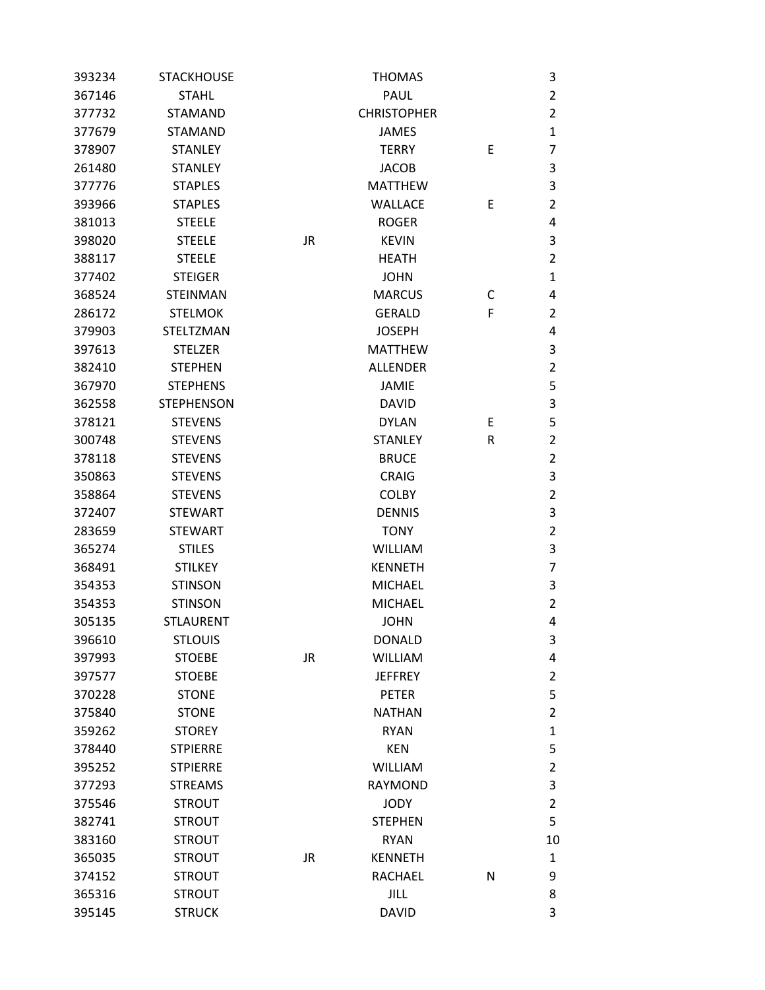| 393234 | <b>STACKHOUSE</b> |           | <b>THOMAS</b>      |   | 3              |
|--------|-------------------|-----------|--------------------|---|----------------|
| 367146 | <b>STAHL</b>      |           | PAUL               |   | $\overline{2}$ |
| 377732 | <b>STAMAND</b>    |           | <b>CHRISTOPHER</b> |   | $\overline{2}$ |
| 377679 | <b>STAMAND</b>    |           | <b>JAMES</b>       |   | $\mathbf{1}$   |
| 378907 | <b>STANLEY</b>    |           | <b>TERRY</b>       | E | $\overline{7}$ |
| 261480 | <b>STANLEY</b>    |           | <b>JACOB</b>       |   | 3              |
| 377776 | <b>STAPLES</b>    |           | <b>MATTHEW</b>     |   | $\mathsf 3$    |
| 393966 | <b>STAPLES</b>    |           | <b>WALLACE</b>     | E | $\overline{2}$ |
| 381013 | <b>STEELE</b>     |           | <b>ROGER</b>       |   | 4              |
| 398020 | <b>STEELE</b>     | <b>JR</b> | <b>KEVIN</b>       |   | 3              |
| 388117 | <b>STEELE</b>     |           | <b>HEATH</b>       |   | $\overline{2}$ |
| 377402 | <b>STEIGER</b>    |           | <b>JOHN</b>        |   | $\mathbf{1}$   |
| 368524 | <b>STEINMAN</b>   |           | <b>MARCUS</b>      | C | 4              |
| 286172 | <b>STELMOK</b>    |           | <b>GERALD</b>      | F | $\overline{2}$ |
| 379903 | <b>STELTZMAN</b>  |           | <b>JOSEPH</b>      |   | 4              |
| 397613 | <b>STELZER</b>    |           | <b>MATTHEW</b>     |   | 3              |
| 382410 | <b>STEPHEN</b>    |           | <b>ALLENDER</b>    |   | $\overline{2}$ |
| 367970 | <b>STEPHENS</b>   |           | <b>JAMIE</b>       |   | 5              |
| 362558 | <b>STEPHENSON</b> |           | <b>DAVID</b>       |   | $\mathsf 3$    |
| 378121 | <b>STEVENS</b>    |           | <b>DYLAN</b>       | E | 5              |
| 300748 | <b>STEVENS</b>    |           | <b>STANLEY</b>     | R | $\overline{2}$ |
| 378118 | <b>STEVENS</b>    |           | <b>BRUCE</b>       |   | $\overline{2}$ |
| 350863 | <b>STEVENS</b>    |           | <b>CRAIG</b>       |   | $\mathsf 3$    |
| 358864 | <b>STEVENS</b>    |           | <b>COLBY</b>       |   | $\overline{2}$ |
| 372407 | <b>STEWART</b>    |           | <b>DENNIS</b>      |   | 3              |
| 283659 | <b>STEWART</b>    |           | <b>TONY</b>        |   | $\overline{2}$ |
| 365274 | <b>STILES</b>     |           | <b>WILLIAM</b>     |   | 3              |
| 368491 | <b>STILKEY</b>    |           | <b>KENNETH</b>     |   | $\overline{7}$ |
| 354353 | <b>STINSON</b>    |           | <b>MICHAEL</b>     |   | 3              |
| 354353 | <b>STINSON</b>    |           | <b>MICHAEL</b>     |   | $\overline{2}$ |
| 305135 | <b>STLAURENT</b>  |           | <b>JOHN</b>        |   | 4              |
| 396610 | <b>STLOUIS</b>    |           | <b>DONALD</b>      |   | 3              |
| 397993 | <b>STOEBE</b>     | <b>JR</b> | <b>WILLIAM</b>     |   | 4              |
| 397577 | <b>STOEBE</b>     |           | <b>JEFFREY</b>     |   | $\overline{2}$ |
| 370228 | <b>STONE</b>      |           | <b>PETER</b>       |   | 5              |
| 375840 | <b>STONE</b>      |           | <b>NATHAN</b>      |   | $\overline{2}$ |
| 359262 | <b>STOREY</b>     |           | <b>RYAN</b>        |   | $\mathbf{1}$   |
| 378440 | <b>STPIERRE</b>   |           | <b>KEN</b>         |   | 5              |
| 395252 | <b>STPIERRE</b>   |           | <b>WILLIAM</b>     |   | $\overline{2}$ |
| 377293 | <b>STREAMS</b>    |           | RAYMOND            |   | $\mathsf 3$    |
| 375546 | <b>STROUT</b>     |           | <b>JODY</b>        |   | $\overline{2}$ |
| 382741 | <b>STROUT</b>     |           | <b>STEPHEN</b>     |   | 5              |
| 383160 | <b>STROUT</b>     |           | <b>RYAN</b>        |   | 10             |
| 365035 | <b>STROUT</b>     | <b>JR</b> | <b>KENNETH</b>     |   | 1              |
| 374152 | <b>STROUT</b>     |           | RACHAEL            | N | 9              |
| 365316 | <b>STROUT</b>     |           | <b>JILL</b>        |   | 8              |
| 395145 | <b>STRUCK</b>     |           | <b>DAVID</b>       |   | 3              |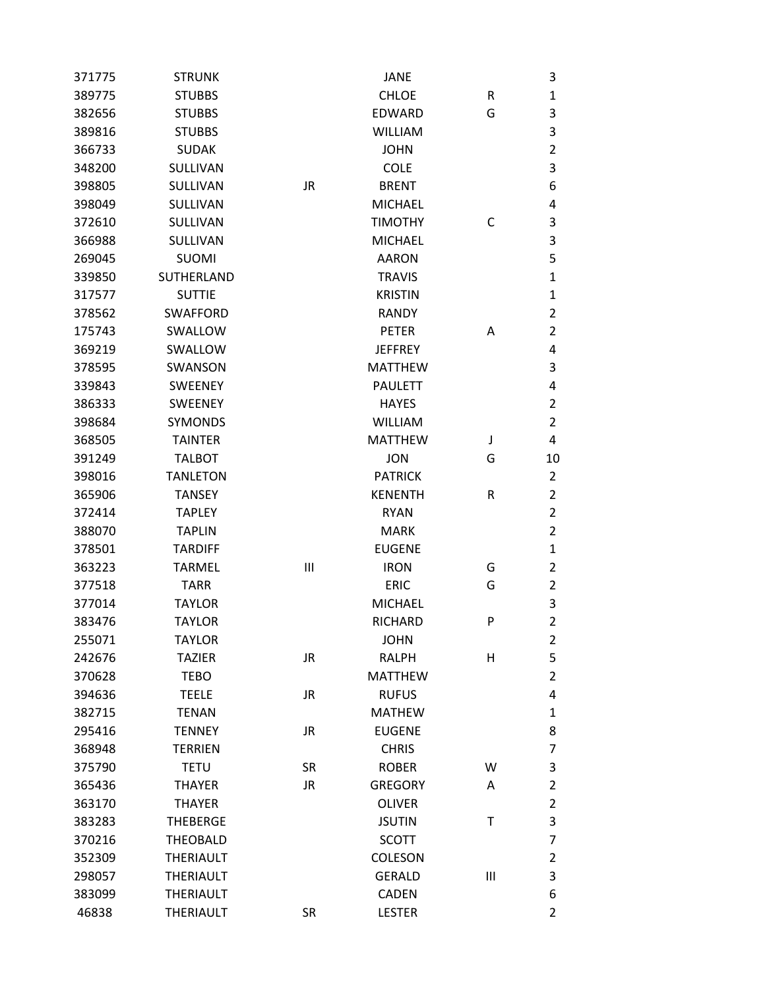| 371775 | <b>STRUNK</b>    |           | JANE           |                | 3              |
|--------|------------------|-----------|----------------|----------------|----------------|
| 389775 | <b>STUBBS</b>    |           | <b>CHLOE</b>   | R              | $\mathbf{1}$   |
| 382656 | <b>STUBBS</b>    |           | <b>EDWARD</b>  | G              | 3              |
| 389816 | <b>STUBBS</b>    |           | <b>WILLIAM</b> |                | 3              |
| 366733 | <b>SUDAK</b>     |           | <b>JOHN</b>    |                | $\overline{2}$ |
| 348200 | SULLIVAN         |           | <b>COLE</b>    |                | 3              |
| 398805 | SULLIVAN         | <b>JR</b> | <b>BRENT</b>   |                | 6              |
| 398049 | SULLIVAN         |           | <b>MICHAEL</b> |                | 4              |
| 372610 | SULLIVAN         |           | <b>TIMOTHY</b> | C              | 3              |
| 366988 | SULLIVAN         |           | <b>MICHAEL</b> |                | 3              |
| 269045 | <b>SUOMI</b>     |           | <b>AARON</b>   |                | 5              |
| 339850 | SUTHERLAND       |           | <b>TRAVIS</b>  |                | $\mathbf{1}$   |
| 317577 | <b>SUTTIE</b>    |           | <b>KRISTIN</b> |                | $\mathbf{1}$   |
| 378562 | <b>SWAFFORD</b>  |           | <b>RANDY</b>   |                | $\overline{2}$ |
| 175743 | SWALLOW          |           | <b>PETER</b>   | Α              | $\overline{2}$ |
| 369219 | SWALLOW          |           | <b>JEFFREY</b> |                | 4              |
| 378595 | SWANSON          |           | <b>MATTHEW</b> |                | 3              |
| 339843 | <b>SWEENEY</b>   |           | <b>PAULETT</b> |                | 4              |
| 386333 | <b>SWEENEY</b>   |           | <b>HAYES</b>   |                | $\overline{2}$ |
| 398684 | <b>SYMONDS</b>   |           | <b>WILLIAM</b> |                | $\overline{2}$ |
| 368505 | <b>TAINTER</b>   |           | <b>MATTHEW</b> | J              | 4              |
| 391249 | <b>TALBOT</b>    |           | <b>JON</b>     | G              | 10             |
| 398016 | <b>TANLETON</b>  |           | <b>PATRICK</b> |                | 2              |
| 365906 | <b>TANSEY</b>    |           | <b>KENENTH</b> | R              | $\overline{2}$ |
| 372414 | <b>TAPLEY</b>    |           | <b>RYAN</b>    |                | $\overline{2}$ |
| 388070 | <b>TAPLIN</b>    |           | <b>MARK</b>    |                | $\overline{2}$ |
| 378501 | <b>TARDIFF</b>   |           | <b>EUGENE</b>  |                | $\mathbf{1}$   |
| 363223 | <b>TARMEL</b>    | Ш         | <b>IRON</b>    | G              | $\overline{2}$ |
| 377518 | <b>TARR</b>      |           | <b>ERIC</b>    | G              | $\overline{2}$ |
| 377014 | <b>TAYLOR</b>    |           | <b>MICHAEL</b> |                | 3              |
| 383476 | <b>TAYLOR</b>    |           | <b>RICHARD</b> | P              | $\overline{2}$ |
| 255071 | <b>TAYLOR</b>    |           | <b>JOHN</b>    |                | $\overline{2}$ |
| 242676 | <b>TAZIER</b>    | <b>JR</b> | <b>RALPH</b>   | Н              | 5              |
| 370628 | <b>TEBO</b>      |           | <b>MATTHEW</b> |                | $\overline{2}$ |
| 394636 | <b>TEELE</b>     | <b>JR</b> | <b>RUFUS</b>   |                | 4              |
| 382715 | <b>TENAN</b>     |           | <b>MATHEW</b>  |                | $\mathbf{1}$   |
| 295416 | <b>TENNEY</b>    | JR        | <b>EUGENE</b>  |                | 8              |
| 368948 | <b>TERRIEN</b>   |           | <b>CHRIS</b>   |                | $\overline{7}$ |
| 375790 | <b>TETU</b>      | <b>SR</b> | <b>ROBER</b>   | W              | 3              |
| 365436 | <b>THAYER</b>    | JR.       | <b>GREGORY</b> | Α              | $\overline{2}$ |
| 363170 | <b>THAYER</b>    |           | <b>OLIVER</b>  |                | $\overline{2}$ |
| 383283 | <b>THEBERGE</b>  |           | <b>JSUTIN</b>  | T              | 3              |
| 370216 | <b>THEOBALD</b>  |           | <b>SCOTT</b>   |                | $\overline{7}$ |
| 352309 | <b>THERIAULT</b> |           | <b>COLESON</b> |                | $\overline{2}$ |
| 298057 | <b>THERIAULT</b> |           | <b>GERALD</b>  | $\mathbf{III}$ | 3              |
| 383099 | <b>THERIAULT</b> |           | <b>CADEN</b>   |                | 6              |
| 46838  | <b>THERIAULT</b> | <b>SR</b> | <b>LESTER</b>  |                | $\overline{2}$ |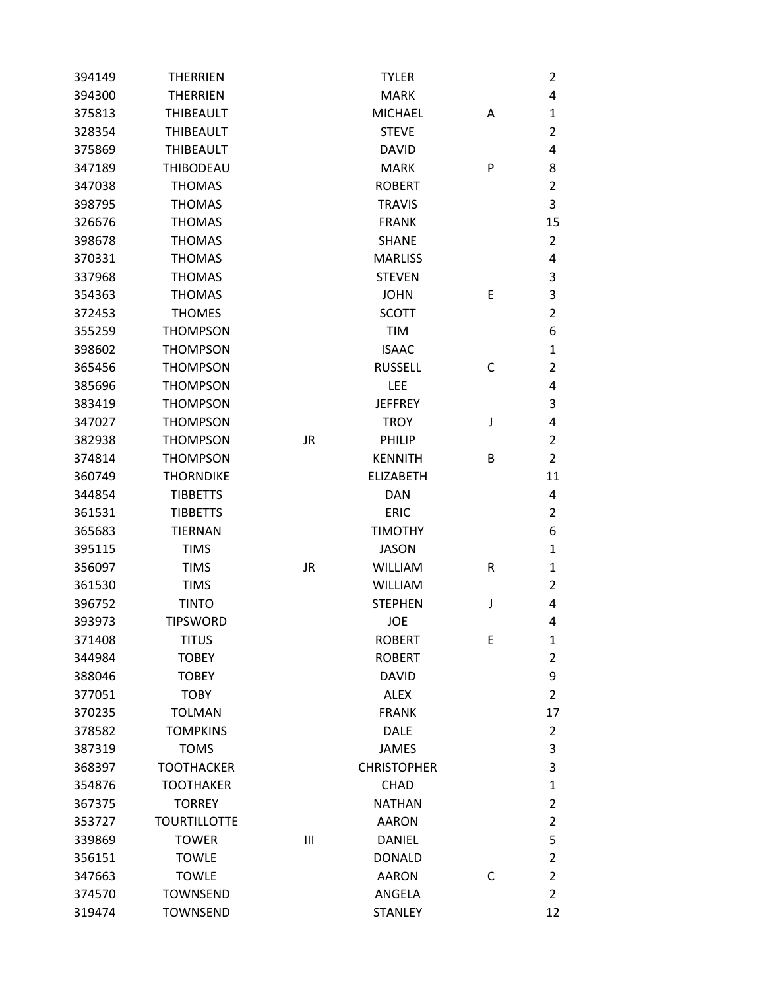| 394149 | <b>THERRIEN</b>     |           | <b>TYLER</b>       |   | 2              |
|--------|---------------------|-----------|--------------------|---|----------------|
| 394300 | <b>THERRIEN</b>     |           | <b>MARK</b>        |   | 4              |
| 375813 | <b>THIBEAULT</b>    |           | <b>MICHAEL</b>     | Α | 1              |
| 328354 | <b>THIBEAULT</b>    |           | <b>STEVE</b>       |   | 2              |
| 375869 | <b>THIBEAULT</b>    |           | <b>DAVID</b>       |   | 4              |
| 347189 | <b>THIBODEAU</b>    |           | <b>MARK</b>        | P | 8              |
| 347038 | <b>THOMAS</b>       |           | <b>ROBERT</b>      |   | 2              |
| 398795 | <b>THOMAS</b>       |           | <b>TRAVIS</b>      |   | 3              |
| 326676 | <b>THOMAS</b>       |           | <b>FRANK</b>       |   | 15             |
| 398678 | <b>THOMAS</b>       |           | <b>SHANE</b>       |   | $\overline{2}$ |
| 370331 | <b>THOMAS</b>       |           | <b>MARLISS</b>     |   | 4              |
| 337968 | <b>THOMAS</b>       |           | <b>STEVEN</b>      |   | 3              |
| 354363 | <b>THOMAS</b>       |           | <b>JOHN</b>        | Ε | 3              |
| 372453 | <b>THOMES</b>       |           | <b>SCOTT</b>       |   | 2              |
| 355259 | <b>THOMPSON</b>     |           | <b>TIM</b>         |   | 6              |
| 398602 | <b>THOMPSON</b>     |           | <b>ISAAC</b>       |   | 1              |
| 365456 | <b>THOMPSON</b>     |           | <b>RUSSELL</b>     | С | 2              |
| 385696 | <b>THOMPSON</b>     |           | <b>LEE</b>         |   | 4              |
| 383419 | <b>THOMPSON</b>     |           | <b>JEFFREY</b>     |   | 3              |
| 347027 | <b>THOMPSON</b>     |           | <b>TROY</b>        | J | 4              |
| 382938 | <b>THOMPSON</b>     | <b>JR</b> | PHILIP             |   | 2              |
| 374814 | <b>THOMPSON</b>     |           | <b>KENNITH</b>     | В | $\overline{2}$ |
| 360749 | <b>THORNDIKE</b>    |           | <b>ELIZABETH</b>   |   | 11             |
| 344854 | <b>TIBBETTS</b>     |           | <b>DAN</b>         |   | 4              |
| 361531 | <b>TIBBETTS</b>     |           | <b>ERIC</b>        |   | 2              |
| 365683 | <b>TIERNAN</b>      |           | <b>TIMOTHY</b>     |   | 6              |
| 395115 | <b>TIMS</b>         |           | <b>JASON</b>       |   | 1              |
| 356097 | <b>TIMS</b>         | <b>JR</b> | <b>WILLIAM</b>     | R | 1              |
| 361530 | <b>TIMS</b>         |           | <b>WILLIAM</b>     |   | 2              |
| 396752 | <b>TINTO</b>        |           | <b>STEPHEN</b>     | J | 4              |
| 393973 | <b>TIPSWORD</b>     |           | JOE                |   | 4              |
| 371408 | titus               |           | <b>ROBERT</b>      | E | 1              |
| 344984 | <b>TOBEY</b>        |           | <b>ROBERT</b>      |   | 2              |
| 388046 | <b>TOBEY</b>        |           | <b>DAVID</b>       |   | 9              |
| 377051 | <b>TOBY</b>         |           | <b>ALEX</b>        |   | 2              |
| 370235 | <b>TOLMAN</b>       |           | <b>FRANK</b>       |   | 17             |
| 378582 | <b>TOMPKINS</b>     |           | <b>DALE</b>        |   | $\overline{2}$ |
| 387319 | <b>TOMS</b>         |           | <b>JAMES</b>       |   | 3              |
| 368397 | <b>TOOTHACKER</b>   |           | <b>CHRISTOPHER</b> |   | 3              |
| 354876 | <b>TOOTHAKER</b>    |           | <b>CHAD</b>        |   | $\mathbf{1}$   |
| 367375 | <b>TORREY</b>       |           | <b>NATHAN</b>      |   | 2              |
| 353727 | <b>TOURTILLOTTE</b> |           | <b>AARON</b>       |   | 2              |
| 339869 | <b>TOWER</b>        | Ш         | <b>DANIEL</b>      |   | 5              |
| 356151 | <b>TOWLE</b>        |           | <b>DONALD</b>      |   | 2              |
| 347663 | <b>TOWLE</b>        |           | <b>AARON</b>       | C | $\overline{2}$ |
| 374570 | <b>TOWNSEND</b>     |           | ANGELA             |   | $\overline{2}$ |
| 319474 | <b>TOWNSEND</b>     |           | <b>STANLEY</b>     |   | 12             |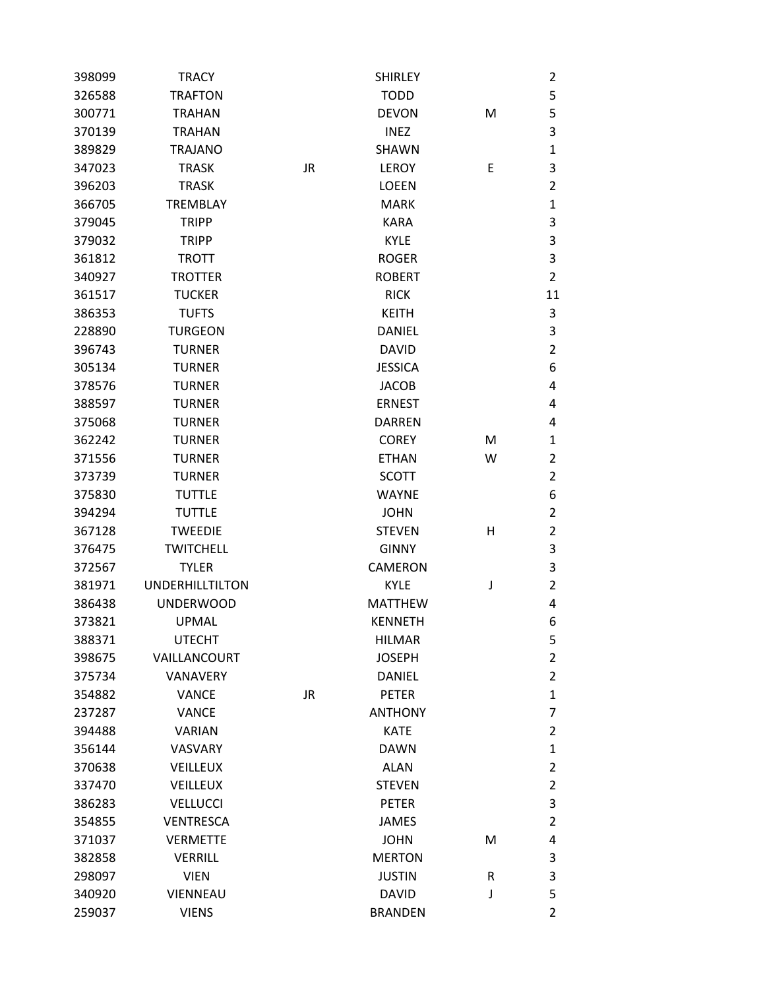| 398099 | <b>TRACY</b>           |    | <b>SHIRLEY</b> |   | 2              |
|--------|------------------------|----|----------------|---|----------------|
| 326588 | <b>TRAFTON</b>         |    | <b>TODD</b>    |   | 5              |
| 300771 | <b>TRAHAN</b>          |    | <b>DEVON</b>   | M | 5              |
| 370139 | <b>TRAHAN</b>          |    | <b>INEZ</b>    |   | 3              |
| 389829 | <b>TRAJANO</b>         |    | <b>SHAWN</b>   |   | $\mathbf{1}$   |
| 347023 | <b>TRASK</b>           | JR | LEROY          | Ε | 3              |
| 396203 | <b>TRASK</b>           |    | <b>LOEEN</b>   |   | $\overline{2}$ |
| 366705 | <b>TREMBLAY</b>        |    | <b>MARK</b>    |   | 1              |
| 379045 | <b>TRIPP</b>           |    | <b>KARA</b>    |   | 3              |
| 379032 | <b>TRIPP</b>           |    | <b>KYLE</b>    |   | 3              |
| 361812 | <b>TROTT</b>           |    | <b>ROGER</b>   |   | 3              |
| 340927 | <b>TROTTER</b>         |    | <b>ROBERT</b>  |   | $\overline{2}$ |
| 361517 | <b>TUCKER</b>          |    | <b>RICK</b>    |   | 11             |
| 386353 | <b>TUFTS</b>           |    | <b>KEITH</b>   |   | 3              |
| 228890 | <b>TURGEON</b>         |    | <b>DANIEL</b>  |   | 3              |
| 396743 | <b>TURNER</b>          |    | <b>DAVID</b>   |   | $\overline{2}$ |
| 305134 | <b>TURNER</b>          |    | <b>JESSICA</b> |   | 6              |
| 378576 | <b>TURNER</b>          |    | <b>JACOB</b>   |   | 4              |
| 388597 | <b>TURNER</b>          |    | <b>ERNEST</b>  |   | 4              |
| 375068 | <b>TURNER</b>          |    | <b>DARREN</b>  |   | 4              |
| 362242 | <b>TURNER</b>          |    | <b>COREY</b>   | M | 1              |
| 371556 | <b>TURNER</b>          |    | <b>ETHAN</b>   | W | $\overline{2}$ |
| 373739 | <b>TURNER</b>          |    | <b>SCOTT</b>   |   | $\overline{2}$ |
| 375830 | <b>TUTTLE</b>          |    | <b>WAYNE</b>   |   | 6              |
| 394294 | <b>TUTTLE</b>          |    | <b>JOHN</b>    |   | 2              |
| 367128 | <b>TWEEDIE</b>         |    | <b>STEVEN</b>  | Н | 2              |
| 376475 | <b>TWITCHELL</b>       |    | <b>GINNY</b>   |   | 3              |
| 372567 | <b>TYLER</b>           |    | <b>CAMERON</b> |   | 3              |
| 381971 | <b>UNDERHILLTILTON</b> |    | <b>KYLE</b>    | J | $\overline{2}$ |
| 386438 | <b>UNDERWOOD</b>       |    | <b>MATTHEW</b> |   | 4              |
| 373821 | <b>UPMAL</b>           |    | <b>KENNETH</b> |   | 6              |
| 388371 | <b>UTECHT</b>          |    | <b>HILMAR</b>  |   | 5              |
| 398675 | VAILLANCOURT           |    | <b>JOSEPH</b>  |   | $\overline{2}$ |
| 375734 | <b>VANAVERY</b>        |    | DANIEL         |   | $\overline{2}$ |
| 354882 | <b>VANCE</b>           | JR | <b>PETER</b>   |   | $\mathbf{1}$   |
| 237287 | <b>VANCE</b>           |    | <b>ANTHONY</b> |   | 7              |
| 394488 | <b>VARIAN</b>          |    | <b>KATE</b>    |   | 2              |
| 356144 | <b>VASVARY</b>         |    | <b>DAWN</b>    |   | $\mathbf{1}$   |
| 370638 | <b>VEILLEUX</b>        |    | <b>ALAN</b>    |   | 2              |
| 337470 | <b>VEILLEUX</b>        |    | <b>STEVEN</b>  |   | 2              |
| 386283 | <b>VELLUCCI</b>        |    | <b>PETER</b>   |   | 3              |
| 354855 | <b>VENTRESCA</b>       |    | JAMES          |   | $\overline{2}$ |
| 371037 | <b>VERMETTE</b>        |    | <b>JOHN</b>    | M | 4              |
| 382858 | <b>VERRILL</b>         |    | <b>MERTON</b>  |   | 3              |
| 298097 | <b>VIEN</b>            |    | <b>JUSTIN</b>  | R | 3              |
| 340920 | VIENNEAU               |    | <b>DAVID</b>   | J | 5              |
| 259037 | <b>VIENS</b>           |    | <b>BRANDEN</b> |   | $\overline{2}$ |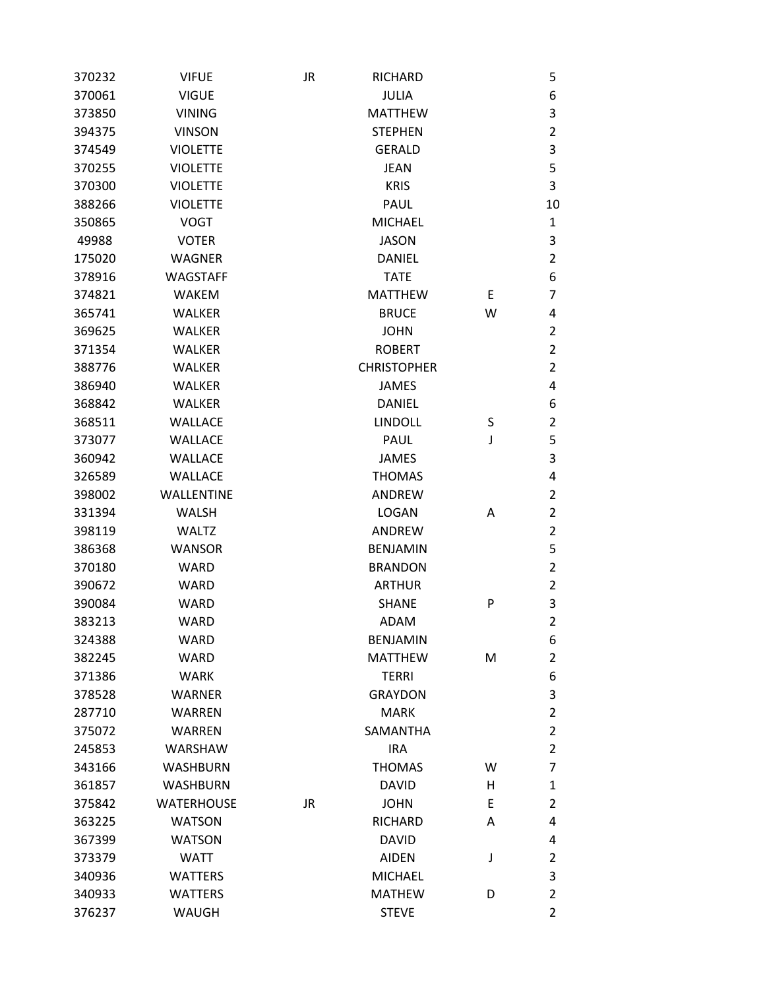| 370232 | <b>VIFUE</b>      | JR        | <b>RICHARD</b>     |   | 5                |
|--------|-------------------|-----------|--------------------|---|------------------|
| 370061 | <b>VIGUE</b>      |           | <b>JULIA</b>       |   | $\boldsymbol{6}$ |
| 373850 | <b>VINING</b>     |           | <b>MATTHEW</b>     |   | 3                |
| 394375 | <b>VINSON</b>     |           | <b>STEPHEN</b>     |   | $\overline{2}$   |
| 374549 | <b>VIOLETTE</b>   |           | <b>GERALD</b>      |   | $\mathsf 3$      |
| 370255 | <b>VIOLETTE</b>   |           | <b>JEAN</b>        |   | 5                |
| 370300 | <b>VIOLETTE</b>   |           | <b>KRIS</b>        |   | 3                |
| 388266 | <b>VIOLETTE</b>   |           | <b>PAUL</b>        |   | 10               |
| 350865 | <b>VOGT</b>       |           | <b>MICHAEL</b>     |   | 1                |
| 49988  | <b>VOTER</b>      |           | <b>JASON</b>       |   | 3                |
| 175020 | <b>WAGNER</b>     |           | <b>DANIEL</b>      |   | $\overline{2}$   |
| 378916 | <b>WAGSTAFF</b>   |           | <b>TATE</b>        |   | 6                |
| 374821 | <b>WAKEM</b>      |           | <b>MATTHEW</b>     | E | $\overline{7}$   |
| 365741 | <b>WALKER</b>     |           | <b>BRUCE</b>       | W | 4                |
| 369625 | <b>WALKER</b>     |           | <b>JOHN</b>        |   | $\overline{2}$   |
| 371354 | <b>WALKER</b>     |           | <b>ROBERT</b>      |   | $\overline{2}$   |
| 388776 | <b>WALKER</b>     |           | <b>CHRISTOPHER</b> |   | $\overline{2}$   |
| 386940 | <b>WALKER</b>     |           | <b>JAMES</b>       |   | 4                |
| 368842 | <b>WALKER</b>     |           | <b>DANIEL</b>      |   | 6                |
| 368511 | <b>WALLACE</b>    |           | <b>LINDOLL</b>     | S | $\overline{2}$   |
| 373077 | <b>WALLACE</b>    |           | <b>PAUL</b>        | J | 5                |
| 360942 | <b>WALLACE</b>    |           | <b>JAMES</b>       |   | 3                |
| 326589 | <b>WALLACE</b>    |           | <b>THOMAS</b>      |   | 4                |
| 398002 | <b>WALLENTINE</b> |           | ANDREW             |   | $\overline{2}$   |
| 331394 | <b>WALSH</b>      |           | <b>LOGAN</b>       | Α | $\overline{2}$   |
| 398119 | <b>WALTZ</b>      |           | ANDREW             |   | $\overline{2}$   |
| 386368 | <b>WANSOR</b>     |           | <b>BENJAMIN</b>    |   | 5                |
| 370180 | <b>WARD</b>       |           | <b>BRANDON</b>     |   | $\overline{2}$   |
| 390672 | <b>WARD</b>       |           | <b>ARTHUR</b>      |   | $\overline{2}$   |
| 390084 | <b>WARD</b>       |           | <b>SHANE</b>       | P | 3                |
| 383213 | <b>WARD</b>       |           | <b>ADAM</b>        |   | $\overline{2}$   |
| 324388 | WARD              |           | <b>BENJAMIN</b>    |   | 6                |
| 382245 | <b>WARD</b>       |           | <b>MATTHEW</b>     | M | $\overline{2}$   |
| 371386 | <b>WARK</b>       |           | <b>TERRI</b>       |   | 6                |
| 378528 | <b>WARNER</b>     |           | <b>GRAYDON</b>     |   | $\mathsf 3$      |
| 287710 | <b>WARREN</b>     |           | <b>MARK</b>        |   | $\overline{2}$   |
| 375072 | WARREN            |           | <b>SAMANTHA</b>    |   | $\overline{2}$   |
| 245853 | <b>WARSHAW</b>    |           | <b>IRA</b>         |   | $\overline{2}$   |
| 343166 | <b>WASHBURN</b>   |           | <b>THOMAS</b>      | w | $\overline{7}$   |
| 361857 | <b>WASHBURN</b>   |           | <b>DAVID</b>       | н | $\mathbf 1$      |
| 375842 | <b>WATERHOUSE</b> | <b>JR</b> | <b>JOHN</b>        | E | $\overline{2}$   |
| 363225 | <b>WATSON</b>     |           | <b>RICHARD</b>     | Α | 4                |
| 367399 | <b>WATSON</b>     |           | <b>DAVID</b>       |   | 4                |
| 373379 | <b>WATT</b>       |           | <b>AIDEN</b>       | J | $\overline{2}$   |
| 340936 | <b>WATTERS</b>    |           | <b>MICHAEL</b>     |   | 3                |
| 340933 | <b>WATTERS</b>    |           | <b>MATHEW</b>      | D | $\overline{2}$   |
| 376237 | <b>WAUGH</b>      |           | <b>STEVE</b>       |   | $\overline{2}$   |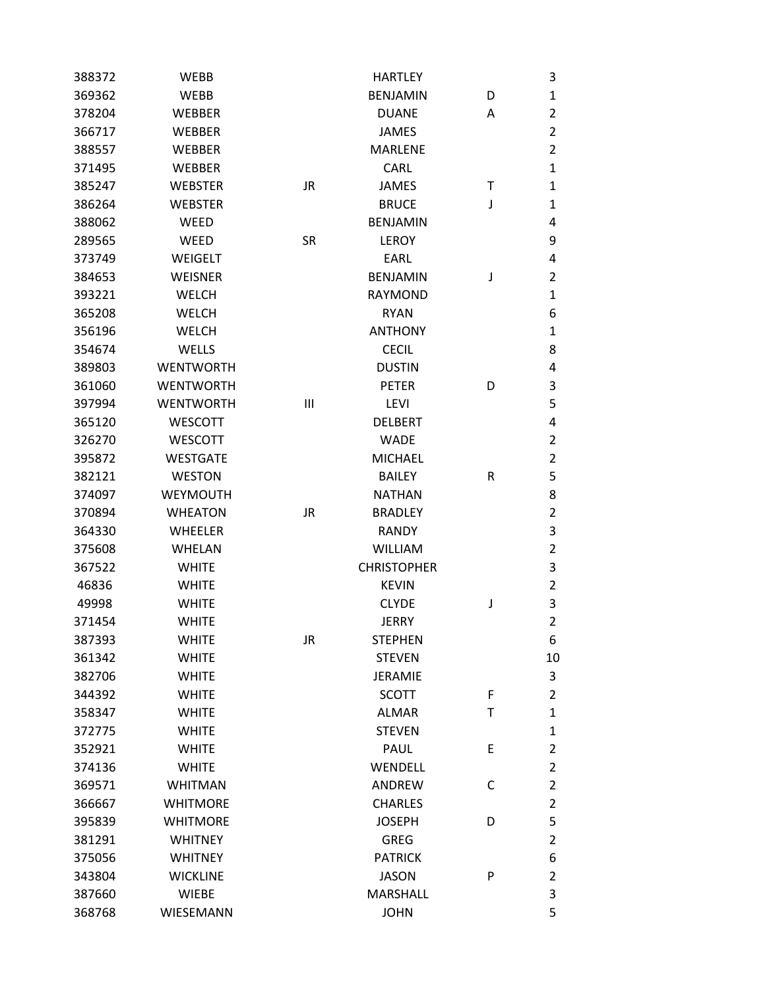| 388372 | WEBB             |           | <b>HARTLEY</b>     |   | 3              |
|--------|------------------|-----------|--------------------|---|----------------|
| 369362 | <b>WEBB</b>      |           | <b>BENJAMIN</b>    | D | $\mathbf{1}$   |
| 378204 | <b>WEBBER</b>    |           | <b>DUANE</b>       | Α | $\overline{2}$ |
| 366717 | <b>WEBBER</b>    |           | <b>JAMES</b>       |   | $\overline{2}$ |
| 388557 | <b>WEBBER</b>    |           | <b>MARLENE</b>     |   | $\overline{2}$ |
| 371495 | <b>WEBBER</b>    |           | <b>CARL</b>        |   | $\mathbf{1}$   |
| 385247 | <b>WEBSTER</b>   | <b>JR</b> | <b>JAMES</b>       | т | $\mathbf{1}$   |
| 386264 | <b>WEBSTER</b>   |           | <b>BRUCE</b>       | J | $\mathbf{1}$   |
| 388062 | WEED             |           | <b>BENJAMIN</b>    |   | 4              |
| 289565 | <b>WEED</b>      | <b>SR</b> | <b>LEROY</b>       |   | 9              |
| 373749 | WEIGELT          |           | EARL               |   | 4              |
| 384653 | <b>WEISNER</b>   |           | <b>BENJAMIN</b>    | J | $\overline{2}$ |
| 393221 | <b>WELCH</b>     |           | <b>RAYMOND</b>     |   | $\mathbf{1}$   |
| 365208 | <b>WELCH</b>     |           | <b>RYAN</b>        |   | 6              |
| 356196 | <b>WELCH</b>     |           | <b>ANTHONY</b>     |   | $\mathbf{1}$   |
| 354674 | WELLS            |           | <b>CECIL</b>       |   | 8              |
| 389803 | <b>WENTWORTH</b> |           | <b>DUSTIN</b>      |   | 4              |
| 361060 | <b>WENTWORTH</b> |           | <b>PETER</b>       | D | 3              |
| 397994 | <b>WENTWORTH</b> | Ш         | <b>LEVI</b>        |   | 5              |
| 365120 | <b>WESCOTT</b>   |           | <b>DELBERT</b>     |   | 4              |
| 326270 | <b>WESCOTT</b>   |           | <b>WADE</b>        |   | $\overline{2}$ |
| 395872 | <b>WESTGATE</b>  |           | <b>MICHAEL</b>     |   | $\overline{2}$ |
| 382121 | <b>WESTON</b>    |           | <b>BAILEY</b>      | R | 5              |
| 374097 | <b>WEYMOUTH</b>  |           | <b>NATHAN</b>      |   | 8              |
| 370894 | <b>WHEATON</b>   | <b>JR</b> | <b>BRADLEY</b>     |   | $\overline{2}$ |
| 364330 | <b>WHEELER</b>   |           | <b>RANDY</b>       |   | 3              |
| 375608 | <b>WHELAN</b>    |           | <b>WILLIAM</b>     |   | $\overline{2}$ |
| 367522 | <b>WHITE</b>     |           | <b>CHRISTOPHER</b> |   | 3              |
| 46836  | <b>WHITE</b>     |           | <b>KEVIN</b>       |   | $\overline{2}$ |
| 49998  | <b>WHITE</b>     |           | <b>CLYDE</b>       | J | 3              |
| 371454 | <b>WHITE</b>     |           | <b>JERRY</b>       |   | $\overline{2}$ |
| 387393 | <b>WHITE</b>     | JR        | <b>STEPHEN</b>     |   | 6              |
| 361342 | <b>WHITE</b>     |           | <b>STEVEN</b>      |   | 10             |
| 382706 | <b>WHITE</b>     |           | <b>JERAMIE</b>     |   | 3              |
| 344392 | <b>WHITE</b>     |           | <b>SCOTT</b>       | F | $\overline{2}$ |
| 358347 | <b>WHITE</b>     |           | <b>ALMAR</b>       | Τ | $\mathbf{1}$   |
| 372775 | <b>WHITE</b>     |           | <b>STEVEN</b>      |   | $\mathbf{1}$   |
| 352921 | <b>WHITE</b>     |           | PAUL               | Ε | $\overline{2}$ |
| 374136 | <b>WHITE</b>     |           | WENDELL            |   | $\overline{2}$ |
| 369571 | <b>WHITMAN</b>   |           | ANDREW             | С | $\overline{2}$ |
| 366667 | <b>WHITMORE</b>  |           | <b>CHARLES</b>     |   | $\overline{2}$ |
| 395839 | <b>WHITMORE</b>  |           | <b>JOSEPH</b>      | D | 5              |
| 381291 | <b>WHITNEY</b>   |           | <b>GREG</b>        |   | $\overline{2}$ |
| 375056 | <b>WHITNEY</b>   |           | <b>PATRICK</b>     |   | 6              |
| 343804 | <b>WICKLINE</b>  |           | <b>JASON</b>       | P | $\overline{2}$ |
| 387660 | <b>WIEBE</b>     |           | <b>MARSHALL</b>    |   | $\mathsf 3$    |
| 368768 | WIESEMANN        |           | <b>JOHN</b>        |   | 5              |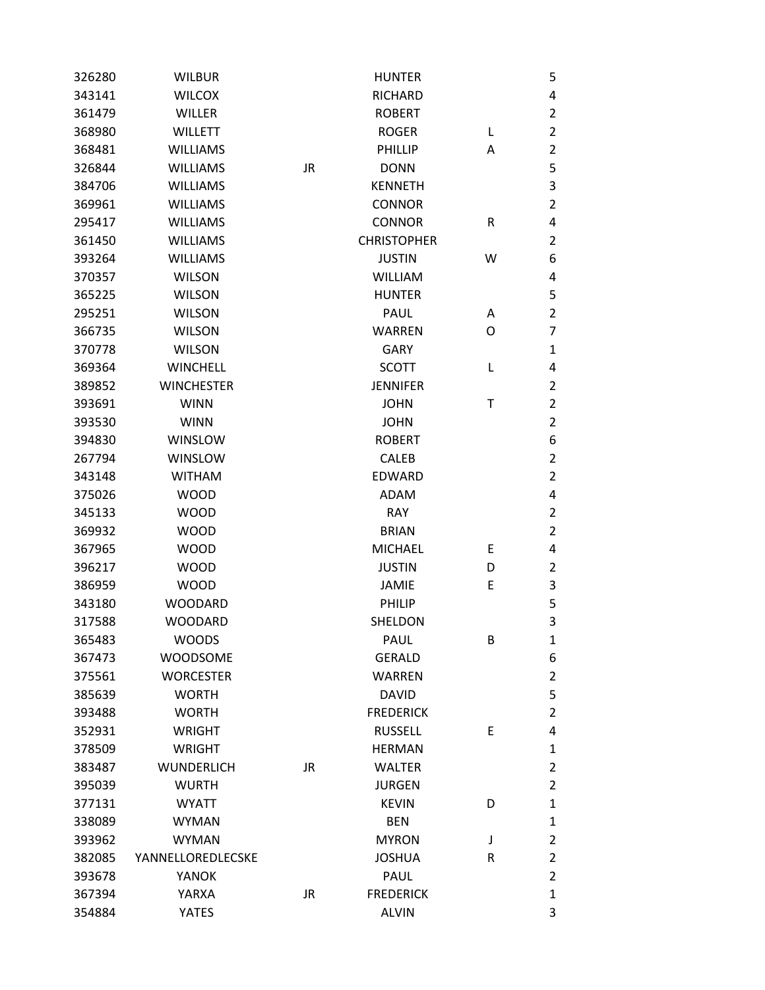| 326280 | <b>WILBUR</b>     |           | <b>HUNTER</b>      |   | 5              |
|--------|-------------------|-----------|--------------------|---|----------------|
| 343141 | <b>WILCOX</b>     |           | <b>RICHARD</b>     |   | 4              |
| 361479 | <b>WILLER</b>     |           | <b>ROBERT</b>      |   | $\overline{2}$ |
| 368980 | <b>WILLETT</b>    |           | <b>ROGER</b>       | L | $\overline{2}$ |
| 368481 | <b>WILLIAMS</b>   |           | PHILLIP            | Α | $\overline{2}$ |
| 326844 | <b>WILLIAMS</b>   | JR        | <b>DONN</b>        |   | 5              |
| 384706 | <b>WILLIAMS</b>   |           | <b>KENNETH</b>     |   | $\mathsf 3$    |
| 369961 | <b>WILLIAMS</b>   |           | <b>CONNOR</b>      |   | $\overline{2}$ |
| 295417 | <b>WILLIAMS</b>   |           | <b>CONNOR</b>      | R | 4              |
| 361450 | <b>WILLIAMS</b>   |           | <b>CHRISTOPHER</b> |   | $\overline{2}$ |
| 393264 | <b>WILLIAMS</b>   |           | <b>JUSTIN</b>      | W | 6              |
| 370357 | <b>WILSON</b>     |           | <b>WILLIAM</b>     |   | 4              |
| 365225 | <b>WILSON</b>     |           | <b>HUNTER</b>      |   | 5              |
| 295251 | <b>WILSON</b>     |           | <b>PAUL</b>        | A | $\overline{2}$ |
| 366735 | <b>WILSON</b>     |           | <b>WARREN</b>      | O | $\overline{7}$ |
| 370778 | <b>WILSON</b>     |           | <b>GARY</b>        |   | 1              |
| 369364 | <b>WINCHELL</b>   |           | <b>SCOTT</b>       | L | 4              |
| 389852 | <b>WINCHESTER</b> |           | <b>JENNIFER</b>    |   | $\overline{2}$ |
| 393691 | <b>WINN</b>       |           | <b>JOHN</b>        | т | $\overline{2}$ |
| 393530 | <b>WINN</b>       |           | <b>JOHN</b>        |   | $\overline{2}$ |
| 394830 | WINSLOW           |           | <b>ROBERT</b>      |   | 6              |
| 267794 | WINSLOW           |           | <b>CALEB</b>       |   | $\overline{2}$ |
| 343148 | <b>WITHAM</b>     |           | <b>EDWARD</b>      |   | $\overline{2}$ |
| 375026 | <b>WOOD</b>       |           | ADAM               |   | 4              |
| 345133 | <b>WOOD</b>       |           | <b>RAY</b>         |   | $\overline{2}$ |
| 369932 | <b>WOOD</b>       |           | <b>BRIAN</b>       |   | $\overline{2}$ |
| 367965 | <b>WOOD</b>       |           | <b>MICHAEL</b>     | Ε | 4              |
| 396217 | <b>WOOD</b>       |           | <b>JUSTIN</b>      | D | $\overline{2}$ |
| 386959 | <b>WOOD</b>       |           | <b>JAMIE</b>       | E | 3              |
| 343180 | <b>WOODARD</b>    |           | PHILIP             |   | 5              |
| 317588 | <b>WOODARD</b>    |           | SHELDON            |   | 3              |
| 365483 | <b>WOODS</b>      |           | <b>PAUL</b>        | В | $\mathbf{1}$   |
| 367473 | <b>WOODSOME</b>   |           | <b>GERALD</b>      |   | 6              |
| 375561 | <b>WORCESTER</b>  |           | <b>WARREN</b>      |   | $\overline{2}$ |
| 385639 | <b>WORTH</b>      |           | <b>DAVID</b>       |   | 5              |
| 393488 | <b>WORTH</b>      |           | <b>FREDERICK</b>   |   | $\overline{2}$ |
| 352931 | <b>WRIGHT</b>     |           | <b>RUSSELL</b>     | Ε | 4              |
| 378509 | <b>WRIGHT</b>     |           | <b>HERMAN</b>      |   | $\mathbf{1}$   |
| 383487 | <b>WUNDERLICH</b> | JR        | <b>WALTER</b>      |   | $\overline{2}$ |
| 395039 | <b>WURTH</b>      |           | <b>JURGEN</b>      |   | $\overline{2}$ |
| 377131 | <b>WYATT</b>      |           | <b>KEVIN</b>       | D | $\mathbf{1}$   |
| 338089 | <b>WYMAN</b>      |           | <b>BEN</b>         |   | $\mathbf{1}$   |
| 393962 | <b>WYMAN</b>      |           | <b>MYRON</b>       | J | $\overline{2}$ |
| 382085 | YANNELLOREDLECSKE |           | <b>JOSHUA</b>      | R | $\overline{2}$ |
| 393678 | YANOK             |           | PAUL               |   | $\overline{2}$ |
| 367394 | YARXA             | <b>JR</b> | <b>FREDERICK</b>   |   | $\mathbf{1}$   |
| 354884 | <b>YATES</b>      |           | <b>ALVIN</b>       |   | 3              |